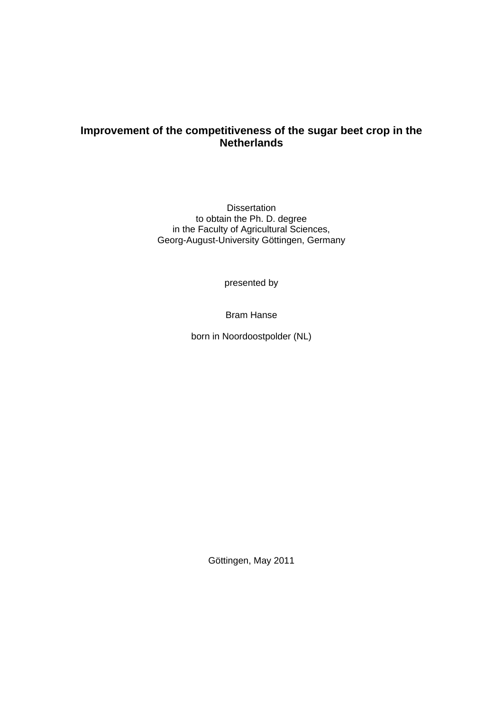### **Improvement of the competitiveness of the sugar beet crop in the Netherlands**

Dissertation to obtain the Ph. D. degree in the Faculty of Agricultural Sciences, Georg-August-University Göttingen, Germany

presented by

Bram Hanse

born in Noordoostpolder (NL)

Göttingen, May 2011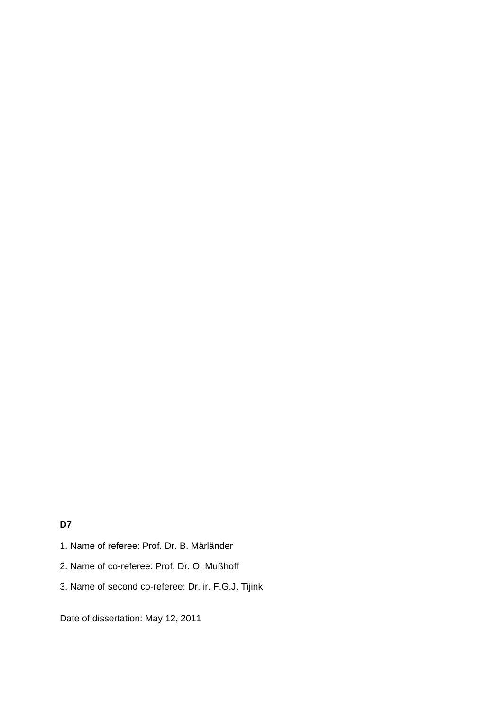#### **D7**

- 1. Name of referee: Prof. Dr. B. Märländer
- 2. Name of co-referee: Prof. Dr. O. Mußhoff
- 3. Name of second co-referee: Dr. ir. F.G.J. Tijink

Date of dissertation: May 12, 2011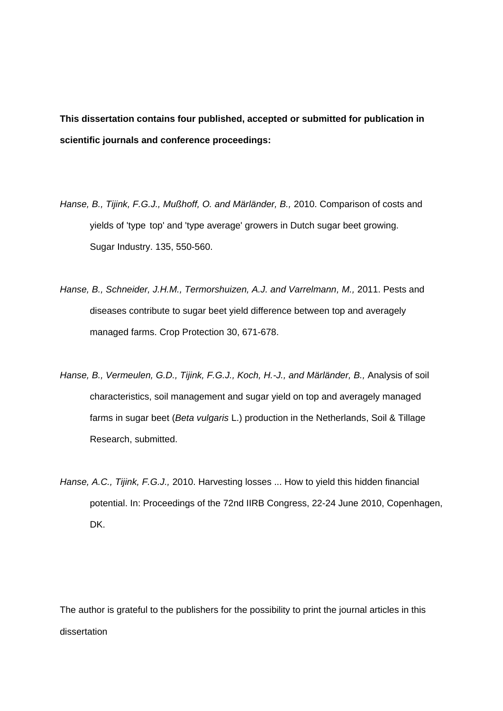**This dissertation contains four published, accepted or submitted for publication in scientific journals and conference proceedings:**

- *Hanse, B., Tijink, F.G.J., Mußhoff, O. and Märländer, B.,* 2010. Comparison of costs and yields of 'type top' and 'type average' growers in Dutch sugar beet growing. Sugar Industry. 135, 550-560.
- *Hanse, B., Schneider, J.H.M., Termorshuizen, A.J. and Varrelmann, M.,* 2011. Pests and diseases contribute to sugar beet yield difference between top and averagely managed farms. Crop Protection 30, 671-678.
- *Hanse, B., Vermeulen, G.D., Tijink, F.G.J., Koch, H.-J., and Märländer, B.,* Analysis of soil characteristics, soil management and sugar yield on top and averagely managed farms in sugar beet (*Beta vulgaris* L.) production in the Netherlands, Soil & Tillage Research, submitted.
- *Hanse, A.C., Tijink, F.G.J.,* 2010. Harvesting losses ... How to yield this hidden financial potential. In: Proceedings of the 72nd IIRB Congress, 22-24 June 2010, Copenhagen, DK.

The author is grateful to the publishers for the possibility to print the journal articles in this dissertation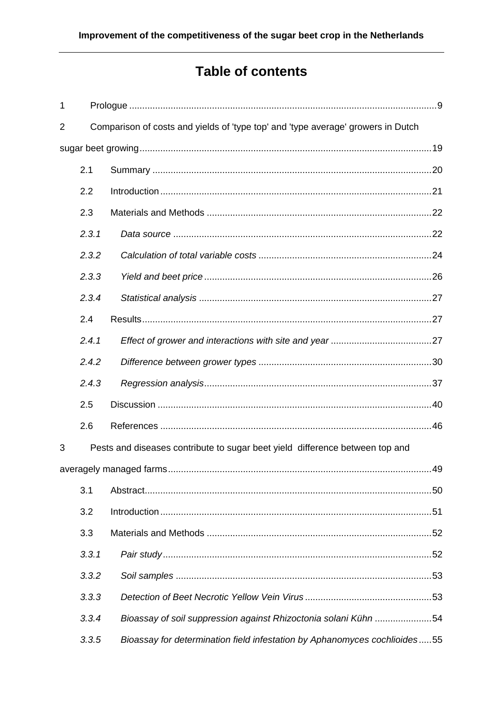## **Table of contents**

| 1              |       |                                                                                  |  |  |  |  |  |
|----------------|-------|----------------------------------------------------------------------------------|--|--|--|--|--|
| $\overline{2}$ |       | Comparison of costs and yields of 'type top' and 'type average' growers in Dutch |  |  |  |  |  |
|                |       |                                                                                  |  |  |  |  |  |
|                | 2.1   |                                                                                  |  |  |  |  |  |
|                | 2.2   |                                                                                  |  |  |  |  |  |
|                | 2.3   |                                                                                  |  |  |  |  |  |
|                | 2.3.1 |                                                                                  |  |  |  |  |  |
|                | 2.3.2 |                                                                                  |  |  |  |  |  |
|                | 2.3.3 |                                                                                  |  |  |  |  |  |
|                | 2.3.4 |                                                                                  |  |  |  |  |  |
|                | 2.4   |                                                                                  |  |  |  |  |  |
|                | 2.4.1 |                                                                                  |  |  |  |  |  |
|                | 2.4.2 |                                                                                  |  |  |  |  |  |
|                | 2.4.3 |                                                                                  |  |  |  |  |  |
|                | 2.5   |                                                                                  |  |  |  |  |  |
|                | 2.6   |                                                                                  |  |  |  |  |  |
| 3              |       | Pests and diseases contribute to sugar beet yield difference between top and     |  |  |  |  |  |
|                |       |                                                                                  |  |  |  |  |  |
|                | 3.1   |                                                                                  |  |  |  |  |  |
|                | 3.2   |                                                                                  |  |  |  |  |  |
|                | 3.3   |                                                                                  |  |  |  |  |  |
|                | 3.3.1 |                                                                                  |  |  |  |  |  |
|                | 3.3.2 |                                                                                  |  |  |  |  |  |
|                | 3.3.3 |                                                                                  |  |  |  |  |  |
|                | 3.3.4 | Bioassay of soil suppression against Rhizoctonia solani Kühn 54                  |  |  |  |  |  |
|                | 3.3.5 | Bioassay for determination field infestation by Aphanomyces cochlioides55        |  |  |  |  |  |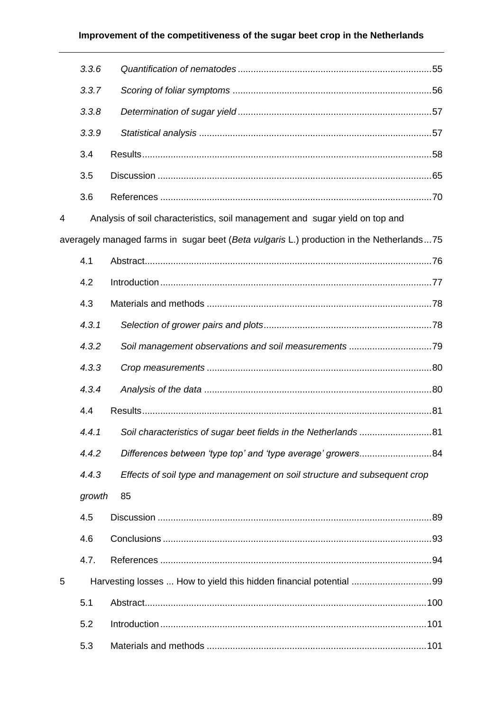## Improvement of the competitiveness of the sugar beet crop in the Netherlands

|   | 3.3.6  |                                                                                          |  |
|---|--------|------------------------------------------------------------------------------------------|--|
|   | 3.3.7  |                                                                                          |  |
|   | 3.3.8  |                                                                                          |  |
|   | 3.3.9  |                                                                                          |  |
|   | 3.4    |                                                                                          |  |
|   | 3.5    |                                                                                          |  |
|   | 3.6    |                                                                                          |  |
| 4 |        | Analysis of soil characteristics, soil management and sugar yield on top and             |  |
|   |        | averagely managed farms in sugar beet (Beta vulgaris L.) production in the Netherlands75 |  |
|   | 4.1    |                                                                                          |  |
|   | 4.2    |                                                                                          |  |
|   | 4.3    |                                                                                          |  |
|   | 4.3.1  |                                                                                          |  |
|   | 4.3.2  |                                                                                          |  |
|   | 4.3.3  |                                                                                          |  |
|   | 4.3.4  |                                                                                          |  |
|   | 4.4    |                                                                                          |  |
|   | 4.4.1  |                                                                                          |  |
|   | 4.4.2  |                                                                                          |  |
|   | 4.4.3  | Effects of soil type and management on soil structure and subsequent crop                |  |
|   | growth | 85                                                                                       |  |
|   | 4.5    |                                                                                          |  |
|   | 4.6    |                                                                                          |  |
|   | 4.7.   |                                                                                          |  |
| 5 |        |                                                                                          |  |
|   | 5.1    |                                                                                          |  |
|   | 5.2    |                                                                                          |  |
|   | 5.3    |                                                                                          |  |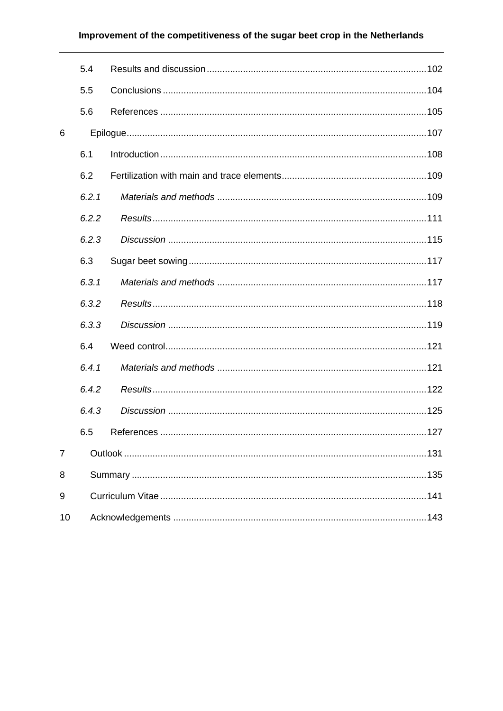## Improvement of the competitiveness of the sugar beet crop in the Netherlands

|    | 5.4   |  |
|----|-------|--|
|    | 5.5   |  |
|    | 5.6   |  |
| 6  |       |  |
|    | 6.1   |  |
|    | 6.2   |  |
|    | 6.2.1 |  |
|    | 6.2.2 |  |
|    | 6.2.3 |  |
|    | 6.3   |  |
|    | 6.3.1 |  |
|    | 6.3.2 |  |
|    | 6.3.3 |  |
|    | 6.4   |  |
|    | 6.4.1 |  |
|    | 6.4.2 |  |
|    | 6.4.3 |  |
|    | 6.5   |  |
| 7  |       |  |
| 8  |       |  |
| 9  |       |  |
| 10 |       |  |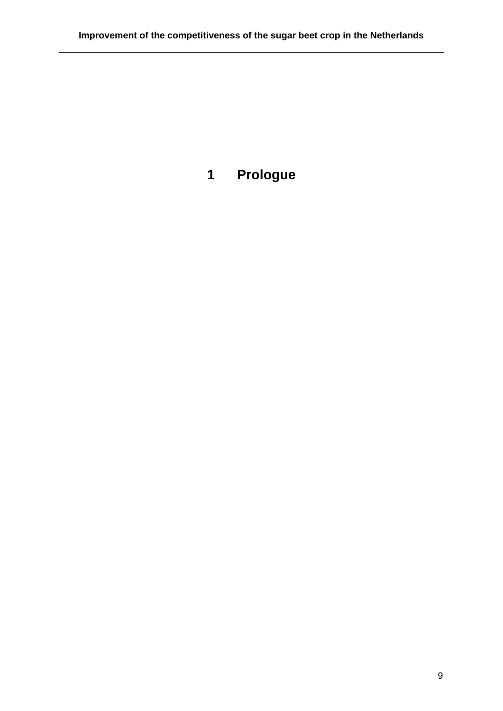# <span id="page-8-0"></span>**Prologue**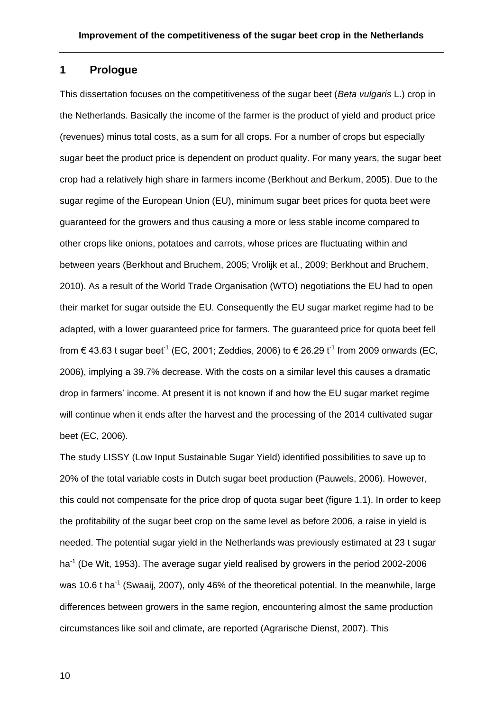#### **1 Prologue**

This dissertation focuses on the competitiveness of the sugar beet (*Beta vulgaris* L.) crop in the Netherlands. Basically the income of the farmer is the product of yield and product price (revenues) minus total costs, as a sum for all crops. For a number of crops but especially sugar beet the product price is dependent on product quality. For many years, the sugar beet crop had a relatively high share in farmers income (Berkhout and Berkum, 2005). Due to the sugar regime of the European Union (EU), minimum sugar beet prices for quota beet were guaranteed for the growers and thus causing a more or less stable income compared to other crops like onions, potatoes and carrots, whose prices are fluctuating within and between years (Berkhout and Bruchem, 2005; Vrolijk et al., 2009; Berkhout and Bruchem, 2010). As a result of the World Trade Organisation (WTO) negotiations the EU had to open their market for sugar outside the EU. Consequently the EU sugar market regime had to be adapted, with a lower guaranteed price for farmers. The guaranteed price for quota beet fell from € 43.63 t sugar beet<sup>-1</sup> (EC, 2001; Zeddies, 2006) to € 26.29 t<sup>-1</sup> from 2009 onwards (EC, 2006), implying a 39.7% decrease. With the costs on a similar level this causes a dramatic drop in farmers' income. At present it is not known if and how the EU sugar market regime will continue when it ends after the harvest and the processing of the 2014 cultivated sugar beet (EC, 2006).

The study LISSY (Low Input Sustainable Sugar Yield) identified possibilities to save up to 20% of the total variable costs in Dutch sugar beet production (Pauwels, 2006). However, this could not compensate for the price drop of quota sugar beet (figure 1.1). In order to keep the profitability of the sugar beet crop on the same level as before 2006, a raise in yield is needed. The potential sugar yield in the Netherlands was previously estimated at 23 t sugar ha<sup>-1</sup> (De Wit, 1953). The average sugar yield realised by growers in the period 2002-2006 was 10.6 t ha<sup>-1</sup> (Swaaij, 2007), only 46% of the theoretical potential. In the meanwhile, large differences between growers in the same region, encountering almost the same production circumstances like soil and climate, are reported (Agrarische Dienst, 2007). This

10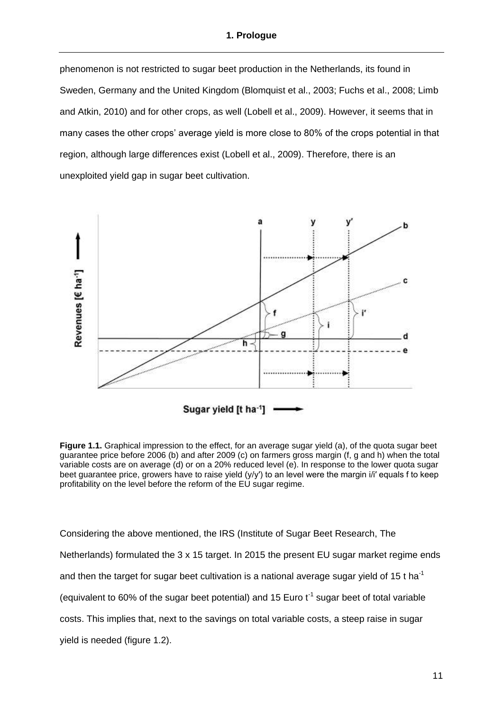#### **1. Prologue**

phenomenon is not restricted to sugar beet production in the Netherlands, its found in Sweden, Germany and the United Kingdom (Blomquist et al., 2003; Fuchs et al., 2008; Limb and Atkin, 2010) and for other crops, as well (Lobell et al., 2009). However, it seems that in many cases the other crops' average yield is more close to 80% of the crops potential in that region, although large differences exist (Lobell et al., 2009). Therefore, there is an unexploited yield gap in sugar beet cultivation.



**Figure 1.1.** Graphical impression to the effect, for an average sugar yield (a), of the quota sugar beet guarantee price before 2006 (b) and after 2009 (c) on farmers gross margin (f, g and h) when the total variable costs are on average (d) or on a 20% reduced level (e). In response to the lower quota sugar beet guarantee price, growers have to raise yield  $(y/y')$  to an level were the margin i/i' equals f to keep profitability on the level before the reform of the EU sugar regime.

Considering the above mentioned, the IRS (Institute of Sugar Beet Research, The Netherlands) formulated the 3 x 15 target. In 2015 the present EU sugar market regime ends and then the target for sugar beet cultivation is a national average sugar yield of 15 t ha<sup>-1</sup> (equivalent to 60% of the sugar beet potential) and 15 Euro  $t<sup>-1</sup>$  sugar beet of total variable costs. This implies that, next to the savings on total variable costs, a steep raise in sugar yield is needed (figure 1.2).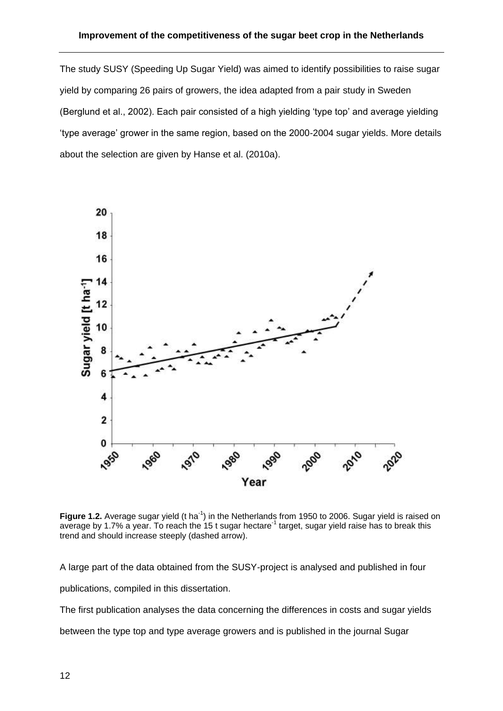The study SUSY (Speeding Up Sugar Yield) was aimed to identify possibilities to raise sugar yield by comparing 26 pairs of growers, the idea adapted from a pair study in Sweden (Berglund et al., 2002). Each pair consisted of a high yielding 'type top' and average yielding 'type average' grower in the same region, based on the 2000-2004 sugar yields. More details about the selection are given by Hanse et al. (2010a).



Figure 1.2. Average sugar yield (t ha<sup>-1</sup>) in the Netherlands from 1950 to 2006. Sugar yield is raised on average by 1.7% a year. To reach the 15 t sugar hectare<sup>-1</sup> target, sugar yield raise has to break this trend and should increase steeply (dashed arrow).

A large part of the data obtained from the SUSY-project is analysed and published in four

publications, compiled in this dissertation.

The first publication analyses the data concerning the differences in costs and sugar yields

between the type top and type average growers and is published in the journal Sugar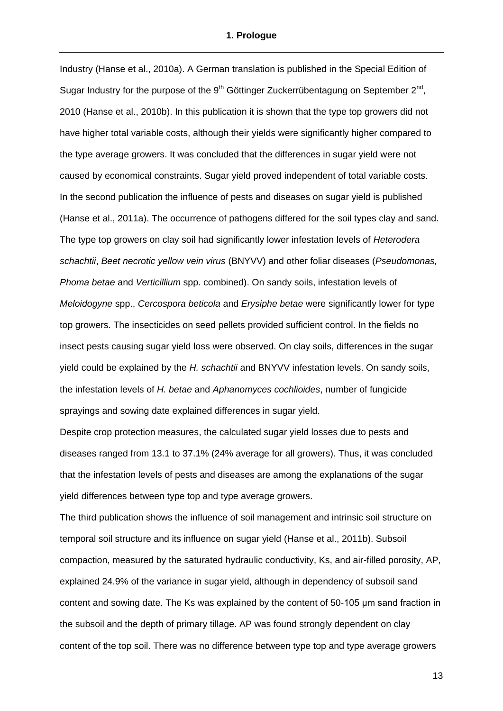#### **1. Prologue**

Industry (Hanse et al., 2010a). A German translation is published in the Special Edition of Sugar Industry for the purpose of the  $9<sup>th</sup>$  Göttinger Zuckerrübentagung on September  $2<sup>nd</sup>$ , 2010 (Hanse et al., 2010b). In this publication it is shown that the type top growers did not have higher total variable costs, although their yields were significantly higher compared to the type average growers. It was concluded that the differences in sugar yield were not caused by economical constraints. Sugar yield proved independent of total variable costs. In the second publication the influence of pests and diseases on sugar yield is published (Hanse et al., 2011a). The occurrence of pathogens differed for the soil types clay and sand. The type top growers on clay soil had significantly lower infestation levels of *Heterodera schachtii*, *Beet necrotic yellow vein virus* (BNYVV) and other foliar diseases (*Pseudomonas, Phoma betae* and *Verticillium* spp. combined). On sandy soils, infestation levels of *Meloidogyne* spp., *Cercospora beticola* and *Erysiphe betae* were significantly lower for type top growers. The insecticides on seed pellets provided sufficient control. In the fields no insect pests causing sugar yield loss were observed. On clay soils, differences in the sugar yield could be explained by the *H. schachtii* and BNYVV infestation levels. On sandy soils, the infestation levels of *H. betae* and *Aphanomyces cochlioides*, number of fungicide sprayings and sowing date explained differences in sugar yield.

Despite crop protection measures, the calculated sugar yield losses due to pests and diseases ranged from 13.1 to 37.1% (24% average for all growers). Thus, it was concluded that the infestation levels of pests and diseases are among the explanations of the sugar yield differences between type top and type average growers.

The third publication shows the influence of soil management and intrinsic soil structure on temporal soil structure and its influence on sugar yield (Hanse et al., 2011b). Subsoil compaction, measured by the saturated hydraulic conductivity, Ks, and air-filled porosity, AP, explained 24.9% of the variance in sugar yield, although in dependency of subsoil sand content and sowing date. The Ks was explained by the content of 50-105 μm sand fraction in the subsoil and the depth of primary tillage. AP was found strongly dependent on clay content of the top soil. There was no difference between type top and type average growers

13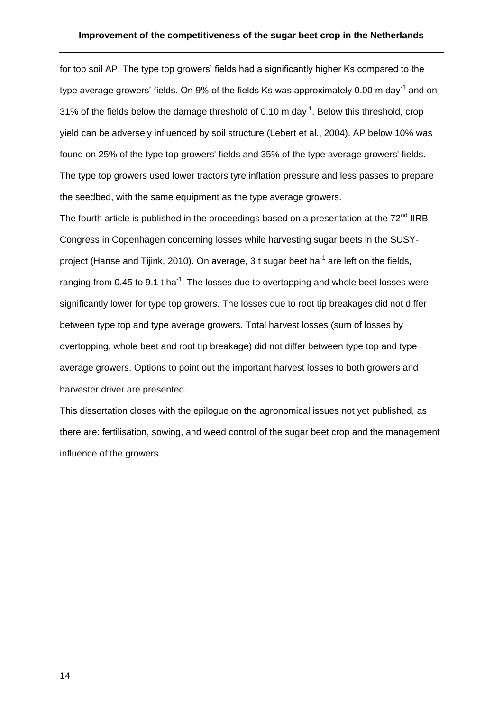#### **Improvement of the competitiveness of the sugar beet crop in the Netherlands**

for top soil AP. The type top growers' fields had a significantly higher Ks compared to the type average growers' fields. On 9% of the fields Ks was approximately 0.00 m day<sup>-1</sup> and on 31% of the fields below the damage threshold of 0.10 m day<sup>-1</sup>. Below this threshold, crop yield can be adversely influenced by soil structure (Lebert et al., 2004). AP below 10% was found on 25% of the type top growers' fields and 35% of the type average growers' fields. The type top growers used lower tractors tyre inflation pressure and less passes to prepare the seedbed, with the same equipment as the type average growers.

The fourth article is published in the proceedings based on a presentation at the  $72<sup>nd</sup> IIRB$ Congress in Copenhagen concerning losses while harvesting sugar beets in the SUSYproject (Hanse and Tijink, 2010). On average, 3 t sugar beet ha<sup>-1</sup> are left on the fields, ranging from 0.45 to 9.1 t ha<sup>-1</sup>. The losses due to overtopping and whole beet losses were significantly lower for type top growers. The losses due to root tip breakages did not differ between type top and type average growers. Total harvest losses (sum of losses by overtopping, whole beet and root tip breakage) did not differ between type top and type average growers. Options to point out the important harvest losses to both growers and harvester driver are presented.

This dissertation closes with the epilogue on the agronomical issues not yet published, as there are: fertilisation, sowing, and weed control of the sugar beet crop and the management influence of the growers.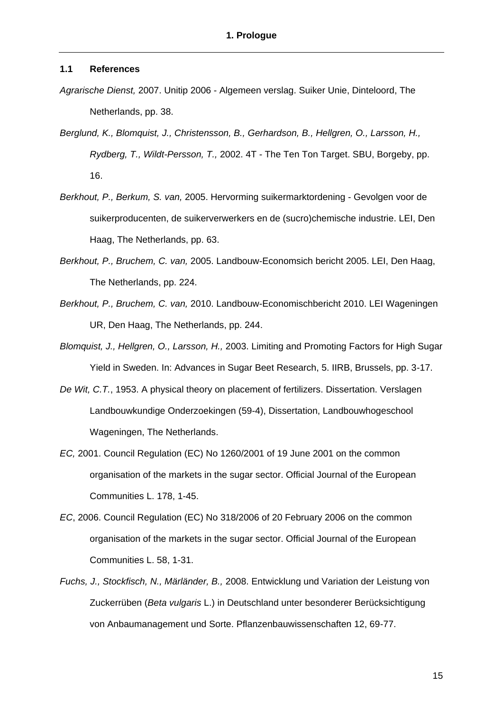#### **1.1 References**

- *Agrarische Dienst,* 2007. Unitip 2006 Algemeen verslag. Suiker Unie, Dinteloord, The Netherlands, pp. 38.
- *Berglund, K., Blomquist, J., Christensson, B., Gerhardson, B., Hellgren, O., Larsson, H., Rydberg, T., Wildt-Persson, T.,* 2002. 4T - The Ten Ton Target. SBU, Borgeby, pp. 16.
- *Berkhout, P., Berkum, S. van,* 2005. Hervorming suikermarktordening Gevolgen voor de suikerproducenten, de suikerverwerkers en de (sucro)chemische industrie. LEI, Den Haag, The Netherlands, pp. 63.
- *Berkhout, P., Bruchem, C. van,* 2005. Landbouw-Economsich bericht 2005. LEI, Den Haag, The Netherlands, pp. 224.
- *Berkhout, P., Bruchem, C. van,* 2010. Landbouw-Economischbericht 2010. LEI Wageningen UR, Den Haag, The Netherlands, pp. 244.
- *Blomquist, J., Hellgren, O., Larsson, H.,* 2003. Limiting and Promoting Factors for High Sugar Yield in Sweden. In: Advances in Sugar Beet Research, 5. IIRB, Brussels, pp. 3-17.
- *De Wit, C.T.*, 1953. A physical theory on placement of fertilizers. Dissertation. Verslagen Landbouwkundige Onderzoekingen (59-4), Dissertation, Landbouwhogeschool Wageningen, The Netherlands.
- *EC,* 2001. Council Regulation (EC) No 1260/2001 of 19 June 2001 on the common organisation of the markets in the sugar sector. Official Journal of the European Communities L. 178, 1-45.
- *EC*, 2006. Council Regulation (EC) No 318/2006 of 20 February 2006 on the common organisation of the markets in the sugar sector. Official Journal of the European Communities L. 58, 1-31.
- *Fuchs, J., Stockfisch, N., Märländer, B.,* 2008. Entwicklung und Variation der Leistung von Zuckerrüben (*Beta vulgaris* L.) in Deutschland unter besonderer Berücksichtigung von Anbaumanagement und Sorte. Pflanzenbauwissenschaften 12, 69-77.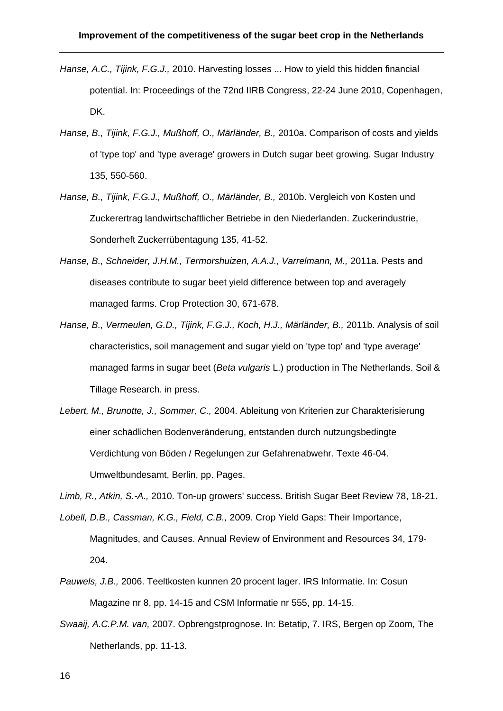- *Hanse, A.C., Tijink, F.G.J.,* 2010. Harvesting losses ... How to yield this hidden financial potential. In: Proceedings of the 72nd IIRB Congress, 22-24 June 2010, Copenhagen, DK.
- *Hanse, B., Tijink, F.G.J., Mußhoff, O., Märländer, B.,* 2010a. Comparison of costs and yields of 'type top' and 'type average' growers in Dutch sugar beet growing. Sugar Industry 135, 550-560.
- *Hanse, B., Tijink, F.G.J., Mußhoff, O., Märländer, B.,* 2010b. Vergleich von Kosten und Zuckerertrag landwirtschaftlicher Betriebe in den Niederlanden. Zuckerindustrie, Sonderheft Zuckerrübentagung 135, 41-52.
- *Hanse, B., Schneider, J.H.M., Termorshuizen, A.A.J., Varrelmann, M.,* 2011a. Pests and diseases contribute to sugar beet yield difference between top and averagely managed farms. Crop Protection 30, 671-678.
- *Hanse, B., Vermeulen, G.D., Tijink, F.G.J., Koch, H.J., Märländer, B.,* 2011b. Analysis of soil characteristics, soil management and sugar yield on 'type top' and 'type average' managed farms in sugar beet (*Beta vulgaris* L.) production in The Netherlands. Soil & Tillage Research. in press.
- *Lebert, M., Brunotte, J., Sommer, C.,* 2004. Ableitung von Kriterien zur Charakterisierung einer schädlichen Bodenveränderung, entstanden durch nutzungsbedingte Verdichtung von Böden / Regelungen zur Gefahrenabwehr. Texte 46-04. Umweltbundesamt, Berlin, pp. Pages.

*Limb, R., Atkin, S.-A.,* 2010. Ton-up growers' success. British Sugar Beet Review 78, 18-21.

- *Lobell, D.B., Cassman, K.G., Field, C.B.,* 2009. Crop Yield Gaps: Their Importance, Magnitudes, and Causes. Annual Review of Environment and Resources 34, 179- 204.
- *Pauwels, J.B.,* 2006. Teeltkosten kunnen 20 procent lager. IRS Informatie. In: Cosun Magazine nr 8, pp. 14-15 and CSM Informatie nr 555, pp. 14-15.
- *Swaaij, A.C.P.M. van,* 2007. Opbrengstprognose. In: Betatip, 7. IRS, Bergen op Zoom, The Netherlands, pp. 11-13.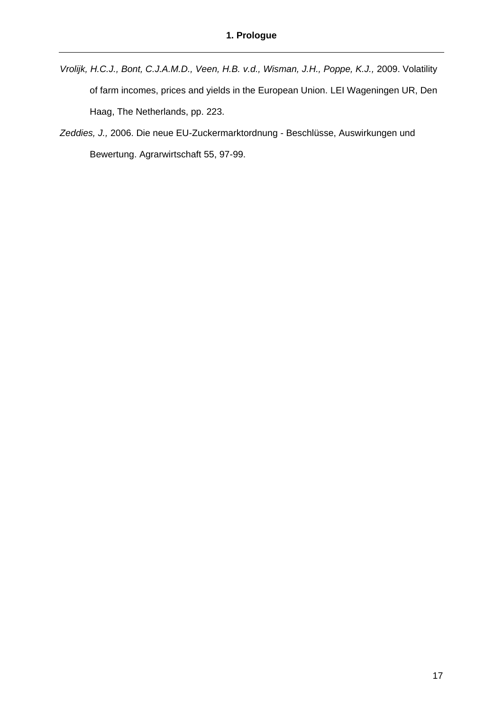- *Vrolijk, H.C.J., Bont, C.J.A.M.D., Veen, H.B. v.d., Wisman, J.H., Poppe, K.J.,* 2009. Volatility of farm incomes, prices and yields in the European Union. LEI Wageningen UR, Den Haag, The Netherlands, pp. 223.
- *Zeddies, J.,* 2006. Die neue EU-Zuckermarktordnung Beschlüsse, Auswirkungen und Bewertung. Agrarwirtschaft 55, 97-99.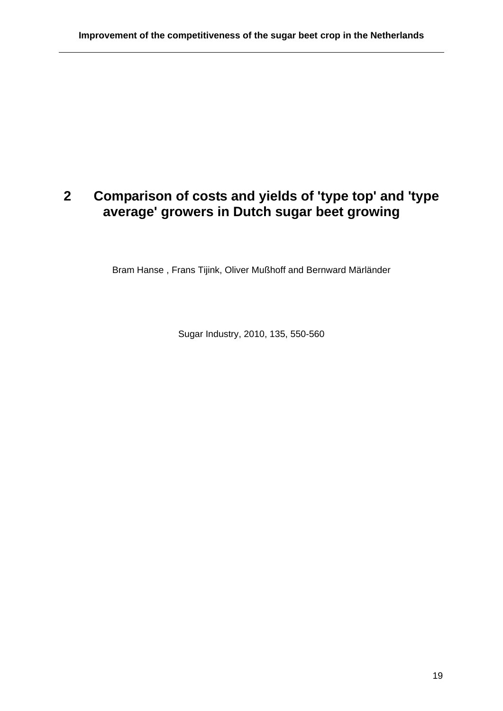## <span id="page-18-0"></span>**2 Comparison of costs and yields of 'type top' and 'type average' growers in Dutch sugar beet growing**

Bram Hanse , Frans Tijink, Oliver Mußhoff and Bernward Märländer

Sugar Industry, 2010, 135, 550-560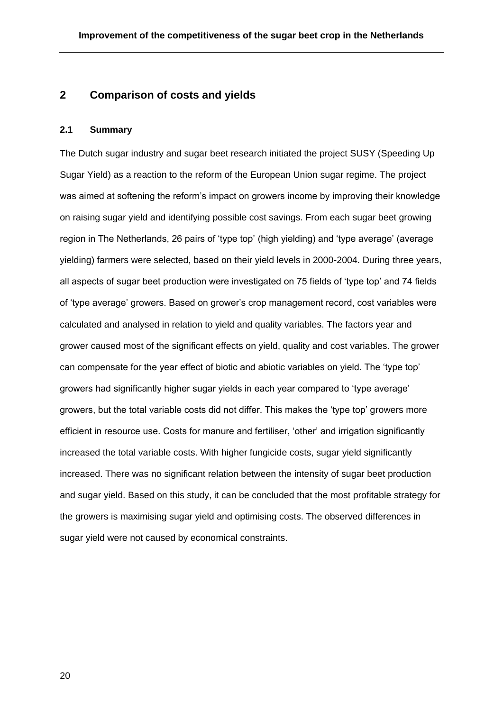#### **2 Comparison of costs and yields**

#### <span id="page-19-0"></span>**2.1 Summary**

The Dutch sugar industry and sugar beet research initiated the project SUSY (Speeding Up Sugar Yield) as a reaction to the reform of the European Union sugar regime. The project was aimed at softening the reform's impact on growers income by improving their knowledge on raising sugar yield and identifying possible cost savings. From each sugar beet growing region in The Netherlands, 26 pairs of 'type top' (high yielding) and 'type average' (average yielding) farmers were selected, based on their yield levels in 2000-2004. During three years, all aspects of sugar beet production were investigated on 75 fields of 'type top' and 74 fields of 'type average' growers. Based on grower's crop management record, cost variables were calculated and analysed in relation to yield and quality variables. The factors year and grower caused most of the significant effects on yield, quality and cost variables. The grower can compensate for the year effect of biotic and abiotic variables on yield. The 'type top' growers had significantly higher sugar yields in each year compared to 'type average' growers, but the total variable costs did not differ. This makes the 'type top' growers more efficient in resource use. Costs for manure and fertiliser, 'other' and irrigation significantly increased the total variable costs. With higher fungicide costs, sugar yield significantly increased. There was no significant relation between the intensity of sugar beet production and sugar yield. Based on this study, it can be concluded that the most profitable strategy for the growers is maximising sugar yield and optimising costs. The observed differences in sugar yield were not caused by economical constraints.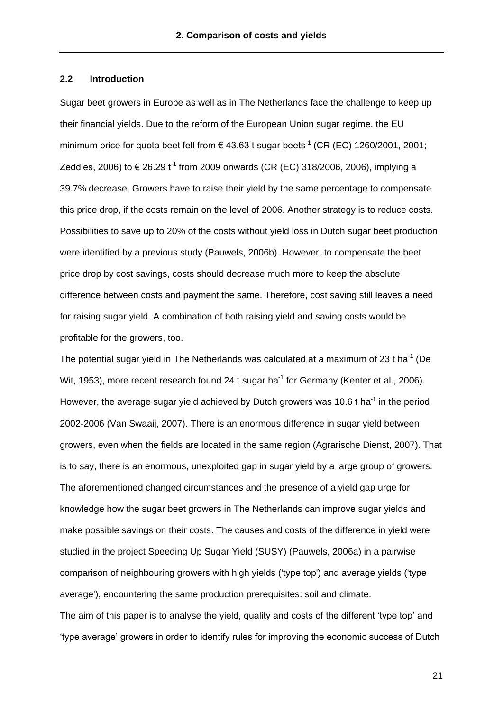#### <span id="page-20-0"></span>**2.2 Introduction**

Sugar beet growers in Europe as well as in The Netherlands face the challenge to keep up their financial yields. Due to the reform of the European Union sugar regime, the EU minimum price for quota beet fell from  $\epsilon$  43.63 t sugar beets<sup>-1</sup> (CR (EC) 1260/2001, 2001; Zeddies, 2006) to € 26.29 t<sup>-1</sup> from 2009 onwards (CR (EC) 318/2006, 2006), implying a 39.7% decrease. Growers have to raise their yield by the same percentage to compensate this price drop, if the costs remain on the level of 2006. Another strategy is to reduce costs. Possibilities to save up to 20% of the costs without yield loss in Dutch sugar beet production were identified by a previous study (Pauwels, 2006b). However, to compensate the beet price drop by cost savings, costs should decrease much more to keep the absolute difference between costs and payment the same. Therefore, cost saving still leaves a need for raising sugar yield. A combination of both raising yield and saving costs would be profitable for the growers, too.

The potential sugar yield in The Netherlands was calculated at a maximum of 23 t ha $^{-1}$  (De Wit, 1953), more recent research found 24 t sugar ha<sup>-1</sup> for Germany (Kenter et al., 2006). However, the average sugar yield achieved by Dutch growers was 10.6 t ha<sup>-1</sup> in the period 2002-2006 (Van Swaaij, 2007). There is an enormous difference in sugar yield between growers, even when the fields are located in the same region (Agrarische Dienst, 2007). That is to say, there is an enormous, unexploited gap in sugar yield by a large group of growers. The aforementioned changed circumstances and the presence of a yield gap urge for knowledge how the sugar beet growers in The Netherlands can improve sugar yields and make possible savings on their costs. The causes and costs of the difference in yield were studied in the project Speeding Up Sugar Yield (SUSY) (Pauwels, 2006a) in a pairwise comparison of neighbouring growers with high yields ('type top') and average yields ('type average'), encountering the same production prerequisites: soil and climate. The aim of this paper is to analyse the yield, quality and costs of the different 'type top' and

'type average' growers in order to identify rules for improving the economic success of Dutch

21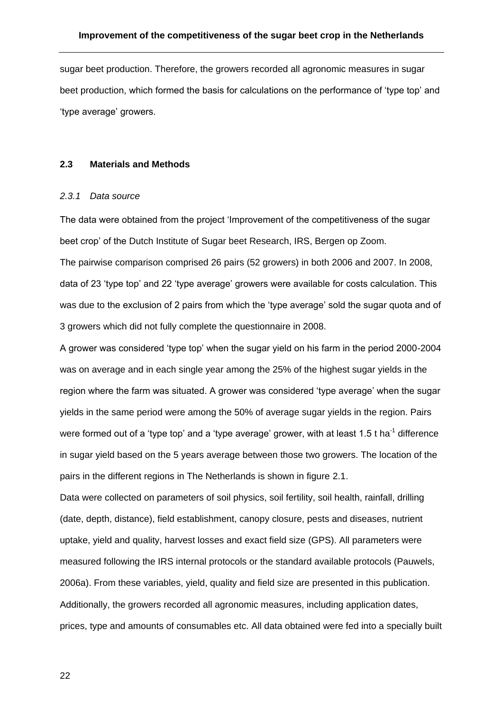sugar beet production. Therefore, the growers recorded all agronomic measures in sugar beet production, which formed the basis for calculations on the performance of 'type top' and 'type average' growers.

#### <span id="page-21-0"></span>**2.3 Materials and Methods**

#### <span id="page-21-1"></span>*2.3.1 Data source*

The data were obtained from the project 'Improvement of the competitiveness of the sugar beet crop' of the Dutch Institute of Sugar beet Research, IRS, Bergen op Zoom.

The pairwise comparison comprised 26 pairs (52 growers) in both 2006 and 2007. In 2008, data of 23 'type top' and 22 'type average' growers were available for costs calculation. This was due to the exclusion of 2 pairs from which the 'type average' sold the sugar quota and of 3 growers which did not fully complete the questionnaire in 2008.

A grower was considered 'type top' when the sugar yield on his farm in the period 2000-2004 was on average and in each single year among the 25% of the highest sugar yields in the region where the farm was situated. A grower was considered 'type average' when the sugar yields in the same period were among the 50% of average sugar yields in the region. Pairs were formed out of a 'type top' and a 'type average' grower, with at least 1.5 t ha<sup>-1</sup> difference in sugar yield based on the 5 years average between those two growers. The location of the pairs in the different regions in The Netherlands is shown in figure 2.1.

Data were collected on parameters of soil physics, soil fertility, soil health, rainfall, drilling (date, depth, distance), field establishment, canopy closure, pests and diseases, nutrient uptake, yield and quality, harvest losses and exact field size (GPS). All parameters were measured following the IRS internal protocols or the standard available protocols (Pauwels, 2006a). From these variables, yield, quality and field size are presented in this publication. Additionally, the growers recorded all agronomic measures, including application dates, prices, type and amounts of consumables etc. All data obtained were fed into a specially built

22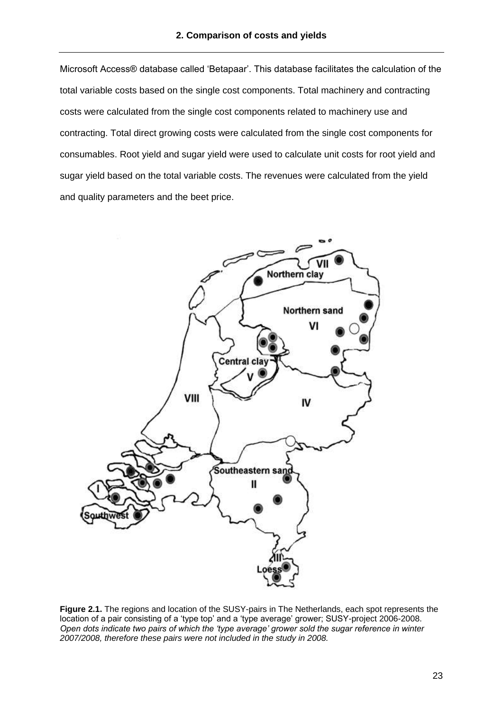Microsoft Access® database called 'Betapaar'. This database facilitates the calculation of the total variable costs based on the single cost components. Total machinery and contracting costs were calculated from the single cost components related to machinery use and contracting. Total direct growing costs were calculated from the single cost components for consumables. Root yield and sugar yield were used to calculate unit costs for root yield and sugar yield based on the total variable costs. The revenues were calculated from the yield and quality parameters and the beet price.



**Figure 2.1.** The regions and location of the SUSY-pairs in The Netherlands, each spot represents the location of a pair consisting of a 'type top' and a 'type average' grower; SUSY-project 2006-2008. *Open dots indicate two pairs of which the 'type average' grower sold the sugar reference in winter 2007/2008, therefore these pairs were not included in the study in 2008.*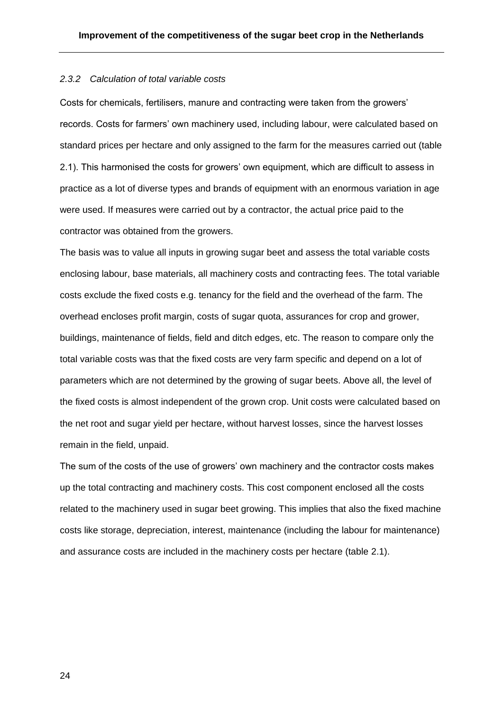#### <span id="page-23-0"></span>*2.3.2 Calculation of total variable costs*

Costs for chemicals, fertilisers, manure and contracting were taken from the growers' records. Costs for farmers' own machinery used, including labour, were calculated based on standard prices per hectare and only assigned to the farm for the measures carried out (table 2.1). This harmonised the costs for growers' own equipment, which are difficult to assess in practice as a lot of diverse types and brands of equipment with an enormous variation in age were used. If measures were carried out by a contractor, the actual price paid to the contractor was obtained from the growers.

The basis was to value all inputs in growing sugar beet and assess the total variable costs enclosing labour, base materials, all machinery costs and contracting fees. The total variable costs exclude the fixed costs e.g. tenancy for the field and the overhead of the farm. The overhead encloses profit margin, costs of sugar quota, assurances for crop and grower, buildings, maintenance of fields, field and ditch edges, etc. The reason to compare only the total variable costs was that the fixed costs are very farm specific and depend on a lot of parameters which are not determined by the growing of sugar beets. Above all, the level of the fixed costs is almost independent of the grown crop. Unit costs were calculated based on the net root and sugar yield per hectare, without harvest losses, since the harvest losses remain in the field, unpaid.

The sum of the costs of the use of growers' own machinery and the contractor costs makes up the total contracting and machinery costs. This cost component enclosed all the costs related to the machinery used in sugar beet growing. This implies that also the fixed machine costs like storage, depreciation, interest, maintenance (including the labour for maintenance) and assurance costs are included in the machinery costs per hectare (table 2.1).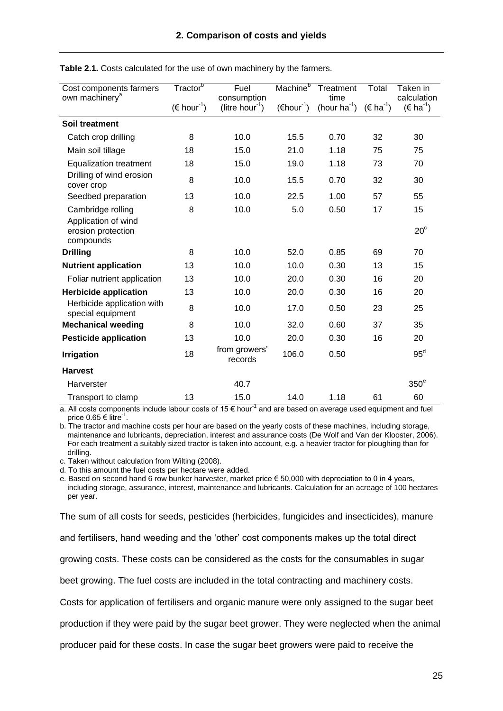| Cost components farmers                                | Tractor <sup>b</sup>           | Fuel                                       | Machineb                         | Treatment                        | Total                        | Taken in                                    |
|--------------------------------------------------------|--------------------------------|--------------------------------------------|----------------------------------|----------------------------------|------------------------------|---------------------------------------------|
| own machinery <sup>a</sup>                             | $(\epsilon \text{ hour}^{-1})$ | consumption<br>(litre hour <sup>-1</sup> ) | $(\epsilon$ hour <sup>-1</sup> ) | time<br>(hour ha <sup>-1</sup> ) | $(\epsilon \text{ ha}^{-1})$ | calculation<br>$(\epsilon \text{ ha}^{-1})$ |
|                                                        |                                |                                            |                                  |                                  |                              |                                             |
| Soil treatment                                         |                                |                                            |                                  |                                  |                              |                                             |
| Catch crop drilling                                    | 8                              | 10.0                                       | 15.5                             | 0.70                             | 32                           | 30                                          |
| Main soil tillage                                      | 18                             | 15.0                                       | 21.0                             | 1.18                             | 75                           | 75                                          |
| <b>Equalization treatment</b>                          | 18                             | 15.0                                       | 19.0                             | 1.18                             | 73                           | 70                                          |
| Drilling of wind erosion<br>cover crop                 | 8                              | 10.0                                       | 15.5                             | 0.70                             | 32                           | 30                                          |
| Seedbed preparation                                    | 13                             | 10.0                                       | 22.5                             | 1.00                             | 57                           | 55                                          |
| Cambridge rolling                                      | 8                              | 10.0                                       | 5.0                              | 0.50                             | 17                           | 15                                          |
| Application of wind<br>erosion protection<br>compounds |                                |                                            |                                  |                                  |                              | $20^{\circ}$                                |
| <b>Drilling</b>                                        | 8                              | 10.0                                       | 52.0                             | 0.85                             | 69                           | 70                                          |
| <b>Nutrient application</b>                            | 13                             | 10.0                                       | 10.0                             | 0.30                             | 13                           | 15                                          |
| Foliar nutrient application                            | 13                             | 10.0                                       | 20.0                             | 0.30                             | 16                           | 20                                          |
| <b>Herbicide application</b>                           | 13                             | 10.0                                       | 20.0                             | 0.30                             | 16                           | 20                                          |
| Herbicide application with<br>special equipment        | 8                              | 10.0                                       | 17.0                             | 0.50                             | 23                           | 25                                          |
| <b>Mechanical weeding</b>                              | 8                              | 10.0                                       | 32.0                             | 0.60                             | 37                           | 35                                          |
| <b>Pesticide application</b>                           | 13                             | 10.0                                       | 20.0                             | 0.30                             | 16                           | 20                                          |
| <b>Irrigation</b>                                      | 18                             | from growers'<br>records                   | 106.0                            | 0.50                             |                              | $95^d$                                      |
| <b>Harvest</b>                                         |                                |                                            |                                  |                                  |                              |                                             |
| Harverster                                             |                                | 40.7                                       |                                  |                                  |                              | 350 <sup>e</sup>                            |
| Transport to clamp                                     | 13                             | 15.0                                       | 14.0                             | 1.18                             | 61                           | 60                                          |

**Table 2.1.** Costs calculated for the use of own machinery by the farmers.

a. All costs components include labour costs of 15 € hour<sup>-1</sup> and are based on average used equipment and fuel price 0.65 € litre<sup>-1</sup>.

b. The tractor and machine costs per hour are based on the yearly costs of these machines, including storage, maintenance and lubricants, depreciation, interest and assurance costs (De Wolf and Van der Klooster, 2006). For each treatment a suitably sized tractor is taken into account, e.g. a heavier tractor for ploughing than for drilling.

c. Taken without calculation from Wilting (2008).

d. To this amount the fuel costs per hectare were added.

e. Based on second hand 6 row bunker harvester, market price  $\epsilon$  50,000 with depreciation to 0 in 4 years, including storage, assurance, interest, maintenance and lubricants. Calculation for an acreage of 100 hectares per year.

The sum of all costs for seeds, pesticides (herbicides, fungicides and insecticides), manure

and fertilisers, hand weeding and the 'other' cost components makes up the total direct

growing costs. These costs can be considered as the costs for the consumables in sugar

beet growing. The fuel costs are included in the total contracting and machinery costs.

Costs for application of fertilisers and organic manure were only assigned to the sugar beet

production if they were paid by the sugar beet grower. They were neglected when the animal

producer paid for these costs. In case the sugar beet growers were paid to receive the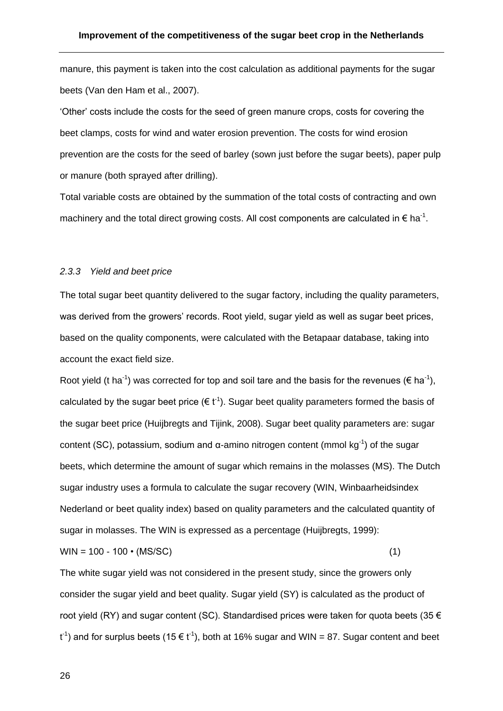manure, this payment is taken into the cost calculation as additional payments for the sugar beets (Van den Ham et al., 2007).

'Other' costs include the costs for the seed of green manure crops, costs for covering the beet clamps, costs for wind and water erosion prevention. The costs for wind erosion prevention are the costs for the seed of barley (sown just before the sugar beets), paper pulp or manure (both sprayed after drilling).

Total variable costs are obtained by the summation of the total costs of contracting and own machinery and the total direct growing costs. All cost components are calculated in  $\epsilon$  ha<sup>-1</sup>.

#### <span id="page-25-0"></span>*2.3.3 Yield and beet price*

The total sugar beet quantity delivered to the sugar factory, including the quality parameters, was derived from the growers' records. Root yield, sugar yield as well as sugar beet prices, based on the quality components, were calculated with the Betapaar database, taking into account the exact field size.

Root yield (t ha<sup>-1</sup>) was corrected for top and soil tare and the basis for the revenues ( $\epsilon$  ha<sup>-1</sup>), calculated by the sugar beet price  $(f t^{-1})$ . Sugar beet quality parameters formed the basis of the sugar beet price (Huijbregts and Tijink, 2008). Sugar beet quality parameters are: sugar content (SC), potassium, sodium and α-amino nitrogen content (mmol kg<sup>-1</sup>) of the sugar beets, which determine the amount of sugar which remains in the molasses (MS). The Dutch sugar industry uses a formula to calculate the sugar recovery (WIN, Winbaarheidsindex Nederland or beet quality index) based on quality parameters and the calculated quantity of sugar in molasses. The WIN is expressed as a percentage (Huijbregts, 1999):

$$
WIN = 100 - 100 \cdot (MS/SC) \tag{1}
$$

The white sugar yield was not considered in the present study, since the growers only consider the sugar yield and beet quality. Sugar yield (SY) is calculated as the product of root vield (RY) and sugar content (SC). Standardised prices were taken for quota beets (35  $\epsilon$ t<sup>-1</sup>) and for surplus beets (15  $\epsilon$  t<sup>-1</sup>), both at 16% sugar and WIN = 87. Sugar content and beet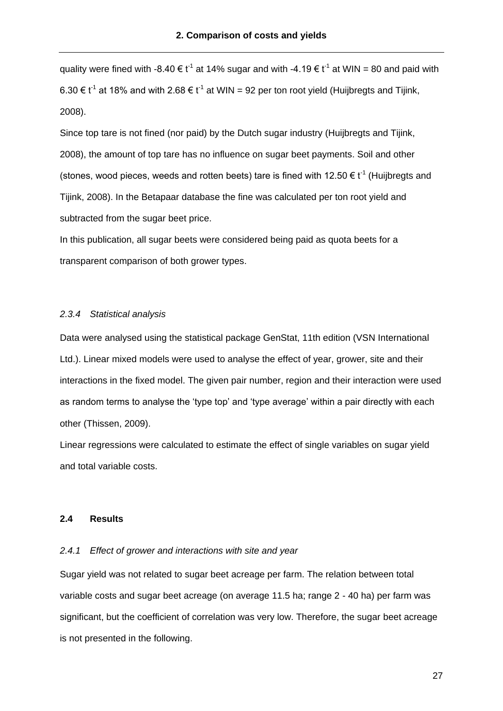quality were fined with -8.40 €  $t^{-1}$  at 14% sugar and with -4.19 €  $t^{-1}$  at WIN = 80 and paid with 6.30 € t<sup>-1</sup> at 18% and with 2.68 € t<sup>-1</sup> at WIN = 92 per ton root yield (Huijbregts and Tijink, 2008).

Since top tare is not fined (nor paid) by the Dutch sugar industry (Huijbregts and Tijink, 2008), the amount of top tare has no influence on sugar beet payments. Soil and other (stones, wood pieces, weeds and rotten beets) tare is fined with 12.50  $\epsilon$  t<sup>-1</sup> (Huijbregts and Tijink, 2008). In the Betapaar database the fine was calculated per ton root yield and subtracted from the sugar beet price.

In this publication, all sugar beets were considered being paid as quota beets for a transparent comparison of both grower types.

#### <span id="page-26-0"></span>*2.3.4 Statistical analysis*

Data were analysed using the statistical package GenStat, 11th edition (VSN International Ltd.). Linear mixed models were used to analyse the effect of year, grower, site and their interactions in the fixed model. The given pair number, region and their interaction were used as random terms to analyse the 'type top' and 'type average' within a pair directly with each other (Thissen, 2009).

Linear regressions were calculated to estimate the effect of single variables on sugar yield and total variable costs.

#### <span id="page-26-1"></span>**2.4 Results**

#### <span id="page-26-2"></span>*2.4.1 Effect of grower and interactions with site and year*

Sugar yield was not related to sugar beet acreage per farm. The relation between total variable costs and sugar beet acreage (on average 11.5 ha; range 2 - 40 ha) per farm was significant, but the coefficient of correlation was very low. Therefore, the sugar beet acreage is not presented in the following.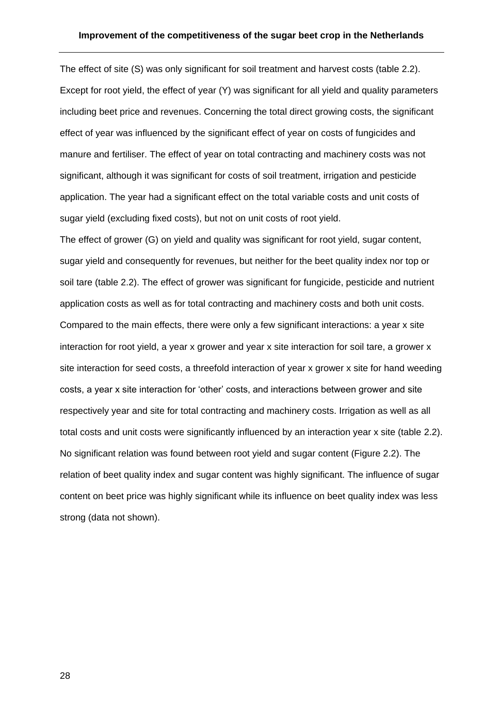#### **Improvement of the competitiveness of the sugar beet crop in the Netherlands**

The effect of site (S) was only significant for soil treatment and harvest costs (table 2.2). Except for root yield, the effect of year (Y) was significant for all yield and quality parameters including beet price and revenues. Concerning the total direct growing costs, the significant effect of year was influenced by the significant effect of year on costs of fungicides and manure and fertiliser. The effect of year on total contracting and machinery costs was not significant, although it was significant for costs of soil treatment, irrigation and pesticide application. The year had a significant effect on the total variable costs and unit costs of sugar yield (excluding fixed costs), but not on unit costs of root yield.

The effect of grower (G) on yield and quality was significant for root yield, sugar content, sugar yield and consequently for revenues, but neither for the beet quality index nor top or soil tare (table 2.2). The effect of grower was significant for fungicide, pesticide and nutrient application costs as well as for total contracting and machinery costs and both unit costs. Compared to the main effects, there were only a few significant interactions: a year x site interaction for root yield, a year x grower and year x site interaction for soil tare, a grower x site interaction for seed costs, a threefold interaction of year x grower x site for hand weeding costs, a year x site interaction for 'other' costs, and interactions between grower and site respectively year and site for total contracting and machinery costs. Irrigation as well as all total costs and unit costs were significantly influenced by an interaction year x site (table 2.2). No significant relation was found between root yield and sugar content (Figure 2.2). The relation of beet quality index and sugar content was highly significant. The influence of sugar content on beet price was highly significant while its influence on beet quality index was less strong (data not shown).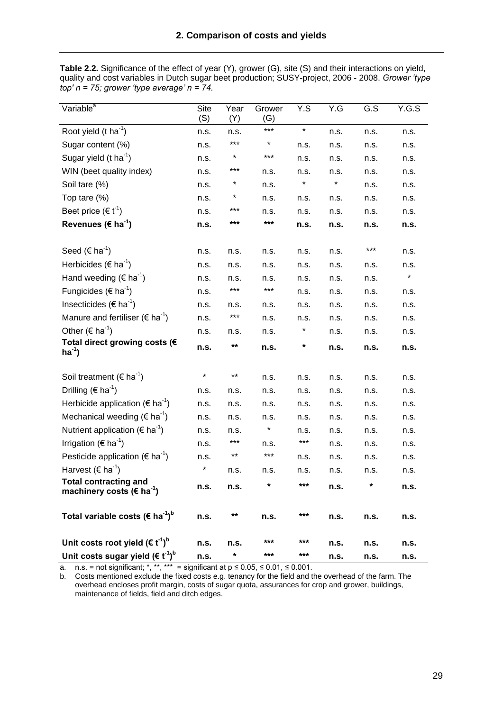**Table 2.2.** Significance of the effect of year (Y), grower (G), site (S) and their interactions on yield, quality and cost variables in Dutch sugar beet production; SUSY-project, 2006 - 2008. *Grower 'type top' n = 75; grower 'type average' n = 74.*

| Variable <sup>a</sup>                                                           | <b>Site</b><br>(S) | Year<br>(Y) | Grower<br>(G) | Y.S       | Y.G  | $\overline{G.S}$ | Y.G.S           |
|---------------------------------------------------------------------------------|--------------------|-------------|---------------|-----------|------|------------------|-----------------|
| Root yield $(t \text{ ha}^{-1})$                                                | n.s.               | n.s.        | ***           | $\star$   | n.s. | n.s.             | n.s.            |
| Sugar content (%)                                                               | n.s.               | ***         | $\star$       | n.s.      | n.s. | n.s.             | n.s.            |
| Sugar yield $(t \text{ ha}^{-1})$                                               | n.s.               | *           | ***           | n.s.      | n.s. | n.s.             | n.s.            |
| WIN (beet quality index)                                                        | n.s.               | ***         | n.s.          | n.s.      | n.s. | n.s.             | n.s.            |
| Soil tare (%)                                                                   | n.s.               | *           | n.s.          | *         | *    | n.s.             | n.s.            |
| Top tare $(\%)$                                                                 | n.s.               | *           | n.s.          | n.s.      | n.s. | n.s.             | n.s.            |
| Beet price ( $\in$ t <sup>-1</sup> )                                            | n.s.               | ***         | n.s.          | n.s.      | n.s. | n.s.             | n.s.            |
| Revenues ( $\epsilon$ ha <sup>-1</sup> )                                        | n.s.               | ***         | ***           | n.s.      | n.s. | n.s.             | n.s.            |
| Seed ( $\in$ ha <sup>-1</sup> )                                                 | n.s.               | n.s.        | n.s.          | n.s.      | n.s. | ***              | n.s.            |
| Herbicides ( $\in$ ha <sup>-1</sup> )                                           |                    |             |               |           |      |                  |                 |
| Hand weeding ( $\in$ ha <sup>-1</sup> )                                         | n.s.               | n.s.        | n.s.          | n.s.      | n.s. | n.s.             | n.s.<br>$\star$ |
| Fungicides ( $\in$ ha <sup>-1</sup> )                                           | n.s.               | n.s.<br>*** | n.s.<br>$***$ | n.s.      | n.s. | n.s.             |                 |
| Insecticides (€ ha <sup>-1</sup> )                                              | n.s.               |             |               | n.s.      | n.s. | n.s.             | n.s.            |
| Manure and fertiliser ( $\in$ ha <sup>-1</sup> )                                | n.s.               | n.s.<br>*** | n.s.          | n.s.      | n.s. | n.s.             | n.s.            |
|                                                                                 | n.s.               |             | n.s.          | n.s.<br>* | n.s. | n.s.             | n.s.            |
| Other ( $\in$ ha <sup>-1</sup> )<br>Total direct growing costs (€               | n.s.               | n.s.        | n.s.          |           | n.s. | n.s.             | n.s.            |
| $ha^{-1}$                                                                       | n.s.               | **          | n.s.          | $\star$   | n.s. | n.s.             | n.s.            |
| Soil treatment ( $\in$ ha <sup>-1</sup> )                                       | *                  | $***$       | n.s.          | n.s.      | n.s. | n.s.             | n.s.            |
| Drilling ( $\in$ ha <sup>-1</sup> )                                             | n.s.               | n.s.        | n.s.          | n.s.      | n.s. | n.s.             | n.s.            |
| Herbicide application ( $\in$ ha <sup>-1</sup> )                                | n.s.               | n.s.        | n.s.          | n.s.      | n.s. | n.s.             | n.s.            |
| Mechanical weeding ( $\in$ ha <sup>-1</sup> )                                   | n.s.               | n.s.        | n.s.          | n.s.      | n.s. | n.s.             | n.s.            |
| Nutrient application ( $\epsilon$ ha <sup>-1</sup> )                            | n.s.               | n.s.        | $\ast$        | n.s.      | n.s. | n.s.             | n.s.            |
| Irrigation ( $\in$ ha <sup>-1</sup> )                                           | n.s.               | ***         | n.s.          | ***       | n.s. | n.s.             | n.s.            |
| Pesticide application ( $\in$ ha <sup>-1</sup> )                                | n.s.               | $***$       | $***$         | n.s.      | n.s. | n.s.             | n.s.            |
| Harvest ( $\in$ ha <sup>-1</sup> )                                              | $\star$            | n.s.        | n.s.          | n.s.      | n.s. | n.s.             | n.s.            |
| <b>Total contracting and</b><br>machinery costs ( $\epsilon$ ha <sup>-1</sup> ) | n.s.               | n.s.        | $\star$       | ***       | n.s. | $\star$          | n.s.            |
| Total variable costs (€ ha <sup>-1</sup> ) <sup>b</sup>                         | n.s.               | **          | n.s.          | ***       | n.s. | n.s.             | n.s.            |
| Unit costs root yield ( $\epsilon t^1$ ) <sup>b</sup>                           | n.s.               | n.s.        | ***           | ***       | n.s. | n.s.             | n.s.            |
| Unit costs sugar yield ( $\epsilon t^{-1}$ ) <sup>b</sup>                       | n.s.               | *           | ***           | ***       | n.s. | n.s.             | n.s.            |

a. n.s. = not significant; \*, \*\*, \*\*\* = significant at  $p \le 0.05$ ,  $\le 0.01$ ,  $\le 0.001$ .

b. Costs mentioned exclude the fixed costs e.g. tenancy for the field and the overhead of the farm. The overhead encloses profit margin, costs of sugar quota, assurances for crop and grower, buildings, maintenance of fields, field and ditch edges.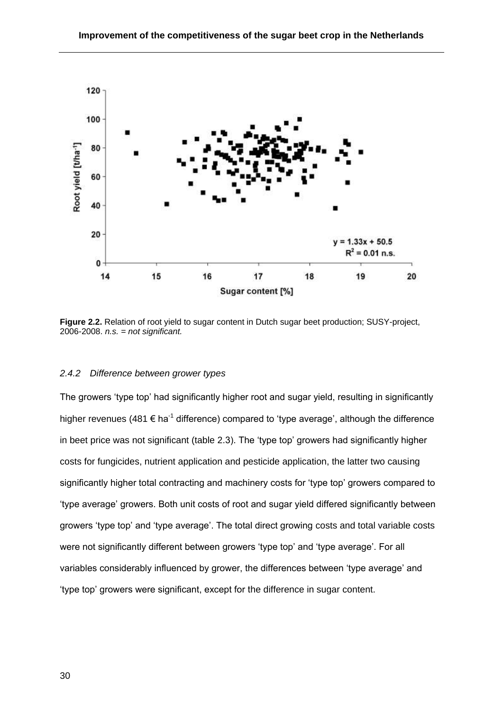

**Figure 2.2.** Relation of root yield to sugar content in Dutch sugar beet production; SUSY-project, 2006-2008. *n.s. = not significant.*

#### <span id="page-29-0"></span>*2.4.2 Difference between grower types*

The growers 'type top' had significantly higher root and sugar yield, resulting in significantly higher revenues (481  $\epsilon$  ha<sup>-1</sup> difference) compared to 'type average', although the difference in beet price was not significant (table 2.3). The 'type top' growers had significantly higher costs for fungicides, nutrient application and pesticide application, the latter two causing significantly higher total contracting and machinery costs for 'type top' growers compared to 'type average' growers. Both unit costs of root and sugar yield differed significantly between growers 'type top' and 'type average'. The total direct growing costs and total variable costs were not significantly different between growers 'type top' and 'type average'. For all variables considerably influenced by grower, the differences between 'type average' and 'type top' growers were significant, except for the difference in sugar content.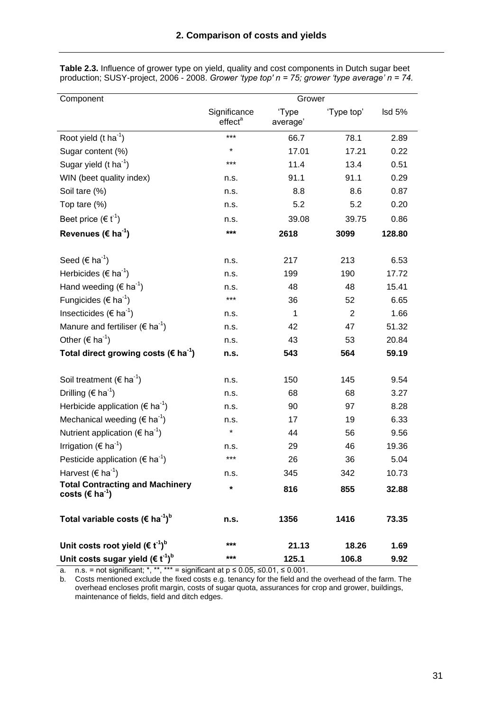| Component                                                                       | Grower                              |                   |                |        |  |  |  |
|---------------------------------------------------------------------------------|-------------------------------------|-------------------|----------------|--------|--|--|--|
|                                                                                 | Significance<br>effect <sup>a</sup> | 'Type<br>average' | 'Type top'     | Isd 5% |  |  |  |
| Root yield $(t \text{ ha}^{-1})$                                                | $***$                               | 66.7              | 78.1           | 2.89   |  |  |  |
| Sugar content (%)                                                               | *                                   | 17.01             | 17.21          | 0.22   |  |  |  |
| Sugar yield $(t \text{ ha}^{-1})$                                               | ***                                 | 11.4              | 13.4           | 0.51   |  |  |  |
| WIN (beet quality index)                                                        | n.s.                                | 91.1              | 91.1           | 0.29   |  |  |  |
| Soil tare (%)                                                                   | n.s.                                | 8.8               | 8.6            | 0.87   |  |  |  |
| Top tare (%)                                                                    | n.s.                                | 5.2               | 5.2            | 0.20   |  |  |  |
| Beet price ( $\in$ t <sup>-1</sup> )                                            | n.s.                                | 39.08             | 39.75          | 0.86   |  |  |  |
| Revenues ( $\epsilon$ ha <sup>-1</sup> )                                        | ***                                 | 2618              | 3099           | 128.80 |  |  |  |
| Seed ( $\in$ ha <sup>-1</sup> )                                                 | n.s.                                | 217               | 213            | 6.53   |  |  |  |
| Herbicides ( $\in$ ha <sup>-1</sup> )                                           | n.s.                                | 199               | 190            | 17.72  |  |  |  |
| Hand weeding ( $\in$ ha <sup>-1</sup> )                                         | n.s.                                | 48                | 48             | 15.41  |  |  |  |
| Fungicides (€ ha <sup>-1</sup> )                                                | $***$                               | 36                | 52             | 6.65   |  |  |  |
| Insecticides ( $\in$ ha <sup>-1</sup> )                                         | n.s.                                | 1                 | $\overline{2}$ | 1.66   |  |  |  |
| Manure and fertiliser ( $\in$ ha <sup>-1</sup> )                                | n.s.                                | 42                | 47             | 51.32  |  |  |  |
| Other ( $\in$ ha <sup>-1</sup> )                                                | n.s.                                | 43                | 53             | 20.84  |  |  |  |
| Total direct growing costs ( $\epsilon$ ha <sup>-1</sup> )                      | n.s.                                | 543               | 564            | 59.19  |  |  |  |
| Soil treatment ( $\in$ ha <sup>-1</sup> )                                       | n.s.                                | 150               | 145            | 9.54   |  |  |  |
| Drilling ( $\in$ ha <sup>-1</sup> )                                             | n.s.                                | 68                | 68             | 3.27   |  |  |  |
| Herbicide application ( $\in$ ha <sup>-1</sup> )                                | n.s.                                | 90                | 97             | 8.28   |  |  |  |
| Mechanical weeding ( $\in$ ha <sup>-1</sup> )                                   | n.s.                                | 17                | 19             | 6.33   |  |  |  |
| Nutrient application ( $\in$ ha <sup>-1</sup> )                                 | $\star$                             | 44                | 56             | 9.56   |  |  |  |
| Irrigation ( $\in$ ha <sup>-1</sup> )                                           | n.s.                                | 29                | 46             | 19.36  |  |  |  |
| Pesticide application ( $\in$ ha <sup>-1</sup> )                                | ***                                 | 26                | 36             | 5.04   |  |  |  |
| Harvest ( $\in$ ha <sup>-1</sup> )                                              | n.s.                                | 345               | 342            | 10.73  |  |  |  |
| <b>Total Contracting and Machinery</b><br>costs ( $\epsilon$ ha <sup>-1</sup> ) | $^\star$                            | 816               | 855            | 32.88  |  |  |  |
| Total variable costs (€ ha <sup>-1</sup> ) <sup>b</sup>                         | n.s.                                | 1356              | 1416           | 73.35  |  |  |  |
| Unit costs root yield ( $\epsilon t^{-1}$ ) <sup>b</sup>                        | ***                                 | 21.13             | 18.26          | 1.69   |  |  |  |
| Unit costs sugar yield ( $\epsilon t^{-1}$ ) <sup>b</sup>                       | $***$                               | 125.1             | 106.8          | 9.92   |  |  |  |

**Table 2.3.** Influence of grower type on yield, quality and cost components in Dutch sugar beet production; SUSY-project, 2006 - 2008. *Grower 'type top' n = 75; grower 'type average' n = 74.*

a. n.s. = not significant; \*, \*\*, \*\*\* = significant at  $p ≤ 0.05$ , ≤0.01, ≤ 0.001.

b. Costs mentioned exclude the fixed costs e.g. tenancy for the field and the overhead of the farm. The overhead encloses profit margin, costs of sugar quota, assurances for crop and grower, buildings, maintenance of fields, field and ditch edges.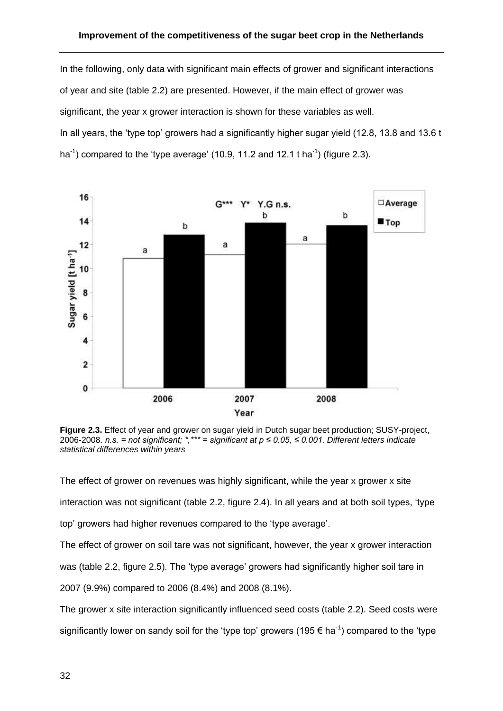In the following, only data with significant main effects of grower and significant interactions of year and site (table 2.2) are presented. However, if the main effect of grower was significant, the year x grower interaction is shown for these variables as well. In all years, the 'type top' growers had a significantly higher sugar yield (12.8, 13.8 and 13.6 t ha<sup>-1</sup>) compared to the 'type average' (10.9, 11.2 and 12.1 t ha<sup>-1</sup>) (figure 2.3).



**Figure 2.3.** Effect of year and grower on sugar yield in Dutch sugar beet production; SUSY-project, 2006-2008. *n.s. = not significant; \*,\*\*\* = significant at p ≤ 0.05, ≤ 0.001. Different letters indicate statistical differences within years* 

The effect of grower on revenues was highly significant, while the year x grower x site interaction was not significant (table 2.2, figure 2.4). In all years and at both soil types, 'type top' growers had higher revenues compared to the 'type average'.

The effect of grower on soil tare was not significant, however, the year x grower interaction

was (table 2.2, figure 2.5). The 'type average' growers had significantly higher soil tare in

2007 (9.9%) compared to 2006 (8.4%) and 2008 (8.1%).

The grower x site interaction significantly influenced seed costs (table 2.2). Seed costs were significantly lower on sandy soil for the 'type top' growers (195  $\epsilon$  ha<sup>-1</sup>) compared to the 'type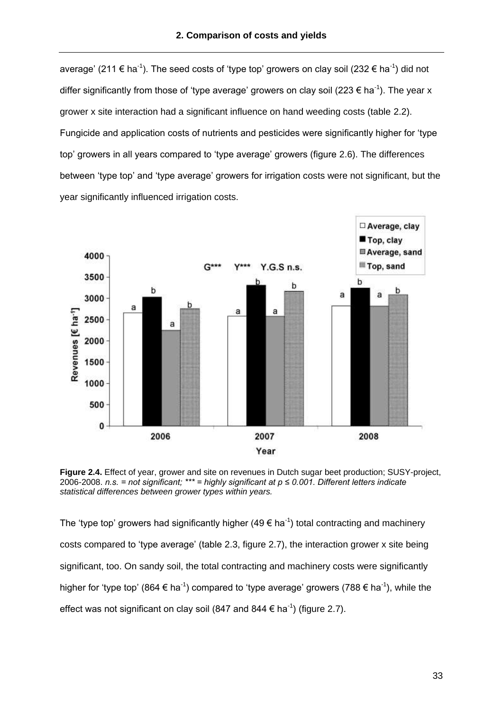average' (211  $\epsilon$  ha<sup>-1</sup>). The seed costs of 'type top' growers on clay soil (232  $\epsilon$  ha<sup>-1</sup>) did not differ significantly from those of 'type average' growers on clay soil (223  $\epsilon$  ha<sup>-1</sup>). The year x grower x site interaction had a significant influence on hand weeding costs (table 2.2). Fungicide and application costs of nutrients and pesticides were significantly higher for 'type top' growers in all years compared to 'type average' growers (figure 2.6). The differences between 'type top' and 'type average' growers for irrigation costs were not significant, but the year significantly influenced irrigation costs.



**Figure 2.4.** Effect of year, grower and site on revenues in Dutch sugar beet production; SUSY-project, 2006-2008. *n.s. = not significant; \*\*\* = highly significant at p ≤ 0.001. Different letters indicate statistical differences between grower types within years.*

The 'type top' growers had significantly higher (49  $\epsilon$  ha<sup>-1</sup>) total contracting and machinery costs compared to 'type average' (table 2.3, figure 2.7), the interaction grower x site being significant, too. On sandy soil, the total contracting and machinery costs were significantly higher for 'type top' (864  $\in$  ha<sup>-1</sup>) compared to 'type average' growers (788  $\in$  ha<sup>-1</sup>), while the effect was not significant on clay soil (847 and 844  $\in$  ha<sup>-1</sup>) (figure 2.7).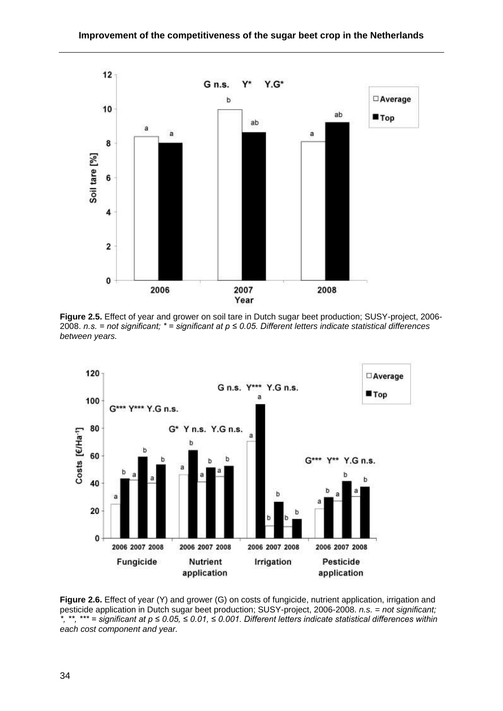

**Figure 2.5.** Effect of year and grower on soil tare in Dutch sugar beet production; SUSY-project, 2006- 2008. *n.s. = not significant; \* = significant at p ≤ 0.05. Different letters indicate statistical differences between years.*



**Figure 2.6.** Effect of year (Y) and grower (G) on costs of fungicide, nutrient application, irrigation and pesticide application in Dutch sugar beet production; SUSY-project, 2006-2008. *n.s. = not significant; \*, \*\*, \*\*\* = significant at p ≤ 0.05, ≤ 0.01, ≤ 0.001. Different letters indicate statistical differences within each cost component and year.*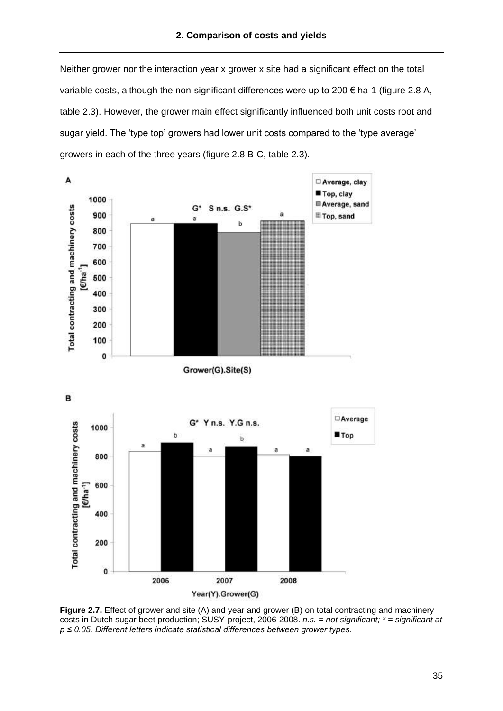Neither grower nor the interaction year x grower x site had a significant effect on the total variable costs, although the non-significant differences were up to 200  $\epsilon$  ha-1 (figure 2.8 A, table 2.3). However, the grower main effect significantly influenced both unit costs root and sugar yield. The 'type top' growers had lower unit costs compared to the 'type average' growers in each of the three years (figure 2.8 B-C, table 2.3).



**Figure 2.7.** Effect of grower and site (A) and year and grower (B) on total contracting and machinery costs in Dutch sugar beet production; SUSY-project, 2006-2008. *n.s. = not significant; \* = significant at p ≤ 0.05. Different letters indicate statistical differences between grower types.*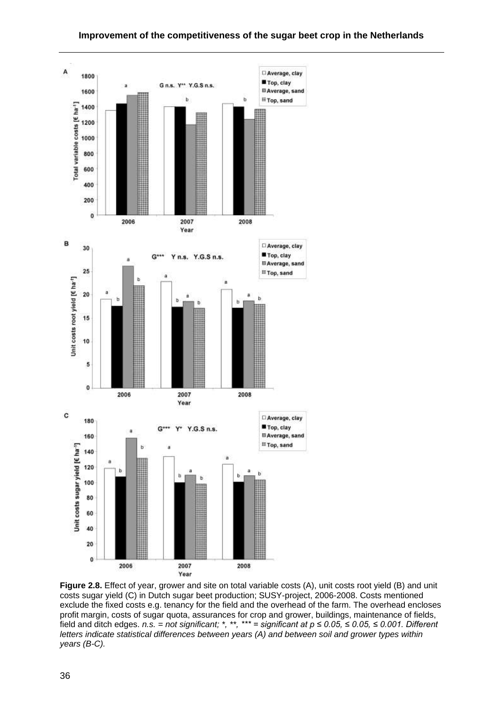

#### **Improvement of the competitiveness of the sugar beet crop in the Netherlands**

**Figure 2.8.** Effect of year, grower and site on total variable costs (A), unit costs root yield (B) and unit costs sugar yield (C) in Dutch sugar beet production; SUSY-project, 2006-2008. Costs mentioned exclude the fixed costs e.g. tenancy for the field and the overhead of the farm. The overhead encloses profit margin, costs of sugar quota, assurances for crop and grower, buildings, maintenance of fields, field and ditch edges. *n.s. = not significant; \*, \*\*, \*\*\* = significant at p ≤ 0.05, ≤ 0.05, ≤ 0.001. Different letters indicate statistical differences between years (A) and between soil and grower types within years (B-C).*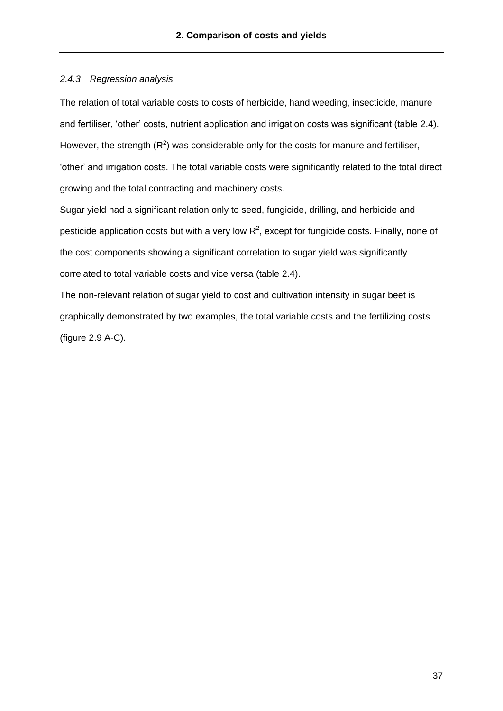# *2.4.3 Regression analysis*

The relation of total variable costs to costs of herbicide, hand weeding, insecticide, manure and fertiliser, 'other' costs, nutrient application and irrigation costs was significant (table 2.4). However, the strength  $(R^2)$  was considerable only for the costs for manure and fertiliser, 'other' and irrigation costs. The total variable costs were significantly related to the total direct growing and the total contracting and machinery costs.

Sugar yield had a significant relation only to seed, fungicide, drilling, and herbicide and pesticide application costs but with a very low  $R^2$ , except for fungicide costs. Finally, none of the cost components showing a significant correlation to sugar yield was significantly correlated to total variable costs and vice versa (table 2.4).

The non-relevant relation of sugar yield to cost and cultivation intensity in sugar beet is graphically demonstrated by two examples, the total variable costs and the fertilizing costs (figure 2.9 A-C).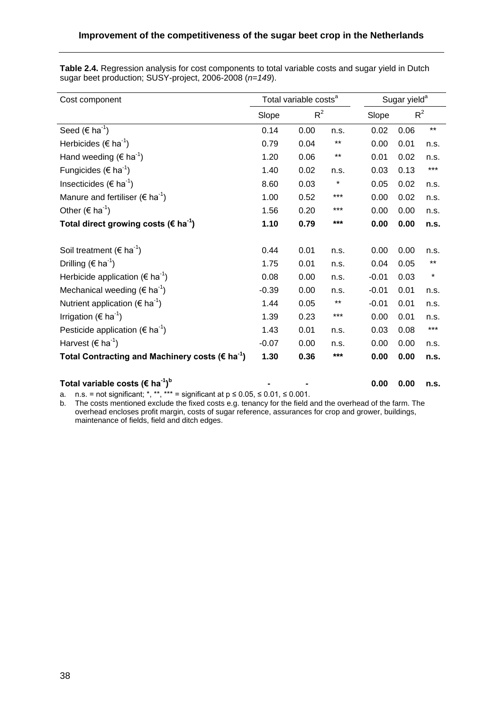| Cost component                                                        |         | Total variable costs <sup>a</sup> |          | Sugar yield <sup>a</sup> |       |         |
|-----------------------------------------------------------------------|---------|-----------------------------------|----------|--------------------------|-------|---------|
|                                                                       | Slope   | $R^2$                             |          | Slope                    | $R^2$ |         |
| Seed ( $\in$ ha <sup>-1</sup> )                                       | 0.14    | 0.00                              | n.s.     | 0.02                     | 0.06  | $***$   |
| Herbicides ( $\in$ ha <sup>-1</sup> )                                 | 0.79    | 0.04                              | $***$    | 0.00                     | 0.01  | n.s.    |
| Hand weeding ( $\in$ ha <sup>-1</sup> )                               | 1.20    | 0.06                              | $***$    | 0.01                     | 0.02  | n.s.    |
| Fungicides ( $\in$ ha <sup>-1</sup> )                                 | 1.40    | 0.02                              | n.s.     | 0.03                     | 0.13  | ***     |
| Insecticides ( $\in$ ha <sup>-1</sup> )                               | 8.60    | 0.03                              | $^\star$ | 0.05                     | 0.02  | n.s.    |
| Manure and fertiliser ( $\epsilon$ ha <sup>-1</sup> )                 | 1.00    | 0.52                              | ***      | 0.00                     | 0.02  | n.s.    |
| Other ( $\in$ ha <sup>-1</sup> )                                      | 1.56    | 0.20                              | ***      | 0.00                     | 0.00  | n.s.    |
| Total direct growing costs ( $\epsilon$ ha <sup>-1</sup> )            | 1.10    | 0.79                              | ***      | 0.00                     | 0.00  | n.s.    |
|                                                                       |         |                                   |          |                          |       |         |
| Soil treatment ( $\in$ ha <sup>-1</sup> )                             | 0.44    | 0.01                              | n.s.     | 0.00                     | 0.00  | n.s.    |
| Drilling ( $\in$ ha <sup>-1</sup> )                                   | 1.75    | 0.01                              | n.s.     | 0.04                     | 0.05  | $***$   |
| Herbicide application ( $\in$ ha <sup>-1</sup> )                      | 0.08    | 0.00                              | n.s.     | $-0.01$                  | 0.03  | $\star$ |
| Mechanical weeding ( $\epsilon$ ha <sup>-1</sup> )                    | $-0.39$ | 0.00                              | n.s.     | $-0.01$                  | 0.01  | n.s.    |
| Nutrient application ( $\epsilon$ ha <sup>-1</sup> )                  | 1.44    | 0.05                              | $***$    | $-0.01$                  | 0.01  | n.s.    |
| Irrigation ( $\in$ ha <sup>-1</sup> )                                 | 1.39    | 0.23                              | $***$    | 0.00                     | 0.01  | n.s.    |
| Pesticide application ( $\in$ ha <sup>-1</sup> )                      | 1.43    | 0.01                              | n.s.     | 0.03                     | 0.08  | ***     |
| Harvest ( $\in$ ha <sup>-1</sup> )                                    | $-0.07$ | 0.00                              | n.s.     | 0.00                     | 0.00  | n.s.    |
| Total Contracting and Machinery costs ( $\epsilon$ ha <sup>-1</sup> ) | 1.30    | 0.36                              | ***      | 0.00                     | 0.00  | n.s.    |

**Table 2.4.** Regression analysis for cost components to total variable costs and sugar yield in Dutch sugar beet production; SUSY-project, 2006-2008 (*n=149*).

## **Total variable costs (€ ha-1 ) b**

a. n.s. = not significant; \*, \*\*, \*\*\* = significant at  $p ≤ 0.05, ≤ 0.01, ≤ 0.001$ .

b. The costs mentioned exclude the fixed costs e.g. tenancy for the field and the overhead of the farm. The overhead encloses profit margin, costs of sugar reference, assurances for crop and grower, buildings, maintenance of fields, field and ditch edges.

**- - 0.00 0.00 n.s.**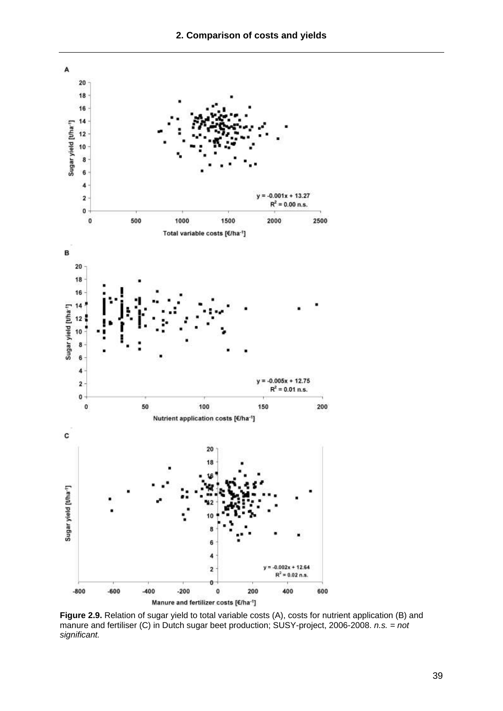

**Figure 2.9.** Relation of sugar yield to total variable costs (A), costs for nutrient application (B) and manure and fertiliser (C) in Dutch sugar beet production; SUSY-project, 2006-2008. *n.s. = not significant.*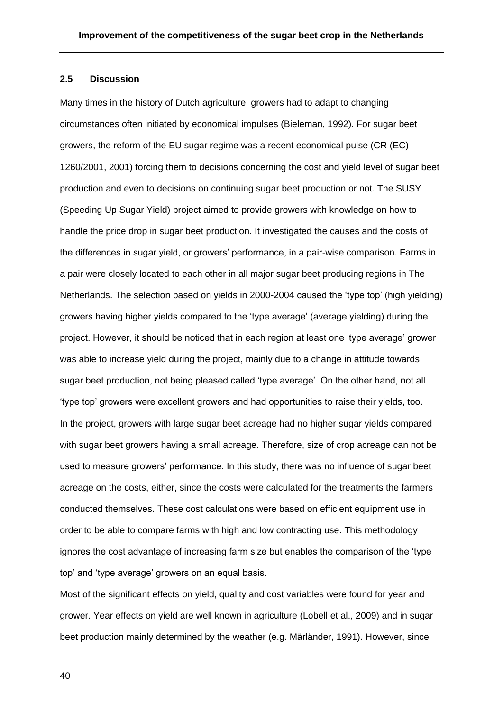## **2.5 Discussion**

Many times in the history of Dutch agriculture, growers had to adapt to changing circumstances often initiated by economical impulses (Bieleman, 1992). For sugar beet growers, the reform of the EU sugar regime was a recent economical pulse (CR (EC) 1260/2001, 2001) forcing them to decisions concerning the cost and yield level of sugar beet production and even to decisions on continuing sugar beet production or not. The SUSY (Speeding Up Sugar Yield) project aimed to provide growers with knowledge on how to handle the price drop in sugar beet production. It investigated the causes and the costs of the differences in sugar yield, or growers' performance, in a pair-wise comparison. Farms in a pair were closely located to each other in all major sugar beet producing regions in The Netherlands. The selection based on yields in 2000-2004 caused the 'type top' (high yielding) growers having higher yields compared to the 'type average' (average yielding) during the project. However, it should be noticed that in each region at least one 'type average' grower was able to increase yield during the project, mainly due to a change in attitude towards sugar beet production, not being pleased called 'type average'. On the other hand, not all 'type top' growers were excellent growers and had opportunities to raise their yields, too. In the project, growers with large sugar beet acreage had no higher sugar yields compared with sugar beet growers having a small acreage. Therefore, size of crop acreage can not be used to measure growers' performance. In this study, there was no influence of sugar beet acreage on the costs, either, since the costs were calculated for the treatments the farmers conducted themselves. These cost calculations were based on efficient equipment use in order to be able to compare farms with high and low contracting use. This methodology ignores the cost advantage of increasing farm size but enables the comparison of the 'type top' and 'type average' growers on an equal basis.

Most of the significant effects on yield, quality and cost variables were found for year and grower. Year effects on yield are well known in agriculture (Lobell et al., 2009) and in sugar beet production mainly determined by the weather (e.g. Märländer, 1991). However, since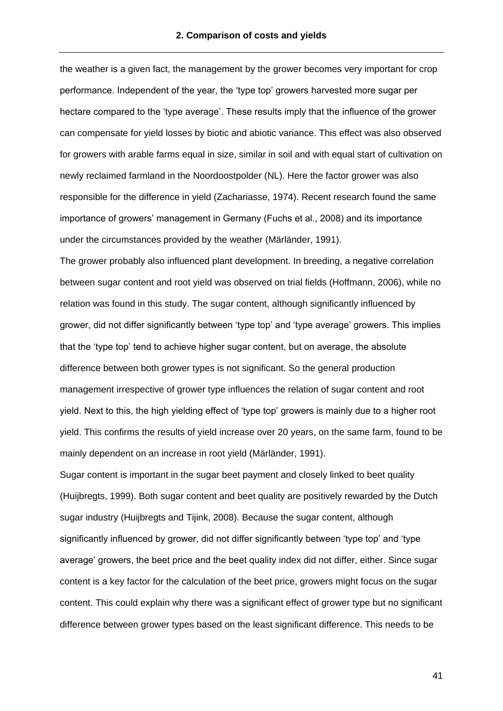the weather is a given fact, the management by the grower becomes very important for crop performance. Independent of the year, the 'type top' growers harvested more sugar per hectare compared to the 'type average'. These results imply that the influence of the grower can compensate for yield losses by biotic and abiotic variance. This effect was also observed for growers with arable farms equal in size, similar in soil and with equal start of cultivation on newly reclaimed farmland in the Noordoostpolder (NL). Here the factor grower was also responsible for the difference in yield (Zachariasse, 1974). Recent research found the same importance of growers' management in Germany (Fuchs et al., 2008) and its importance under the circumstances provided by the weather (Märländer, 1991).

The grower probably also influenced plant development. In breeding, a negative correlation between sugar content and root yield was observed on trial fields (Hoffmann, 2006), while no relation was found in this study. The sugar content, although significantly influenced by grower, did not differ significantly between 'type top' and 'type average' growers. This implies that the 'type top' tend to achieve higher sugar content, but on average, the absolute difference between both grower types is not significant. So the general production management irrespective of grower type influences the relation of sugar content and root yield. Next to this, the high yielding effect of 'type top' growers is mainly due to a higher root yield. This confirms the results of yield increase over 20 years, on the same farm, found to be mainly dependent on an increase in root yield (Märländer, 1991).

Sugar content is important in the sugar beet payment and closely linked to beet quality (Huijbregts, 1999). Both sugar content and beet quality are positively rewarded by the Dutch sugar industry (Huijbregts and Tijink, 2008). Because the sugar content, although significantly influenced by grower, did not differ significantly between 'type top' and 'type average' growers, the beet price and the beet quality index did not differ, either. Since sugar content is a key factor for the calculation of the beet price, growers might focus on the sugar content. This could explain why there was a significant effect of grower type but no significant difference between grower types based on the least significant difference. This needs to be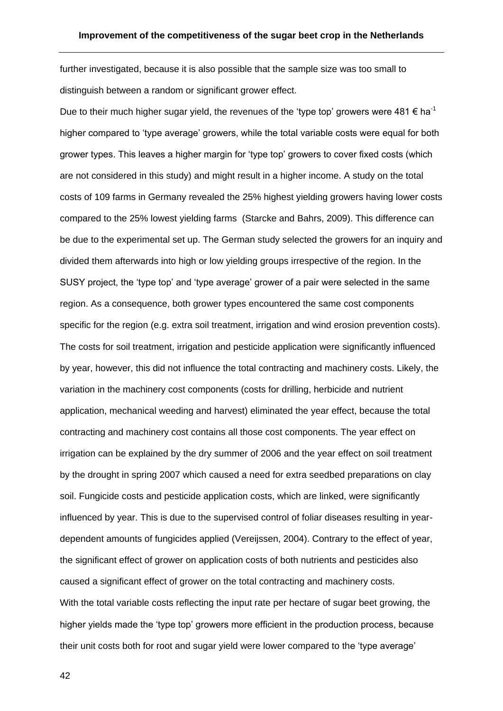further investigated, because it is also possible that the sample size was too small to distinguish between a random or significant grower effect.

Due to their much higher sugar yield, the revenues of the 'type top' growers were 481  $\epsilon$  ha<sup>-1</sup> higher compared to 'type average' growers, while the total variable costs were equal for both grower types. This leaves a higher margin for 'type top' growers to cover fixed costs (which are not considered in this study) and might result in a higher income. A study on the total costs of 109 farms in Germany revealed the 25% highest yielding growers having lower costs compared to the 25% lowest yielding farms (Starcke and Bahrs, 2009). This difference can be due to the experimental set up. The German study selected the growers for an inquiry and divided them afterwards into high or low yielding groups irrespective of the region. In the SUSY project, the 'type top' and 'type average' grower of a pair were selected in the same region. As a consequence, both grower types encountered the same cost components specific for the region (e.g. extra soil treatment, irrigation and wind erosion prevention costs). The costs for soil treatment, irrigation and pesticide application were significantly influenced by year, however, this did not influence the total contracting and machinery costs. Likely, the variation in the machinery cost components (costs for drilling, herbicide and nutrient application, mechanical weeding and harvest) eliminated the year effect, because the total contracting and machinery cost contains all those cost components. The year effect on irrigation can be explained by the dry summer of 2006 and the year effect on soil treatment by the drought in spring 2007 which caused a need for extra seedbed preparations on clay soil. Fungicide costs and pesticide application costs, which are linked, were significantly influenced by year. This is due to the supervised control of foliar diseases resulting in yeardependent amounts of fungicides applied (Vereijssen, 2004). Contrary to the effect of year, the significant effect of grower on application costs of both nutrients and pesticides also caused a significant effect of grower on the total contracting and machinery costs. With the total variable costs reflecting the input rate per hectare of sugar beet growing, the higher yields made the 'type top' growers more efficient in the production process, because their unit costs both for root and sugar yield were lower compared to the 'type average'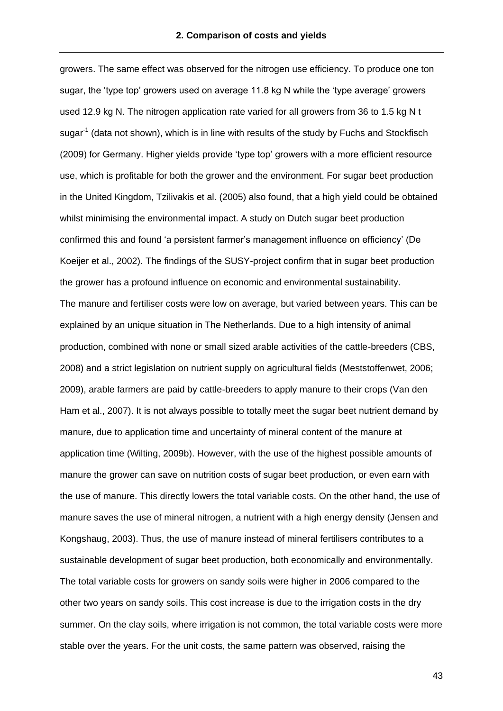growers. The same effect was observed for the nitrogen use efficiency. To produce one ton sugar, the 'type top' growers used on average 11.8 kg N while the 'type average' growers used 12.9 kg N. The nitrogen application rate varied for all growers from 36 to 1.5 kg N t sugar<sup>-1</sup> (data not shown), which is in line with results of the study by Fuchs and Stockfisch (2009) for Germany. Higher yields provide 'type top' growers with a more efficient resource use, which is profitable for both the grower and the environment. For sugar beet production in the United Kingdom, Tzilivakis et al. (2005) also found, that a high yield could be obtained whilst minimising the environmental impact. A study on Dutch sugar beet production confirmed this and found 'a persistent farmer's management influence on efficiency' (De Koeijer et al., 2002). The findings of the SUSY-project confirm that in sugar beet production the grower has a profound influence on economic and environmental sustainability. The manure and fertiliser costs were low on average, but varied between years. This can be explained by an unique situation in The Netherlands. Due to a high intensity of animal production, combined with none or small sized arable activities of the cattle-breeders (CBS, 2008) and a strict legislation on nutrient supply on agricultural fields (Meststoffenwet, 2006; 2009), arable farmers are paid by cattle-breeders to apply manure to their crops (Van den Ham et al., 2007). It is not always possible to totally meet the sugar beet nutrient demand by manure, due to application time and uncertainty of mineral content of the manure at application time (Wilting, 2009b). However, with the use of the highest possible amounts of manure the grower can save on nutrition costs of sugar beet production, or even earn with the use of manure. This directly lowers the total variable costs. On the other hand, the use of manure saves the use of mineral nitrogen, a nutrient with a high energy density (Jensen and Kongshaug, 2003). Thus, the use of manure instead of mineral fertilisers contributes to a sustainable development of sugar beet production, both economically and environmentally. The total variable costs for growers on sandy soils were higher in 2006 compared to the other two years on sandy soils. This cost increase is due to the irrigation costs in the dry summer. On the clay soils, where irrigation is not common, the total variable costs were more stable over the years. For the unit costs, the same pattern was observed, raising the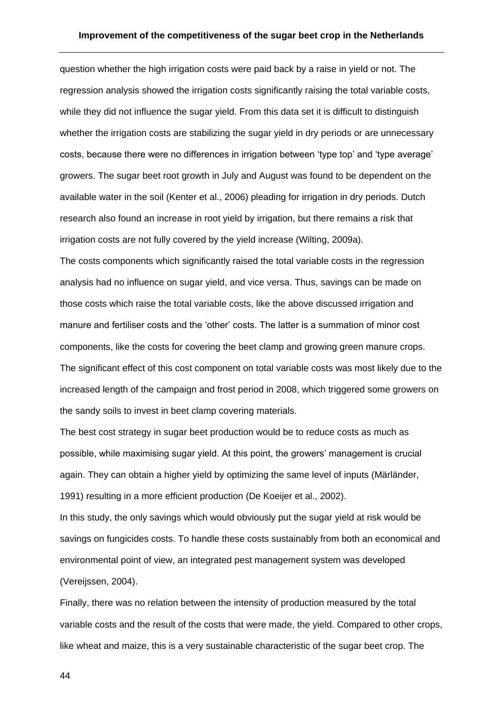#### **Improvement of the competitiveness of the sugar beet crop in the Netherlands**

question whether the high irrigation costs were paid back by a raise in yield or not. The regression analysis showed the irrigation costs significantly raising the total variable costs, while they did not influence the sugar yield. From this data set it is difficult to distinguish whether the irrigation costs are stabilizing the sugar yield in dry periods or are unnecessary costs, because there were no differences in irrigation between 'type top' and 'type average' growers. The sugar beet root growth in July and August was found to be dependent on the available water in the soil (Kenter et al., 2006) pleading for irrigation in dry periods. Dutch research also found an increase in root yield by irrigation, but there remains a risk that irrigation costs are not fully covered by the yield increase (Wilting, 2009a).

The costs components which significantly raised the total variable costs in the regression analysis had no influence on sugar yield, and vice versa. Thus, savings can be made on those costs which raise the total variable costs, like the above discussed irrigation and manure and fertiliser costs and the 'other' costs. The latter is a summation of minor cost components, like the costs for covering the beet clamp and growing green manure crops. The significant effect of this cost component on total variable costs was most likely due to the increased length of the campaign and frost period in 2008, which triggered some growers on the sandy soils to invest in beet clamp covering materials.

The best cost strategy in sugar beet production would be to reduce costs as much as possible, while maximising sugar yield. At this point, the growers' management is crucial again. They can obtain a higher yield by optimizing the same level of inputs (Märländer, 1991) resulting in a more efficient production (De Koeijer et al., 2002).

In this study, the only savings which would obviously put the sugar yield at risk would be savings on fungicides costs. To handle these costs sustainably from both an economical and environmental point of view, an integrated pest management system was developed (Vereijssen, 2004).

Finally, there was no relation between the intensity of production measured by the total variable costs and the result of the costs that were made, the yield. Compared to other crops, like wheat and maize, this is a very sustainable characteristic of the sugar beet crop. The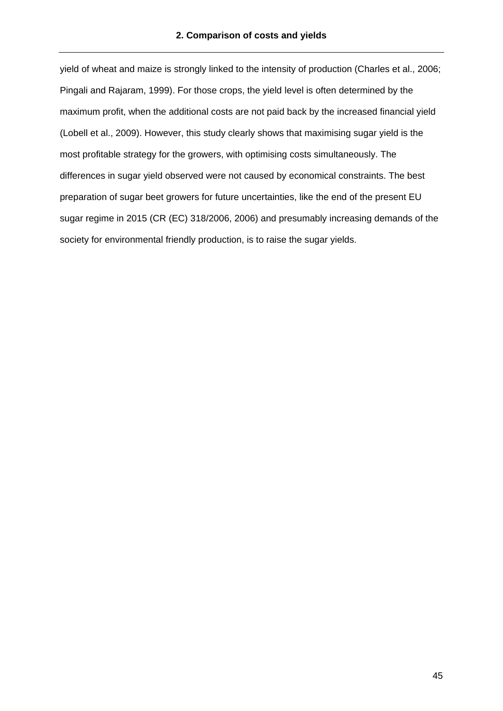yield of wheat and maize is strongly linked to the intensity of production (Charles et al., 2006; Pingali and Rajaram, 1999). For those crops, the yield level is often determined by the maximum profit, when the additional costs are not paid back by the increased financial yield (Lobell et al., 2009). However, this study clearly shows that maximising sugar yield is the most profitable strategy for the growers, with optimising costs simultaneously. The differences in sugar yield observed were not caused by economical constraints. The best preparation of sugar beet growers for future uncertainties, like the end of the present EU sugar regime in 2015 (CR (EC) 318/2006, 2006) and presumably increasing demands of the society for environmental friendly production, is to raise the sugar yields.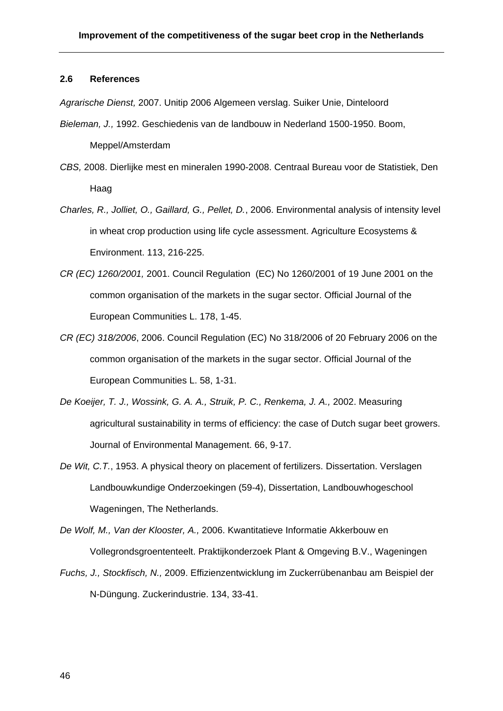#### **2.6 References**

*Agrarische Dienst,* 2007. Unitip 2006 Algemeen verslag. Suiker Unie, Dinteloord

- *Bieleman, J.,* 1992. Geschiedenis van de landbouw in Nederland 1500-1950. Boom, Meppel/Amsterdam
- *CBS,* 2008. Dierlijke mest en mineralen 1990-2008. Centraal Bureau voor de Statistiek, Den Haag
- *Charles, R., Jolliet, O., Gaillard, G., Pellet, D.*, 2006. Environmental analysis of intensity level in wheat crop production using life cycle assessment. Agriculture Ecosystems & Environment. 113, 216-225.
- *CR (EC) 1260/2001,* 2001. Council Regulation (EC) No 1260/2001 of 19 June 2001 on the common organisation of the markets in the sugar sector. Official Journal of the European Communities L. 178, 1-45.
- *CR (EC) 318/2006*, 2006. Council Regulation (EC) No 318/2006 of 20 February 2006 on the common organisation of the markets in the sugar sector. Official Journal of the European Communities L. 58, 1-31.
- *De Koeijer, T. J., Wossink, G. A. A., Struik, P. C., Renkema, J. A.,* 2002. Measuring agricultural sustainability in terms of efficiency: the case of Dutch sugar beet growers. Journal of Environmental Management. 66, 9-17.
- *De Wit, C.T.*, 1953. A physical theory on placement of fertilizers. Dissertation. Verslagen Landbouwkundige Onderzoekingen (59-4), Dissertation, Landbouwhogeschool Wageningen, The Netherlands.
- *De Wolf, M., Van der Klooster, A.,* 2006. Kwantitatieve Informatie Akkerbouw en Vollegrondsgroententeelt. Praktijkonderzoek Plant & Omgeving B.V., Wageningen
- *Fuchs, J., Stockfisch, N.,* 2009. Effizienzentwicklung im Zuckerrübenanbau am Beispiel der N-Düngung. Zuckerindustrie. 134, 33-41.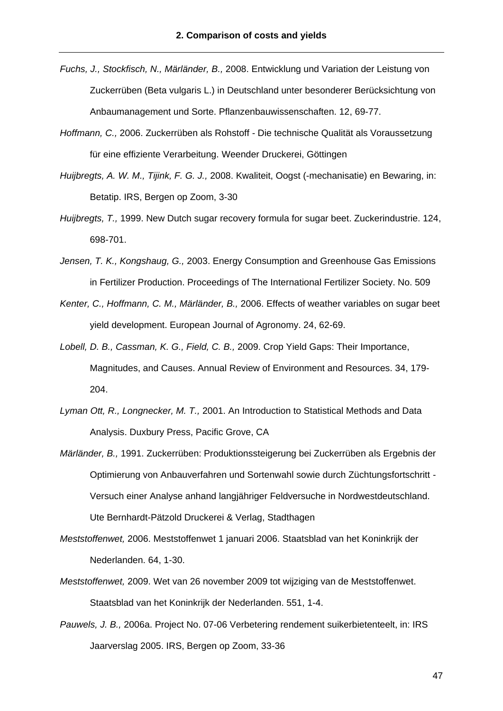- *Fuchs, J., Stockfisch, N., Märländer, B.,* 2008. Entwicklung und Variation der Leistung von Zuckerrüben (Beta vulgaris L.) in Deutschland unter besonderer Berücksichtung von Anbaumanagement und Sorte. Pflanzenbauwissenschaften. 12, 69-77.
- *Hoffmann, C.,* 2006. Zuckerrüben als Rohstoff Die technische Qualität als Voraussetzung für eine effiziente Verarbeitung. Weender Druckerei, Göttingen
- *Huijbregts, A. W. M., Tijink, F. G. J.,* 2008. Kwaliteit, Oogst (-mechanisatie) en Bewaring, in: Betatip. IRS, Bergen op Zoom, 3-30
- *Huijbregts, T.,* 1999. New Dutch sugar recovery formula for sugar beet. Zuckerindustrie. 124, 698-701.
- *Jensen, T. K., Kongshaug, G.,* 2003. Energy Consumption and Greenhouse Gas Emissions in Fertilizer Production. Proceedings of The International Fertilizer Society. No. 509
- *Kenter, C., Hoffmann, C. M., Märländer, B.,* 2006. Effects of weather variables on sugar beet yield development. European Journal of Agronomy. 24, 62-69.
- *Lobell, D. B., Cassman, K. G., Field, C. B.,* 2009. Crop Yield Gaps: Their Importance, Magnitudes, and Causes. Annual Review of Environment and Resources. 34, 179- 204.
- *Lyman Ott, R., Longnecker, M. T.,* 2001. An Introduction to Statistical Methods and Data Analysis. Duxbury Press, Pacific Grove, CA
- *Märländer, B.,* 1991. Zuckerrüben: Produktionssteigerung bei Zuckerrüben als Ergebnis der Optimierung von Anbauverfahren und Sortenwahl sowie durch Züchtungsfortschritt - Versuch einer Analyse anhand langjähriger Feldversuche in Nordwestdeutschland. Ute Bernhardt-Pätzold Druckerei & Verlag, Stadthagen
- *Meststoffenwet,* 2006. Meststoffenwet 1 januari 2006. Staatsblad van het Koninkrijk der Nederlanden. 64, 1-30.
- *Meststoffenwet,* 2009. Wet van 26 november 2009 tot wijziging van de Meststoffenwet. Staatsblad van het Koninkrijk der Nederlanden. 551, 1-4.
- *Pauwels, J. B.,* 2006a. Project No. 07-06 Verbetering rendement suikerbietenteelt, in: IRS Jaarverslag 2005. IRS, Bergen op Zoom, 33-36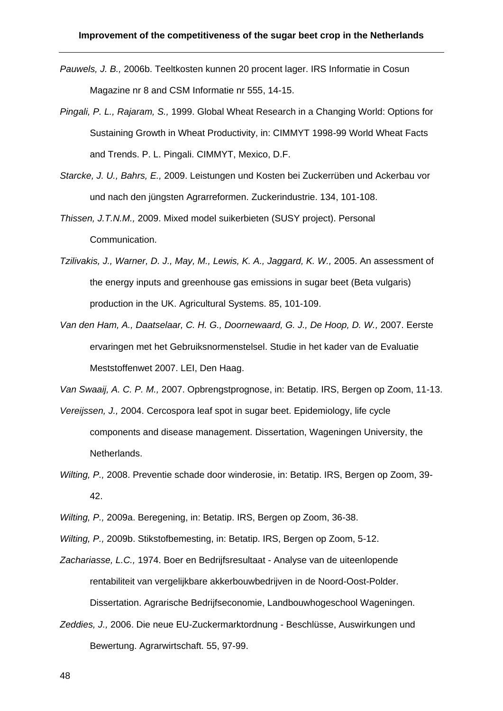- *Pauwels, J. B.,* 2006b. Teeltkosten kunnen 20 procent lager. IRS Informatie in Cosun Magazine nr 8 and CSM Informatie nr 555, 14-15.
- *Pingali, P. L., Rajaram, S.,* 1999. Global Wheat Research in a Changing World: Options for Sustaining Growth in Wheat Productivity, in: CIMMYT 1998-99 World Wheat Facts and Trends. P. L. Pingali. CIMMYT, Mexico, D.F.
- *Starcke, J. U., Bahrs, E.,* 2009. Leistungen und Kosten bei Zuckerrüben und Ackerbau vor und nach den jüngsten Agrarreformen. Zuckerindustrie. 134, 101-108.
- *Thissen, J.T.N.M.,* 2009. Mixed model suikerbieten (SUSY project). Personal Communication.
- *Tzilivakis, J., Warner, D. J., May, M., Lewis, K. A., Jaggard, K. W.,* 2005. An assessment of the energy inputs and greenhouse gas emissions in sugar beet (Beta vulgaris) production in the UK. Agricultural Systems. 85, 101-109.
- *Van den Ham, A., Daatselaar, C. H. G., Doornewaard, G. J., De Hoop, D. W.,* 2007. Eerste ervaringen met het Gebruiksnormenstelsel. Studie in het kader van de Evaluatie Meststoffenwet 2007. LEI, Den Haag.

*Van Swaaij, A. C. P. M.,* 2007. Opbrengstprognose, in: Betatip. IRS, Bergen op Zoom, 11-13.

- *Vereijssen, J.,* 2004. Cercospora leaf spot in sugar beet. Epidemiology, life cycle components and disease management. Dissertation, Wageningen University, the Netherlands.
- *Wilting, P.,* 2008. Preventie schade door winderosie, in: Betatip. IRS, Bergen op Zoom, 39- 42.
- *Wilting, P.,* 2009a. Beregening, in: Betatip. IRS, Bergen op Zoom, 36-38.
- *Wilting, P.,* 2009b. Stikstofbemesting, in: Betatip. IRS, Bergen op Zoom, 5-12.
- *Zachariasse, L.C.,* 1974. Boer en Bedrijfsresultaat Analyse van de uiteenlopende rentabiliteit van vergelijkbare akkerbouwbedrijven in de Noord-Oost-Polder. Dissertation. Agrarische Bedrijfseconomie, Landbouwhogeschool Wageningen.
- *Zeddies, J.,* 2006. Die neue EU-Zuckermarktordnung Beschlüsse, Auswirkungen und Bewertung. Agrarwirtschaft. 55, 97-99.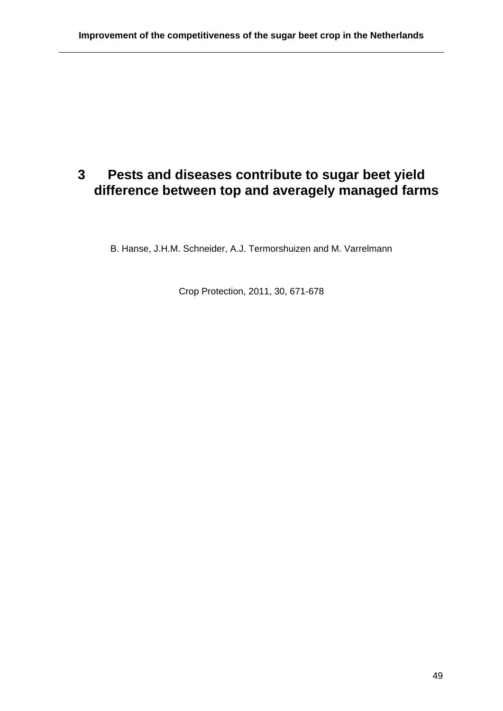# **3 Pests and diseases contribute to sugar beet yield difference between top and averagely managed farms**

B. Hanse, J.H.M. Schneider, A.J. Termorshuizen and M. Varrelmann

Crop Protection, 2011, 30, 671-678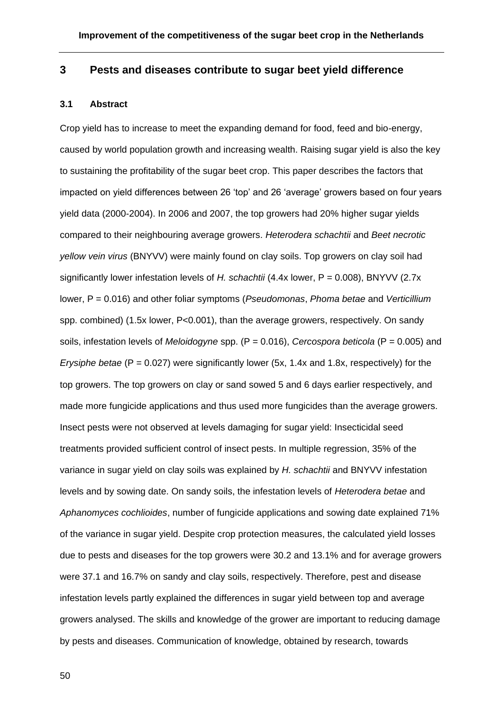# **3 Pests and diseases contribute to sugar beet yield difference**

#### **3.1 Abstract**

Crop yield has to increase to meet the expanding demand for food, feed and bio-energy, caused by world population growth and increasing wealth. Raising sugar yield is also the key to sustaining the profitability of the sugar beet crop. This paper describes the factors that impacted on yield differences between 26 'top' and 26 'average' growers based on four years yield data (2000-2004). In 2006 and 2007, the top growers had 20% higher sugar yields compared to their neighbouring average growers. *Heterodera schachtii* and *Beet necrotic yellow vein virus* (BNYVV) were mainly found on clay soils. Top growers on clay soil had significantly lower infestation levels of *H. schachtii* (4.4x lower, P = 0.008), BNYVV (2.7x lower, P = 0.016) and other foliar symptoms (*Pseudomonas*, *Phoma betae* and *Verticillium* spp. combined) (1.5x lower, P<0.001), than the average growers, respectively. On sandy soils, infestation levels of *Meloidogyne* spp. (P = 0.016), *Cercospora beticola* (P = 0.005) and *Erysiphe betae* (P = 0.027) were significantly lower (5x, 1.4x and 1.8x, respectively) for the top growers. The top growers on clay or sand sowed 5 and 6 days earlier respectively, and made more fungicide applications and thus used more fungicides than the average growers. Insect pests were not observed at levels damaging for sugar yield: Insecticidal seed treatments provided sufficient control of insect pests. In multiple regression, 35% of the variance in sugar yield on clay soils was explained by *H. schachtii* and BNYVV infestation levels and by sowing date. On sandy soils, the infestation levels of *Heterodera betae* and *Aphanomyces cochlioides*, number of fungicide applications and sowing date explained 71% of the variance in sugar yield. Despite crop protection measures, the calculated yield losses due to pests and diseases for the top growers were 30.2 and 13.1% and for average growers were 37.1 and 16.7% on sandy and clay soils, respectively. Therefore, pest and disease infestation levels partly explained the differences in sugar yield between top and average growers analysed. The skills and knowledge of the grower are important to reducing damage by pests and diseases. Communication of knowledge, obtained by research, towards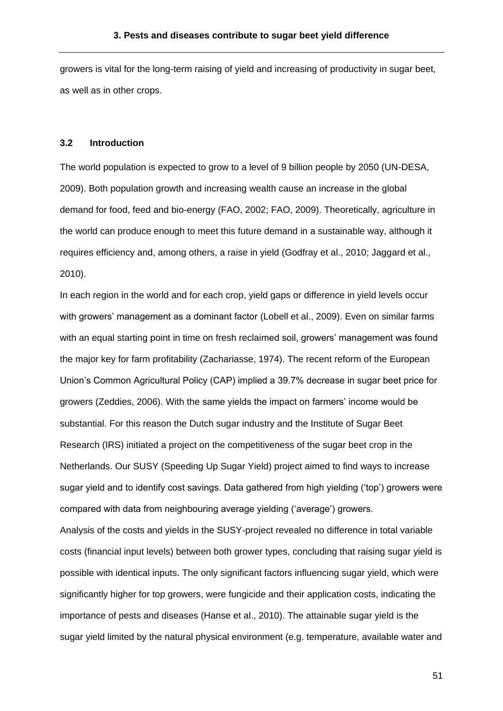growers is vital for the long-term raising of yield and increasing of productivity in sugar beet, as well as in other crops.

## **3.2 Introduction**

The world population is expected to grow to a level of 9 billion people by 2050 (UN-DESA, 2009). Both population growth and increasing wealth cause an increase in the global demand for food, feed and bio-energy (FAO, 2002; FAO, 2009). Theoretically, agriculture in the world can produce enough to meet this future demand in a sustainable way, although it requires efficiency and, among others, a raise in yield (Godfray et al., 2010; Jaggard et al., 2010).

In each region in the world and for each crop, yield gaps or difference in yield levels occur with growers' management as a dominant factor (Lobell et al., 2009). Even on similar farms with an equal starting point in time on fresh reclaimed soil, growers' management was found the major key for farm profitability (Zachariasse, 1974). The recent reform of the European Union's Common Agricultural Policy (CAP) implied a 39.7% decrease in sugar beet price for growers (Zeddies, 2006). With the same yields the impact on farmers' income would be substantial. For this reason the Dutch sugar industry and the Institute of Sugar Beet Research (IRS) initiated a project on the competitiveness of the sugar beet crop in the Netherlands. Our SUSY (Speeding Up Sugar Yield) project aimed to find ways to increase sugar yield and to identify cost savings. Data gathered from high yielding ('top') growers were compared with data from neighbouring average yielding ('average') growers.

Analysis of the costs and yields in the SUSY-project revealed no difference in total variable costs (financial input levels) between both grower types, concluding that raising sugar yield is possible with identical inputs. The only significant factors influencing sugar yield, which were significantly higher for top growers, were fungicide and their application costs, indicating the importance of pests and diseases (Hanse et al., 2010). The attainable sugar yield is the sugar yield limited by the natural physical environment (e.g. temperature, available water and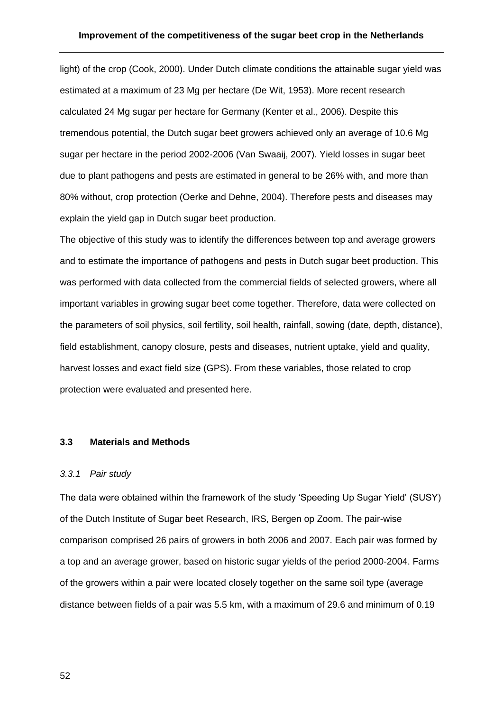light) of the crop (Cook, 2000). Under Dutch climate conditions the attainable sugar yield was estimated at a maximum of 23 Mg per hectare (De Wit, 1953). More recent research calculated 24 Mg sugar per hectare for Germany (Kenter et al., 2006). Despite this tremendous potential, the Dutch sugar beet growers achieved only an average of 10.6 Mg sugar per hectare in the period 2002-2006 (Van Swaaij, 2007). Yield losses in sugar beet due to plant pathogens and pests are estimated in general to be 26% with, and more than 80% without, crop protection (Oerke and Dehne, 2004). Therefore pests and diseases may explain the yield gap in Dutch sugar beet production.

The objective of this study was to identify the differences between top and average growers and to estimate the importance of pathogens and pests in Dutch sugar beet production. This was performed with data collected from the commercial fields of selected growers, where all important variables in growing sugar beet come together. Therefore, data were collected on the parameters of soil physics, soil fertility, soil health, rainfall, sowing (date, depth, distance), field establishment, canopy closure, pests and diseases, nutrient uptake, yield and quality, harvest losses and exact field size (GPS). From these variables, those related to crop protection were evaluated and presented here.

### **3.3 Materials and Methods**

#### *3.3.1 Pair study*

The data were obtained within the framework of the study 'Speeding Up Sugar Yield' (SUSY) of the Dutch Institute of Sugar beet Research, IRS, Bergen op Zoom. The pair-wise comparison comprised 26 pairs of growers in both 2006 and 2007. Each pair was formed by a top and an average grower, based on historic sugar yields of the period 2000-2004. Farms of the growers within a pair were located closely together on the same soil type (average distance between fields of a pair was 5.5 km, with a maximum of 29.6 and minimum of 0.19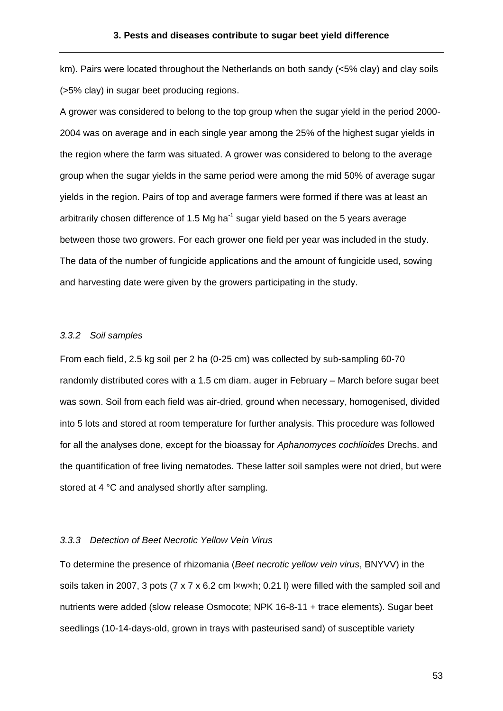km). Pairs were located throughout the Netherlands on both sandy (<5% clay) and clay soils (>5% clay) in sugar beet producing regions.

A grower was considered to belong to the top group when the sugar yield in the period 2000- 2004 was on average and in each single year among the 25% of the highest sugar yields in the region where the farm was situated. A grower was considered to belong to the average group when the sugar yields in the same period were among the mid 50% of average sugar yields in the region. Pairs of top and average farmers were formed if there was at least an arbitrarily chosen difference of 1.5 Mg ha<sup>-1</sup> sugar yield based on the 5 years average between those two growers. For each grower one field per year was included in the study. The data of the number of fungicide applications and the amount of fungicide used, sowing and harvesting date were given by the growers participating in the study.

#### *3.3.2 Soil samples*

From each field, 2.5 kg soil per 2 ha (0-25 cm) was collected by sub-sampling 60-70 randomly distributed cores with a 1.5 cm diam. auger in February – March before sugar beet was sown. Soil from each field was air-dried, ground when necessary, homogenised, divided into 5 lots and stored at room temperature for further analysis. This procedure was followed for all the analyses done, except for the bioassay for *Aphanomyces cochlioides* Drechs. and the quantification of free living nematodes. These latter soil samples were not dried, but were stored at 4 °C and analysed shortly after sampling.

#### *3.3.3 Detection of Beet Necrotic Yellow Vein Virus*

To determine the presence of rhizomania (*Beet necrotic yellow vein virus*, BNYVV) in the soils taken in 2007, 3 pots (7 x 7 x 6.2 cm l×w×h; 0.21 l) were filled with the sampled soil and nutrients were added (slow release Osmocote; NPK 16-8-11 + trace elements). Sugar beet seedlings (10-14-days-old, grown in trays with pasteurised sand) of susceptible variety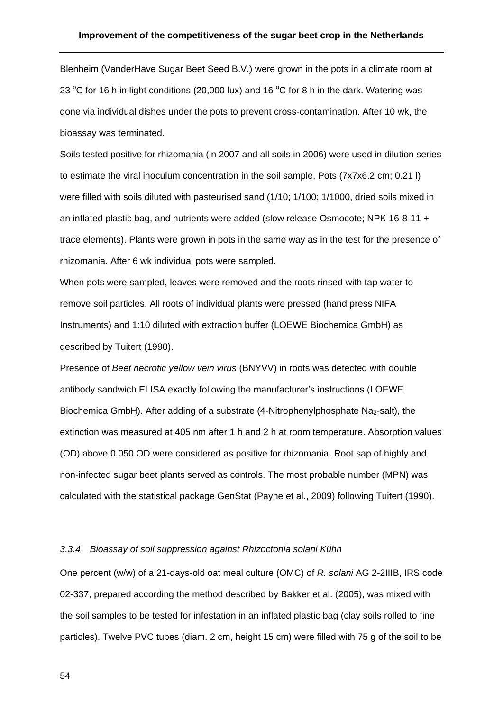Blenheim (VanderHave Sugar Beet Seed B.V.) were grown in the pots in a climate room at 23 °C for 16 h in light conditions (20,000 lux) and 16 °C for 8 h in the dark. Watering was done via individual dishes under the pots to prevent cross-contamination. After 10 wk, the bioassay was terminated.

Soils tested positive for rhizomania (in 2007 and all soils in 2006) were used in dilution series to estimate the viral inoculum concentration in the soil sample. Pots (7x7x6.2 cm; 0.21 l) were filled with soils diluted with pasteurised sand (1/10; 1/100; 1/1000, dried soils mixed in an inflated plastic bag, and nutrients were added (slow release Osmocote; NPK 16-8-11 + trace elements). Plants were grown in pots in the same way as in the test for the presence of rhizomania. After 6 wk individual pots were sampled.

When pots were sampled, leaves were removed and the roots rinsed with tap water to remove soil particles. All roots of individual plants were pressed (hand press NIFA Instruments) and 1:10 diluted with extraction buffer (LOEWE Biochemica GmbH) as described by Tuitert (1990).

Presence of *Beet necrotic yellow vein virus* (BNYVV) in roots was detected with double antibody sandwich ELISA exactly following the manufacturer's instructions (LOEWE Biochemica GmbH). After adding of a substrate (4-Nitrophenylphosphate  $Na<sub>2</sub>$ -salt), the extinction was measured at 405 nm after 1 h and 2 h at room temperature. Absorption values (OD) above 0.050 OD were considered as positive for rhizomania. Root sap of highly and non-infected sugar beet plants served as controls. The most probable number (MPN) was calculated with the statistical package GenStat (Payne et al., 2009) following Tuitert (1990).

#### *3.3.4 Bioassay of soil suppression against Rhizoctonia solani Kühn*

One percent (w/w) of a 21-days-old oat meal culture (OMC) of *R. solani* AG 2-2IIIB, IRS code 02-337, prepared according the method described by Bakker et al. (2005), was mixed with the soil samples to be tested for infestation in an inflated plastic bag (clay soils rolled to fine particles). Twelve PVC tubes (diam. 2 cm, height 15 cm) were filled with 75 g of the soil to be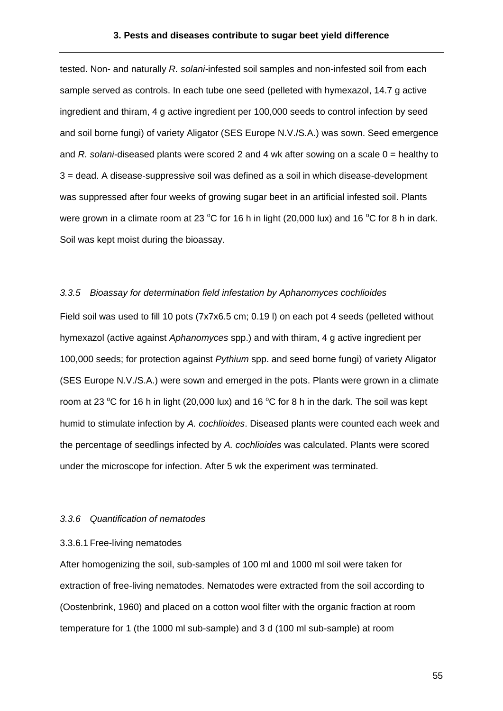## **3. Pests and diseases contribute to sugar beet yield difference**

tested. Non- and naturally *R. solani-*infested soil samples and non-infested soil from each sample served as controls. In each tube one seed (pelleted with hymexazol, 14.7 g active ingredient and thiram, 4 g active ingredient per 100,000 seeds to control infection by seed and soil borne fungi) of variety Aligator (SES Europe N.V./S.A.) was sown. Seed emergence and *R. solani-*diseased plants were scored 2 and 4 wk after sowing on a scale 0 = healthy to 3 = dead. A disease-suppressive soil was defined as a soil in which disease-development was suppressed after four weeks of growing sugar beet in an artificial infested soil. Plants were grown in a climate room at 23  $^{\circ}$ C for 16 h in light (20,000 lux) and 16  $^{\circ}$ C for 8 h in dark. Soil was kept moist during the bioassay.

## *3.3.5 Bioassay for determination field infestation by Aphanomyces cochlioides*

Field soil was used to fill 10 pots (7x7x6.5 cm; 0.19 l) on each pot 4 seeds (pelleted without hymexazol (active against *Aphanomyces* spp.) and with thiram, 4 g active ingredient per 100,000 seeds; for protection against *Pythium* spp. and seed borne fungi) of variety Aligator (SES Europe N.V./S.A.) were sown and emerged in the pots. Plants were grown in a climate room at 23 °C for 16 h in light (20,000 lux) and 16 °C for 8 h in the dark. The soil was kept humid to stimulate infection by *A. cochlioides*. Diseased plants were counted each week and the percentage of seedlings infected by *A. cochlioides* was calculated. Plants were scored under the microscope for infection. After 5 wk the experiment was terminated.

#### *3.3.6 Quantification of nematodes*

#### 3.3.6.1 Free-living nematodes

After homogenizing the soil, sub-samples of 100 ml and 1000 ml soil were taken for extraction of free-living nematodes. Nematodes were extracted from the soil according to (Oostenbrink, 1960) and placed on a cotton wool filter with the organic fraction at room temperature for 1 (the 1000 ml sub-sample) and 3 d (100 ml sub-sample) at room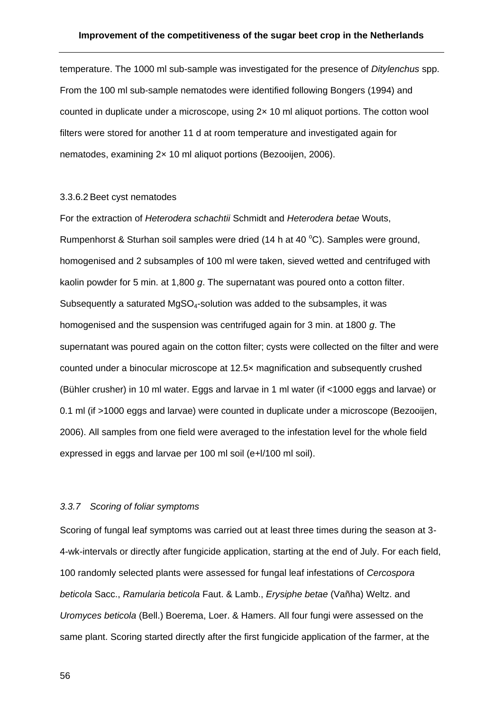temperature. The 1000 ml sub-sample was investigated for the presence of *Ditylenchus* spp. From the 100 ml sub-sample nematodes were identified following Bongers (1994) and counted in duplicate under a microscope, using 2× 10 ml aliquot portions. The cotton wool filters were stored for another 11 d at room temperature and investigated again for nematodes, examining 2× 10 ml aliquot portions (Bezooijen, 2006).

#### 3.3.6.2Beet cyst nematodes

For the extraction of *Heterodera schachtii* Schmidt and *Heterodera betae* Wouts, Rumpenhorst & Sturhan soil samples were dried  $(14 \text{ h at } 40 \degree \text{C})$ . Samples were ground, homogenised and 2 subsamples of 100 ml were taken, sieved wetted and centrifuged with kaolin powder for 5 min. at 1,800 *g*. The supernatant was poured onto a cotton filter. Subsequently a saturated  $MgSO<sub>4</sub>$ -solution was added to the subsamples, it was homogenised and the suspension was centrifuged again for 3 min. at 1800 *g*. The supernatant was poured again on the cotton filter; cysts were collected on the filter and were counted under a binocular microscope at 12.5× magnification and subsequently crushed (Bühler crusher) in 10 ml water. Eggs and larvae in 1 ml water (if <1000 eggs and larvae) or 0.1 ml (if >1000 eggs and larvae) were counted in duplicate under a microscope (Bezooijen, 2006). All samples from one field were averaged to the infestation level for the whole field expressed in eggs and larvae per 100 ml soil (e+l/100 ml soil).

#### *3.3.7 Scoring of foliar symptoms*

Scoring of fungal leaf symptoms was carried out at least three times during the season at 3- 4-wk-intervals or directly after fungicide application, starting at the end of July. For each field, 100 randomly selected plants were assessed for fungal leaf infestations of *Cercospora beticola* Sacc., *Ramularia beticola* Faut. & Lamb., *Erysiphe betae* (Vañha) Weltz. and *Uromyces beticola* (Bell.) Boerema, Loer. & Hamers. All four fungi were assessed on the same plant. Scoring started directly after the first fungicide application of the farmer, at the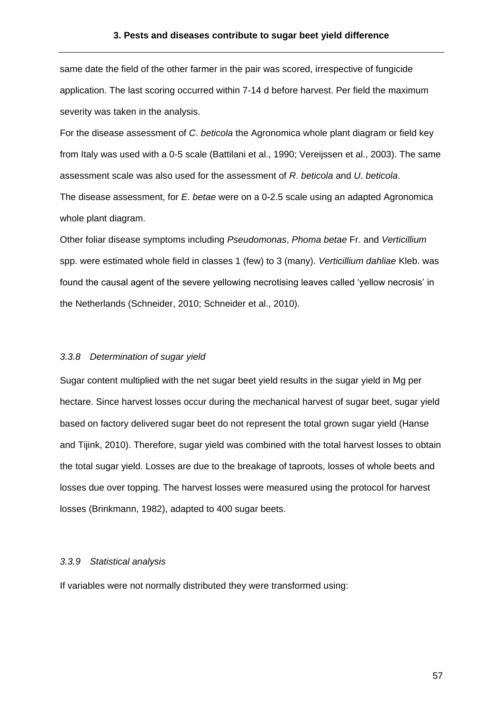## **3. Pests and diseases contribute to sugar beet yield difference**

same date the field of the other farmer in the pair was scored, irrespective of fungicide application. The last scoring occurred within 7-14 d before harvest. Per field the maximum severity was taken in the analysis.

For the disease assessment of *C*. *beticola* the Agronomica whole plant diagram or field key from Italy was used with a 0-5 scale (Battilani et al., 1990; Vereijssen et al., 2003). The same assessment scale was also used for the assessment of *R*. *beticola* and *U*. *beticola*. The disease assessment, for *E*. *betae* were on a 0-2.5 scale using an adapted Agronomica whole plant diagram.

Other foliar disease symptoms including *Pseudomonas*, *Phoma betae* Fr. and *Verticillium* spp. were estimated whole field in classes 1 (few) to 3 (many). *Verticillium dahliae* Kleb. was found the causal agent of the severe yellowing necrotising leaves called 'yellow necrosis' in the Netherlands (Schneider, 2010; Schneider et al., 2010).

## *3.3.8 Determination of sugar yield*

Sugar content multiplied with the net sugar beet yield results in the sugar yield in Mg per hectare. Since harvest losses occur during the mechanical harvest of sugar beet, sugar yield based on factory delivered sugar beet do not represent the total grown sugar yield (Hanse and Tijink, 2010). Therefore, sugar yield was combined with the total harvest losses to obtain the total sugar yield. Losses are due to the breakage of taproots, losses of whole beets and losses due over topping. The harvest losses were measured using the protocol for harvest losses (Brinkmann, 1982), adapted to 400 sugar beets.

## *3.3.9 Statistical analysis*

If variables were not normally distributed they were transformed using: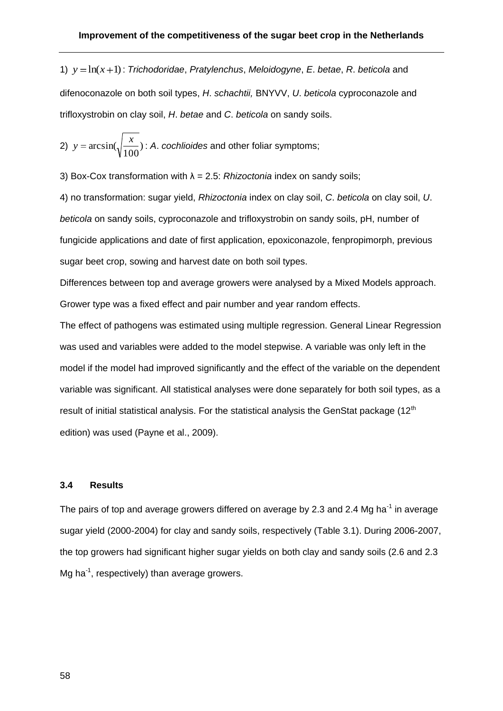1)  $y = ln(x+1)$ : *Trichodoridae, Pratylenchus, Meloidogyne, E. betae, R. beticola* and difenoconazole on both soil types, *H*. *schachtii,* BNYVV, *U*. *beticola* cyproconazole and trifloxystrobin on clay soil, *H*. *betae* and *C*. *beticola* on sandy soils.

2) 
$$
y = \arcsin(\sqrt{\frac{x}{100}})
$$
: A. cochlioides and other foliar symptoms;

3) Box-Cox transformation with  $\lambda = 2.5$ : *Rhizoctonia* index on sandy soils;

4) no transformation: sugar yield, *Rhizoctonia* index on clay soil, *C*. *beticola* on clay soil, *U*. *beticola* on sandy soils, cyproconazole and trifloxystrobin on sandy soils, pH, number of fungicide applications and date of first application, epoxiconazole, fenpropimorph, previous sugar beet crop, sowing and harvest date on both soil types.

Differences between top and average growers were analysed by a Mixed Models approach. Grower type was a fixed effect and pair number and year random effects.

The effect of pathogens was estimated using multiple regression. General Linear Regression was used and variables were added to the model stepwise. A variable was only left in the model if the model had improved significantly and the effect of the variable on the dependent variable was significant. All statistical analyses were done separately for both soil types, as a result of initial statistical analysis. For the statistical analysis the GenStat package  $(12<sup>th</sup>)$ edition) was used (Payne et al., 2009).

## **3.4 Results**

The pairs of top and average growers differed on average by 2.3 and 2.4 Mg ha<sup>-1</sup> in average sugar yield (2000-2004) for clay and sandy soils, respectively (Table 3.1). During 2006-2007, the top growers had significant higher sugar yields on both clay and sandy soils (2.6 and 2.3 Mg ha<sup>-1</sup>, respectively) than average growers.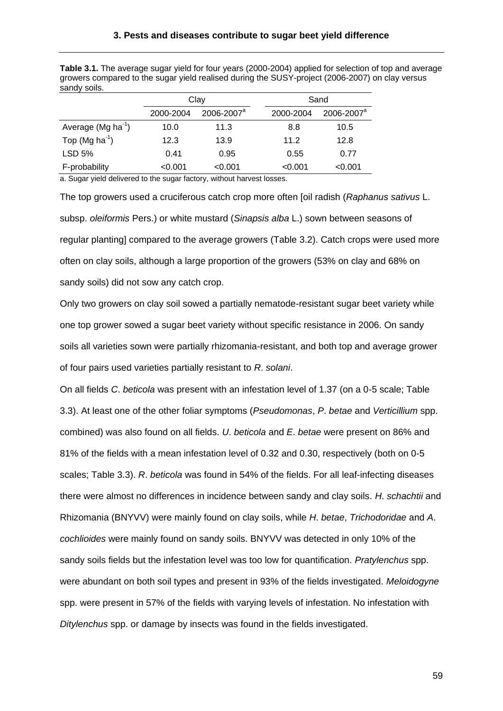**Table 3.1.** The average sugar yield for four years (2000-2004) applied for selection of top and average growers compared to the sugar yield realised during the SUSY-project (2006-2007) on clay versus sandy soils.

|                     |           | Clay                   |           | Sand                   |
|---------------------|-----------|------------------------|-----------|------------------------|
|                     | 2000-2004 | 2006-2007 <sup>a</sup> | 2000-2004 | 2006-2007 <sup>a</sup> |
| Average $(Mg ha-1)$ | 10.0      | 11.3                   | 8.8       | 10.5                   |
| Top (Mg $ha^{-1}$ ) | 12.3      | 13.9                   | 11.2      | 12.8                   |
| LSD 5%              | 0.41      | 0.95                   | 0.55      | 0.77                   |
| F-probability       | < 0.001   | < 0.001                | < 0.001   | < 0.001                |

a. Sugar yield delivered to the sugar factory, without harvest losses.

The top growers used a cruciferous catch crop more often [oil radish (*Raphanus sativus* L. subsp. *oleiformis* Pers.) or white mustard (*Sinapsis alba* L.) sown between seasons of regular planting] compared to the average growers (Table 3.2). Catch crops were used more often on clay soils, although a large proportion of the growers (53% on clay and 68% on sandy soils) did not sow any catch crop.

Only two growers on clay soil sowed a partially nematode-resistant sugar beet variety while one top grower sowed a sugar beet variety without specific resistance in 2006. On sandy soils all varieties sown were partially rhizomania-resistant, and both top and average grower of four pairs used varieties partially resistant to *R*. *solani*.

On all fields *C*. *beticola* was present with an infestation level of 1.37 (on a 0-5 scale; Table 3.3). At least one of the other foliar symptoms (*Pseudomonas*, *P*. *betae* and *Verticillium* spp. combined) was also found on all fields. *U*. *beticola* and *E*. *betae* were present on 86% and 81% of the fields with a mean infestation level of 0.32 and 0.30, respectively (both on 0-5 scales; Table 3.3). *R*. *beticola* was found in 54% of the fields. For all leaf-infecting diseases there were almost no differences in incidence between sandy and clay soils. *H*. *schachtii* and Rhizomania (BNYVV) were mainly found on clay soils, while *H*. *betae*, *Trichodoridae* and *A*. *cochlioides* were mainly found on sandy soils. BNYVV was detected in only 10% of the sandy soils fields but the infestation level was too low for quantification. *Pratylenchus* spp. were abundant on both soil types and present in 93% of the fields investigated. *Meloidogyne* spp. were present in 57% of the fields with varying levels of infestation. No infestation with *Ditylenchus* spp. or damage by insects was found in the fields investigated.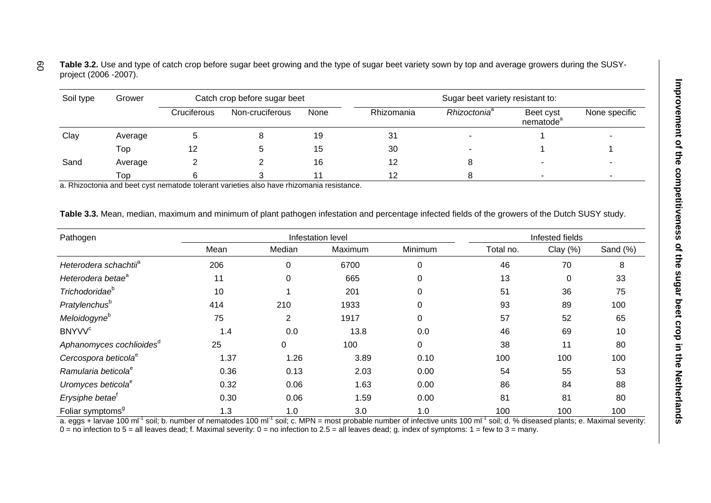**Table 3.2.** Use and type of catch crop before sugar beet growing and the type of sugar beet variety sown by top and average growers during the SUSYproject (2006 -2007). 60

| Soil type | Grower  |             | Catch crop before sugar beet |      |            | Sugar beet variety resistant to: |                                    |               |  |  |  |  |
|-----------|---------|-------------|------------------------------|------|------------|----------------------------------|------------------------------------|---------------|--|--|--|--|
|           |         | Cruciferous | Non-cruciferous              | None | Rhizomania | Rhizoctonia <sup>a</sup>         | Beet cyst<br>nematode <sup>a</sup> | None specific |  |  |  |  |
| Clay      | Average |             |                              | 19   | 31         |                                  |                                    |               |  |  |  |  |
|           | Top     | 12          |                              | 15   | 30         |                                  |                                    |               |  |  |  |  |
| Sand      | Average |             |                              | 16   |            |                                  |                                    |               |  |  |  |  |
|           | Top     |             |                              |      |            |                                  |                                    |               |  |  |  |  |

a. Rhizoctonia and beet cyst nematode tolerant varieties also have rhizomania resistance.

| Table 3.3. Mean, median, maximum and minimum of plant pathogen infestation and percentage infected fields of the growers of the Dutch SUSY study. |  |  |
|---------------------------------------------------------------------------------------------------------------------------------------------------|--|--|
|                                                                                                                                                   |  |  |

| Pathogen                             |      |          | Infestation level |         | Infested fields |            |          |  |  |
|--------------------------------------|------|----------|-------------------|---------|-----------------|------------|----------|--|--|
|                                      | Mean | Median   | Maximum           | Minimum | Total no.       | Clay $(%)$ | Sand (%) |  |  |
| Heterodera schachtil <sup>a</sup>    | 206  | 0        | 6700              | 0       | 46              | 70         | 8        |  |  |
| Heterodera betae <sup>a</sup>        | 11   | 0        | 665               | 0       | 13              | 0          | 33       |  |  |
| Trichodoridae <sup>b</sup>           | 10   |          | 201               | 0       | 51              | 36         | 75       |  |  |
| Pratylenchus <sup>b</sup>            | 414  | 210      | 1933              | 0       | 93              | 89         | 100      |  |  |
| Meloidogyne <sup>b</sup>             | 75   | 2        | 1917              | 0       | 57              | 52         | 65       |  |  |
| <b>BNYVV<sup>c</sup></b>             | 1.4  | 0.0      | 13.8              | 0.0     | 46              | 69         | 10       |  |  |
| Aphanomyces cochlioides <sup>d</sup> | 25   | $\Omega$ | 100               | 0       | 38              | 11         | 80       |  |  |
| Cercospora beticola <sup>e</sup>     | 1.37 | 1.26     | 3.89              | 0.10    | 100             | 100        | 100      |  |  |
| Ramularia beticola <sup>e</sup>      | 0.36 | 0.13     | 2.03              | 0.00    | 54              | 55         | 53       |  |  |
| Uromyces beticola <sup>e</sup>       | 0.32 | 0.06     | 1.63              | 0.00    | 86              | 84         | 88       |  |  |
| Erysiphe betae <sup>t</sup>          | 0.30 | 0.06     | 1.59              | 0.00    | 81              | 81         | 80       |  |  |
| Foliar symptoms <sup>9</sup>         | 1.3  | 1.0      | 3.0               | 1.0     | 100             | 100        | 100      |  |  |

a. eggs + larvae 100 ml<sup>-1</sup> soil; b. number of nematodes 100 ml<sup>-1</sup> soil; c. MPN = most probable number of infective units 100 ml<sup>-1</sup> soil; d. % diseased plants; e. Maximal severity: 0 = no infection to 5 = all leaves dead; f. Maximal severity: 0 = no infection to 2.5 = all leaves dead; g. index of symptoms: 1 = few to 3 = many.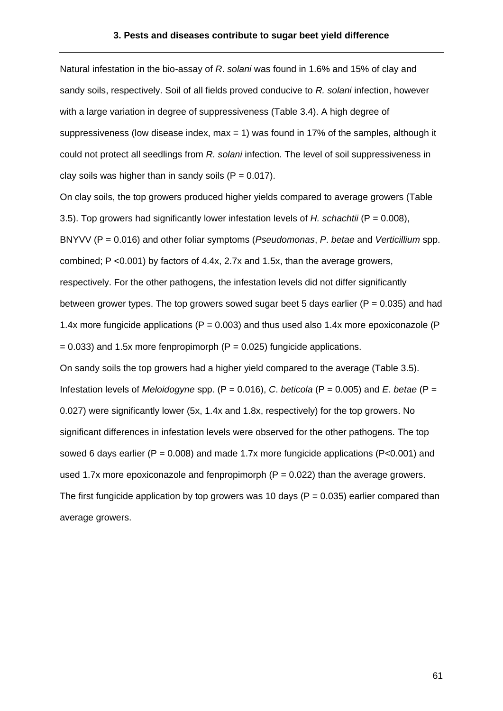Natural infestation in the bio-assay of *R*. *solani* was found in 1.6% and 15% of clay and sandy soils, respectively. Soil of all fields proved conducive to *R. solani* infection, however with a large variation in degree of suppressiveness (Table 3.4). A high degree of suppressiveness (low disease index, max  $= 1$ ) was found in 17% of the samples, although it could not protect all seedlings from *R. solani* infection. The level of soil suppressiveness in clay soils was higher than in sandy soils  $(P = 0.017)$ .

On clay soils, the top growers produced higher yields compared to average growers (Table 3.5). Top growers had significantly lower infestation levels of *H. schachtii* (P = 0.008), BNYVV (P = 0.016) and other foliar symptoms (*Pseudomonas*, *P*. *betae* and *Verticillium* spp. combined;  $P < 0.001$ ) by factors of 4.4x, 2.7x and 1.5x, than the average growers, respectively. For the other pathogens, the infestation levels did not differ significantly between grower types. The top growers sowed sugar beet 5 days earlier ( $P = 0.035$ ) and had 1.4x more fungicide applications ( $P = 0.003$ ) and thus used also 1.4x more epoxiconazole ( $P$  $= 0.033$ ) and 1.5x more fenpropimorph (P  $= 0.025$ ) fungicide applications. On sandy soils the top growers had a higher yield compared to the average (Table 3.5). Infestation levels of *Meloidogyne* spp. (P = 0.016), *C*. *beticola* (P = 0.005) and *E*. *betae* (P = 0.027) were significantly lower (5x, 1.4x and 1.8x, respectively) for the top growers. No significant differences in infestation levels were observed for the other pathogens. The top sowed 6 days earlier ( $P = 0.008$ ) and made 1.7x more fungicide applications ( $P < 0.001$ ) and used 1.7x more epoxiconazole and fenpropimorph ( $P = 0.022$ ) than the average growers. The first fungicide application by top growers was 10 days ( $P = 0.035$ ) earlier compared than average growers.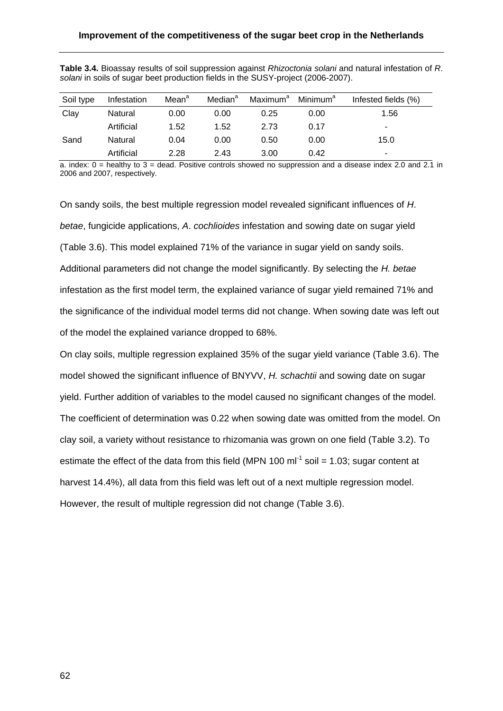| Soil type | Infestation | Mean <sup>a</sup> | Median <sup>a</sup> | Maximum <sup>a</sup> Minimum <sup>a</sup> |      | Infested fields (%) |
|-----------|-------------|-------------------|---------------------|-------------------------------------------|------|---------------------|
| Clay      | Natural     | 0.00              | 0.00                | 0.25                                      | 0.00 | 1.56                |
|           | Artificial  | 1.52              | 1.52                | 2.73                                      | 0.17 | $\sim$              |
| Sand      | Natural     | 0.04              | 0.00                | 0.50                                      | 0.00 | 15.0                |
|           | Artificial  | 2.28              | 2.43                | 3.00                                      | 0.42 | $\sim$              |

**Table 3.4.** Bioassay results of soil suppression against *Rhizoctonia solani* and natural infestation of *R*. *solani* in soils of sugar beet production fields in the SUSY-project (2006-2007).

a. index:  $0 =$  healthy to  $3 =$  dead. Positive controls showed no suppression and a disease index 2.0 and 2.1 in 2006 and 2007, respectively.

On sandy soils, the best multiple regression model revealed significant influences of *H*. *betae*, fungicide applications, *A*. *cochlioides* infestation and sowing date on sugar yield (Table 3.6). This model explained 71% of the variance in sugar yield on sandy soils. Additional parameters did not change the model significantly. By selecting the *H. betae* infestation as the first model term, the explained variance of sugar yield remained 71% and the significance of the individual model terms did not change. When sowing date was left out of the model the explained variance dropped to 68%.

On clay soils, multiple regression explained 35% of the sugar yield variance (Table 3.6). The model showed the significant influence of BNYVV, *H. schachtii* and sowing date on sugar yield. Further addition of variables to the model caused no significant changes of the model. The coefficient of determination was 0.22 when sowing date was omitted from the model. On clay soil, a variety without resistance to rhizomania was grown on one field (Table 3.2). To estimate the effect of the data from this field (MPN 100 ml<sup>-1</sup> soil = 1.03; sugar content at harvest 14.4%), all data from this field was left out of a next multiple regression model. However, the result of multiple regression did not change (Table 3.6).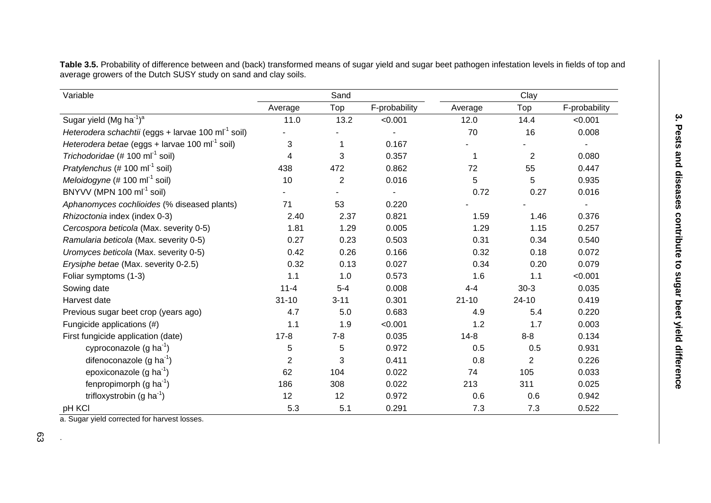| Clay           |               |  |
|----------------|---------------|--|
| Top            | F-probability |  |
| 14.4           | < 0.001       |  |
| 16             | 0.008         |  |
|                |               |  |
| 2              | 0.080         |  |
| 55             | 0.447         |  |
| 5              | 0.935         |  |
| 0.27           | 0.016         |  |
|                |               |  |
| 1.46           | 0.376         |  |
| 1.15           | 0.257         |  |
| 0.34           | 0.540         |  |
| 0.18           | 0.072         |  |
| 0.20           | 0.079         |  |
| 1.1            | < 0.001       |  |
| $30-3$         | 0.035         |  |
| $24 - 10$      | 0.419         |  |
| 5.4            | 0.220         |  |
| 1.7            | 0.003         |  |
| $8 - 8$        | 0.134         |  |
| 0.5            | 0.931         |  |
| $\overline{2}$ | 0.226         |  |
| 105            | 0.033         |  |
| 311            | 0.025         |  |
| $\cap$ $\cap$  | റ റ⊿റ         |  |

**Table 3.5.** Probability of difference between and (back) transformed means of sugar yield and sugar beet pathogen infestation levels in fields of top and average growers of the Dutch SUSY study on sand and clay soils.

| Top<br>Top<br>F-probability<br>F-probability<br>Average<br>Average<br>Sugar yield (Mg ha <sup>-1</sup> ) <sup>a</sup><br>11.0<br>13.2<br>14.4<br>< 0.001<br>< 0.001<br>12.0<br>16<br>Heterodera schachtii (eggs + larvae 100 ml <sup>-1</sup> soil)<br>70<br>0.008<br>Heterodera betae (eggs + larvae 100 ml <sup>-1</sup> soil)<br>3<br>0.167<br>1<br>Trichodoridae (# 100 ml <sup>-1</sup> soil)<br>3<br>0.357<br>$\overline{2}$<br>0.080<br>4<br>1<br><i>Pratylenchus</i> (# 100 ml <sup>-1</sup> soil)<br>438<br>472<br>0.862<br>0.447<br>72<br>55<br>Meloidogyne (# 100 ml <sup>-1</sup> soil)<br>$\overline{2}$<br>0.016<br>10<br>5<br>5<br>0.935<br>BNYVV (MPN 100 ml <sup>-1</sup> soil)<br>0.72<br>0.27<br>0.016<br>Aphanomyces cochlioides (% diseased plants)<br>71<br>53<br>0.220<br>0.821<br>1.59<br>0.376<br>Rhizoctonia index (index 0-3)<br>2.40<br>2.37<br>1.46<br>1.81<br>Cercospora beticola (Max. severity 0-5)<br>1.29<br>0.005<br>1.29<br>1.15<br>0.257<br>0.27<br>0.23<br>0.503<br>0.31<br>0.34<br>Ramularia beticola (Max. severity 0-5)<br>0.540<br>0.42<br>0.166<br>0.32<br>Uromyces beticola (Max. severity 0-5)<br>0.26<br>0.18<br>0.072<br>0.32<br>0.13<br>0.027<br>0.34<br>0.079<br>Erysiphe betae (Max. severity 0-2.5)<br>0.20<br>1.0<br>0.573<br>1.6<br>< 0.001<br>1.1<br>1.1<br>Foliar symptoms (1-3)<br>Sowing date<br>0.008<br>$30-3$<br>0.035<br>$11 - 4$<br>$5 - 4$<br>$4 - 4$<br>$24 - 10$<br>$31 - 10$<br>$3 - 11$<br>0.301<br>$21 - 10$<br>0.419<br>Harvest date<br>5.4<br>4.7<br>5.0<br>0.683<br>0.220<br>Previous sugar beet crop (years ago)<br>4.9<br>Fungicide applications (#)<br>1.1<br>1.9<br>< 0.001<br>0.003<br>1.2<br>1.7<br>$7 - 8$<br>0.035<br>$14 - 8$<br>$8 - 8$<br>0.134<br>First fungicide application (date)<br>$17 - 8$<br>cyproconazole $(g ha^{-1})$<br>5<br>5<br>0.972<br>0.5<br>0.5<br>0.931<br>difenoconazole (g ha $^{-1}$ )<br>0.411<br>2<br>3<br>0.8<br>2<br>0.226<br>epoxiconazole (g ha $^{-1}$ )<br>0.022<br>105<br>0.033<br>62<br>104<br>74<br>fenpropimorph $(g ha^{-1})$<br>213<br>311<br>186<br>308<br>0.022<br>0.025<br>trifloxystrobin (g ha <sup>-1</sup> )<br>12<br>12<br>0.972<br>0.6<br>0.942<br>0.6 | Variable |     | Sand |       | Clay |     |       |  |  |
|---------------------------------------------------------------------------------------------------------------------------------------------------------------------------------------------------------------------------------------------------------------------------------------------------------------------------------------------------------------------------------------------------------------------------------------------------------------------------------------------------------------------------------------------------------------------------------------------------------------------------------------------------------------------------------------------------------------------------------------------------------------------------------------------------------------------------------------------------------------------------------------------------------------------------------------------------------------------------------------------------------------------------------------------------------------------------------------------------------------------------------------------------------------------------------------------------------------------------------------------------------------------------------------------------------------------------------------------------------------------------------------------------------------------------------------------------------------------------------------------------------------------------------------------------------------------------------------------------------------------------------------------------------------------------------------------------------------------------------------------------------------------------------------------------------------------------------------------------------------------------------------------------------------------------------------------------------------------------------------------------------------------------------------------------------------------------------------------------------------------------------------------------------------------------------------|----------|-----|------|-------|------|-----|-------|--|--|
|                                                                                                                                                                                                                                                                                                                                                                                                                                                                                                                                                                                                                                                                                                                                                                                                                                                                                                                                                                                                                                                                                                                                                                                                                                                                                                                                                                                                                                                                                                                                                                                                                                                                                                                                                                                                                                                                                                                                                                                                                                                                                                                                                                                       |          |     |      |       |      |     |       |  |  |
|                                                                                                                                                                                                                                                                                                                                                                                                                                                                                                                                                                                                                                                                                                                                                                                                                                                                                                                                                                                                                                                                                                                                                                                                                                                                                                                                                                                                                                                                                                                                                                                                                                                                                                                                                                                                                                                                                                                                                                                                                                                                                                                                                                                       |          |     |      |       |      |     |       |  |  |
|                                                                                                                                                                                                                                                                                                                                                                                                                                                                                                                                                                                                                                                                                                                                                                                                                                                                                                                                                                                                                                                                                                                                                                                                                                                                                                                                                                                                                                                                                                                                                                                                                                                                                                                                                                                                                                                                                                                                                                                                                                                                                                                                                                                       |          |     |      |       |      |     |       |  |  |
|                                                                                                                                                                                                                                                                                                                                                                                                                                                                                                                                                                                                                                                                                                                                                                                                                                                                                                                                                                                                                                                                                                                                                                                                                                                                                                                                                                                                                                                                                                                                                                                                                                                                                                                                                                                                                                                                                                                                                                                                                                                                                                                                                                                       |          |     |      |       |      |     |       |  |  |
|                                                                                                                                                                                                                                                                                                                                                                                                                                                                                                                                                                                                                                                                                                                                                                                                                                                                                                                                                                                                                                                                                                                                                                                                                                                                                                                                                                                                                                                                                                                                                                                                                                                                                                                                                                                                                                                                                                                                                                                                                                                                                                                                                                                       |          |     |      |       |      |     |       |  |  |
|                                                                                                                                                                                                                                                                                                                                                                                                                                                                                                                                                                                                                                                                                                                                                                                                                                                                                                                                                                                                                                                                                                                                                                                                                                                                                                                                                                                                                                                                                                                                                                                                                                                                                                                                                                                                                                                                                                                                                                                                                                                                                                                                                                                       |          |     |      |       |      |     |       |  |  |
|                                                                                                                                                                                                                                                                                                                                                                                                                                                                                                                                                                                                                                                                                                                                                                                                                                                                                                                                                                                                                                                                                                                                                                                                                                                                                                                                                                                                                                                                                                                                                                                                                                                                                                                                                                                                                                                                                                                                                                                                                                                                                                                                                                                       |          |     |      |       |      |     |       |  |  |
|                                                                                                                                                                                                                                                                                                                                                                                                                                                                                                                                                                                                                                                                                                                                                                                                                                                                                                                                                                                                                                                                                                                                                                                                                                                                                                                                                                                                                                                                                                                                                                                                                                                                                                                                                                                                                                                                                                                                                                                                                                                                                                                                                                                       |          |     |      |       |      |     |       |  |  |
|                                                                                                                                                                                                                                                                                                                                                                                                                                                                                                                                                                                                                                                                                                                                                                                                                                                                                                                                                                                                                                                                                                                                                                                                                                                                                                                                                                                                                                                                                                                                                                                                                                                                                                                                                                                                                                                                                                                                                                                                                                                                                                                                                                                       |          |     |      |       |      |     |       |  |  |
|                                                                                                                                                                                                                                                                                                                                                                                                                                                                                                                                                                                                                                                                                                                                                                                                                                                                                                                                                                                                                                                                                                                                                                                                                                                                                                                                                                                                                                                                                                                                                                                                                                                                                                                                                                                                                                                                                                                                                                                                                                                                                                                                                                                       |          |     |      |       |      |     |       |  |  |
|                                                                                                                                                                                                                                                                                                                                                                                                                                                                                                                                                                                                                                                                                                                                                                                                                                                                                                                                                                                                                                                                                                                                                                                                                                                                                                                                                                                                                                                                                                                                                                                                                                                                                                                                                                                                                                                                                                                                                                                                                                                                                                                                                                                       |          |     |      |       |      |     |       |  |  |
|                                                                                                                                                                                                                                                                                                                                                                                                                                                                                                                                                                                                                                                                                                                                                                                                                                                                                                                                                                                                                                                                                                                                                                                                                                                                                                                                                                                                                                                                                                                                                                                                                                                                                                                                                                                                                                                                                                                                                                                                                                                                                                                                                                                       |          |     |      |       |      |     |       |  |  |
|                                                                                                                                                                                                                                                                                                                                                                                                                                                                                                                                                                                                                                                                                                                                                                                                                                                                                                                                                                                                                                                                                                                                                                                                                                                                                                                                                                                                                                                                                                                                                                                                                                                                                                                                                                                                                                                                                                                                                                                                                                                                                                                                                                                       |          |     |      |       |      |     |       |  |  |
|                                                                                                                                                                                                                                                                                                                                                                                                                                                                                                                                                                                                                                                                                                                                                                                                                                                                                                                                                                                                                                                                                                                                                                                                                                                                                                                                                                                                                                                                                                                                                                                                                                                                                                                                                                                                                                                                                                                                                                                                                                                                                                                                                                                       |          |     |      |       |      |     |       |  |  |
|                                                                                                                                                                                                                                                                                                                                                                                                                                                                                                                                                                                                                                                                                                                                                                                                                                                                                                                                                                                                                                                                                                                                                                                                                                                                                                                                                                                                                                                                                                                                                                                                                                                                                                                                                                                                                                                                                                                                                                                                                                                                                                                                                                                       |          |     |      |       |      |     |       |  |  |
|                                                                                                                                                                                                                                                                                                                                                                                                                                                                                                                                                                                                                                                                                                                                                                                                                                                                                                                                                                                                                                                                                                                                                                                                                                                                                                                                                                                                                                                                                                                                                                                                                                                                                                                                                                                                                                                                                                                                                                                                                                                                                                                                                                                       |          |     |      |       |      |     |       |  |  |
|                                                                                                                                                                                                                                                                                                                                                                                                                                                                                                                                                                                                                                                                                                                                                                                                                                                                                                                                                                                                                                                                                                                                                                                                                                                                                                                                                                                                                                                                                                                                                                                                                                                                                                                                                                                                                                                                                                                                                                                                                                                                                                                                                                                       |          |     |      |       |      |     |       |  |  |
|                                                                                                                                                                                                                                                                                                                                                                                                                                                                                                                                                                                                                                                                                                                                                                                                                                                                                                                                                                                                                                                                                                                                                                                                                                                                                                                                                                                                                                                                                                                                                                                                                                                                                                                                                                                                                                                                                                                                                                                                                                                                                                                                                                                       |          |     |      |       |      |     |       |  |  |
|                                                                                                                                                                                                                                                                                                                                                                                                                                                                                                                                                                                                                                                                                                                                                                                                                                                                                                                                                                                                                                                                                                                                                                                                                                                                                                                                                                                                                                                                                                                                                                                                                                                                                                                                                                                                                                                                                                                                                                                                                                                                                                                                                                                       |          |     |      |       |      |     |       |  |  |
|                                                                                                                                                                                                                                                                                                                                                                                                                                                                                                                                                                                                                                                                                                                                                                                                                                                                                                                                                                                                                                                                                                                                                                                                                                                                                                                                                                                                                                                                                                                                                                                                                                                                                                                                                                                                                                                                                                                                                                                                                                                                                                                                                                                       |          |     |      |       |      |     |       |  |  |
|                                                                                                                                                                                                                                                                                                                                                                                                                                                                                                                                                                                                                                                                                                                                                                                                                                                                                                                                                                                                                                                                                                                                                                                                                                                                                                                                                                                                                                                                                                                                                                                                                                                                                                                                                                                                                                                                                                                                                                                                                                                                                                                                                                                       |          |     |      |       |      |     |       |  |  |
|                                                                                                                                                                                                                                                                                                                                                                                                                                                                                                                                                                                                                                                                                                                                                                                                                                                                                                                                                                                                                                                                                                                                                                                                                                                                                                                                                                                                                                                                                                                                                                                                                                                                                                                                                                                                                                                                                                                                                                                                                                                                                                                                                                                       |          |     |      |       |      |     |       |  |  |
|                                                                                                                                                                                                                                                                                                                                                                                                                                                                                                                                                                                                                                                                                                                                                                                                                                                                                                                                                                                                                                                                                                                                                                                                                                                                                                                                                                                                                                                                                                                                                                                                                                                                                                                                                                                                                                                                                                                                                                                                                                                                                                                                                                                       |          |     |      |       |      |     |       |  |  |
|                                                                                                                                                                                                                                                                                                                                                                                                                                                                                                                                                                                                                                                                                                                                                                                                                                                                                                                                                                                                                                                                                                                                                                                                                                                                                                                                                                                                                                                                                                                                                                                                                                                                                                                                                                                                                                                                                                                                                                                                                                                                                                                                                                                       |          |     |      |       |      |     |       |  |  |
|                                                                                                                                                                                                                                                                                                                                                                                                                                                                                                                                                                                                                                                                                                                                                                                                                                                                                                                                                                                                                                                                                                                                                                                                                                                                                                                                                                                                                                                                                                                                                                                                                                                                                                                                                                                                                                                                                                                                                                                                                                                                                                                                                                                       |          |     |      |       |      |     |       |  |  |
|                                                                                                                                                                                                                                                                                                                                                                                                                                                                                                                                                                                                                                                                                                                                                                                                                                                                                                                                                                                                                                                                                                                                                                                                                                                                                                                                                                                                                                                                                                                                                                                                                                                                                                                                                                                                                                                                                                                                                                                                                                                                                                                                                                                       | pH KCI   | 5.3 | 5.1  | 0.291 | 7.3  | 7.3 | 0.522 |  |  |

a. Sugar yield corrected for harvest losses.

.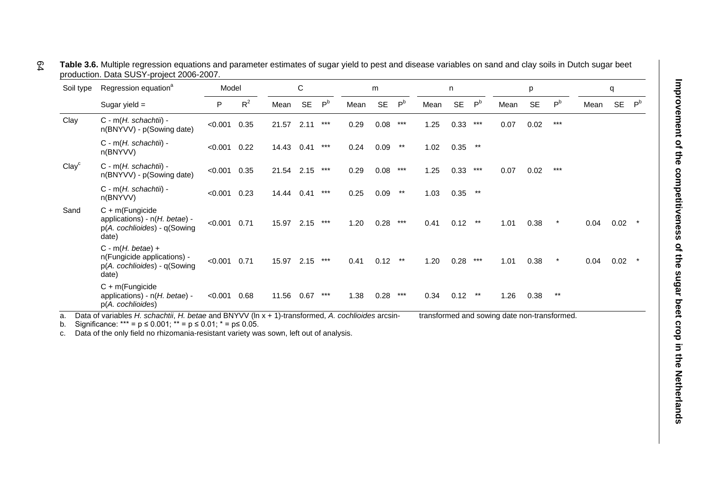| Soil type         | Regression equation <sup>a</sup>                                                             | Model          |       | С<br>m     |           | n              |      | p         |                |      | q         |                |      |           |                |      |           |  |
|-------------------|----------------------------------------------------------------------------------------------|----------------|-------|------------|-----------|----------------|------|-----------|----------------|------|-----------|----------------|------|-----------|----------------|------|-----------|--|
|                   | Sugar yield $=$                                                                              | P              | $R^2$ | Mean       | <b>SE</b> | P <sup>b</sup> | Mean | <b>SE</b> | P <sup>b</sup> | Mean | <b>SE</b> | P <sup>b</sup> | Mean | <b>SE</b> | P <sup>b</sup> | Mean | $SE$ $Pb$ |  |
| Clay              | $C$ - m( $H$ . schachtii) -<br>n(BNYVV) - p(Sowing date)                                     | < 0.001        | 0.35  | 21.57      | 2.11      | $***$          | 0.29 | 0.08      | ***            | 1.25 | 0.33      | ***            | 0.07 | 0.02      | $***$          |      |           |  |
|                   | $C$ - m( $H$ . schachtii) -<br>n(BNYVV)                                                      | < 0.001        | 0.22  | 14.43      | 0.41      | $***$          | 0.24 | 0.09      | $***$          | 1.02 | 0.35      | $***$          |      |           |                |      |           |  |
| Clay <sup>c</sup> | $C$ - m( $H$ . schachtii) -<br>n(BNYVV) - p(Sowing date)                                     | $< 0.001$ 0.35 |       | 21.54 2.15 |           | ***            | 0.29 | 0.08      | ***            | 1.25 | 0.33      | ***            | 0.07 | 0.02      | $***$          |      |           |  |
|                   | $C$ - m( $H$ . schachtii) -<br>n(BNYVV)                                                      | < 0.001        | 0.23  | 14.44      | 0.41      | $***$          | 0.25 | 0.09      | $***$          | 1.03 | 0.35      | $***$          |      |           |                |      |           |  |
| Sand              | $C + m$ (Fungicide<br>applications) - n(H. betae) -<br>p(A. cochlioides) - q(Sowing<br>date) | $< 0.001$ 0.71 |       | 15.97      | 2.15      | ***            | 1.20 | 0.28      | $***$          | 0.41 | 0.12      | $***$          | 1.01 | 0.38      | $\ast$         | 0.04 | 0.02      |  |
|                   | $C - m(H. beta) +$<br>n(Fungicide applications) -<br>p(A. cochlioides) - q(Sowing<br>date)   | $< 0.001$ 0.71 |       | 15.97      | 2.15      | $***$          | 0.41 | 0.12      | $***$          | 1.20 | 0.28      | ***            | 1.01 | 0.38      |                | 0.04 | 0.02      |  |
|                   | $C + m$ (Fungicide<br>applications) - $n(H. beta)$ -<br>p(A. cochlioides)                    | < 0.001        | 0.68  | 11.56      | 0.67      | $***$          | 1.38 | 0.28      | ***            | 0.34 | 0.12      | **             | 1.26 | 0.38      | $***$          |      |           |  |

| P Table 3.6. Multiple regression equations and parameter estimates of sugar yield to pest and disease variables on sand and clay soils in Dutch sugar beet |
|------------------------------------------------------------------------------------------------------------------------------------------------------------|
| production. Data SUSY-project 2006-2007.                                                                                                                   |

a. Data of variables *H. schachtii*, *H. betae* and BNYVV (ln x + 1)-transformed, *A. cochlioides* arcsin- transformed and sowing date non-transformed.

b. Significance: \*\*\* = p ≤ 0.001; \*\* = p ≤ 0.01; \* = p≤ 0.05.

c. Data of the only field no rhizomania-resistant variety was sown, left out of analysis.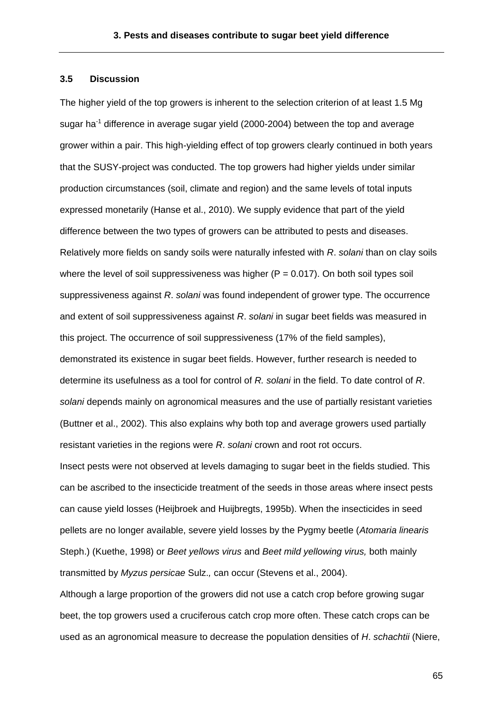# **3.5 Discussion**

The higher yield of the top growers is inherent to the selection criterion of at least 1.5 Mg sugar ha<sup>-1</sup> difference in average sugar yield (2000-2004) between the top and average grower within a pair. This high-yielding effect of top growers clearly continued in both years that the SUSY-project was conducted. The top growers had higher yields under similar production circumstances (soil, climate and region) and the same levels of total inputs expressed monetarily (Hanse et al., 2010). We supply evidence that part of the yield difference between the two types of growers can be attributed to pests and diseases. Relatively more fields on sandy soils were naturally infested with *R*. *solani* than on clay soils where the level of soil suppressiveness was higher  $(P = 0.017)$ . On both soil types soil suppressiveness against *R*. *solani* was found independent of grower type. The occurrence and extent of soil suppressiveness against *R*. *solani* in sugar beet fields was measured in this project. The occurrence of soil suppressiveness (17% of the field samples), demonstrated its existence in sugar beet fields. However, further research is needed to determine its usefulness as a tool for control of *R. solani* in the field. To date control of *R*. *solani* depends mainly on agronomical measures and the use of partially resistant varieties (Buttner et al., 2002). This also explains why both top and average growers used partially resistant varieties in the regions were *R*. *solani* crown and root rot occurs. Insect pests were not observed at levels damaging to sugar beet in the fields studied. This can be ascribed to the insecticide treatment of the seeds in those areas where insect pests can cause yield losses (Heijbroek and Huijbregts, 1995b). When the insecticides in seed pellets are no longer available, severe yield losses by the Pygmy beetle (*Atomaria linearis* Steph.) (Kuethe, 1998) or *Beet yellows virus* and *Beet mild yellowing virus,* both mainly transmitted by *Myzus persicae* Sulz.*,* can occur (Stevens et al., 2004).

Although a large proportion of the growers did not use a catch crop before growing sugar beet, the top growers used a cruciferous catch crop more often. These catch crops can be used as an agronomical measure to decrease the population densities of *H*. *schachtii* (Niere,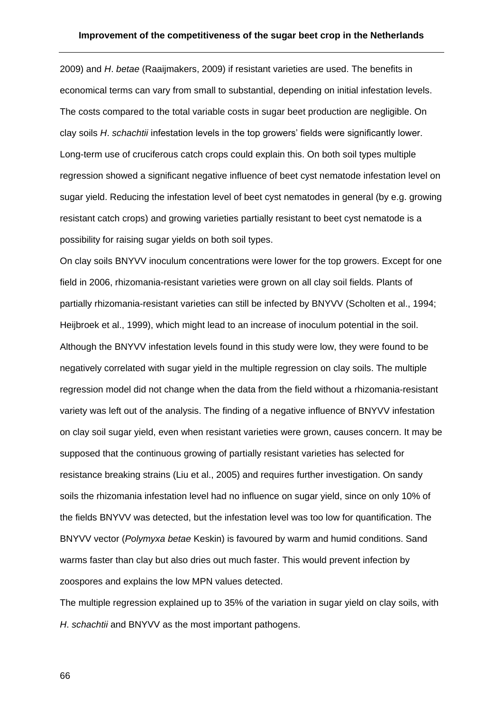#### **Improvement of the competitiveness of the sugar beet crop in the Netherlands**

2009) and *H*. *betae* (Raaijmakers, 2009) if resistant varieties are used. The benefits in economical terms can vary from small to substantial, depending on initial infestation levels. The costs compared to the total variable costs in sugar beet production are negligible. On clay soils *H*. *schachtii* infestation levels in the top growers' fields were significantly lower. Long-term use of cruciferous catch crops could explain this. On both soil types multiple regression showed a significant negative influence of beet cyst nematode infestation level on sugar yield. Reducing the infestation level of beet cyst nematodes in general (by e.g. growing resistant catch crops) and growing varieties partially resistant to beet cyst nematode is a possibility for raising sugar yields on both soil types.

On clay soils BNYVV inoculum concentrations were lower for the top growers. Except for one field in 2006, rhizomania-resistant varieties were grown on all clay soil fields. Plants of partially rhizomania-resistant varieties can still be infected by BNYVV (Scholten et al., 1994; Heijbroek et al., 1999), which might lead to an increase of inoculum potential in the soil. Although the BNYVV infestation levels found in this study were low, they were found to be negatively correlated with sugar yield in the multiple regression on clay soils. The multiple regression model did not change when the data from the field without a rhizomania-resistant variety was left out of the analysis. The finding of a negative influence of BNYVV infestation on clay soil sugar yield, even when resistant varieties were grown, causes concern. It may be supposed that the continuous growing of partially resistant varieties has selected for resistance breaking strains (Liu et al., 2005) and requires further investigation. On sandy soils the rhizomania infestation level had no influence on sugar yield, since on only 10% of the fields BNYVV was detected, but the infestation level was too low for quantification. The BNYVV vector (*Polymyxa betae* Keskin) is favoured by warm and humid conditions. Sand warms faster than clay but also dries out much faster. This would prevent infection by zoospores and explains the low MPN values detected.

The multiple regression explained up to 35% of the variation in sugar yield on clay soils, with *H*. *schachtii* and BNYVV as the most important pathogens.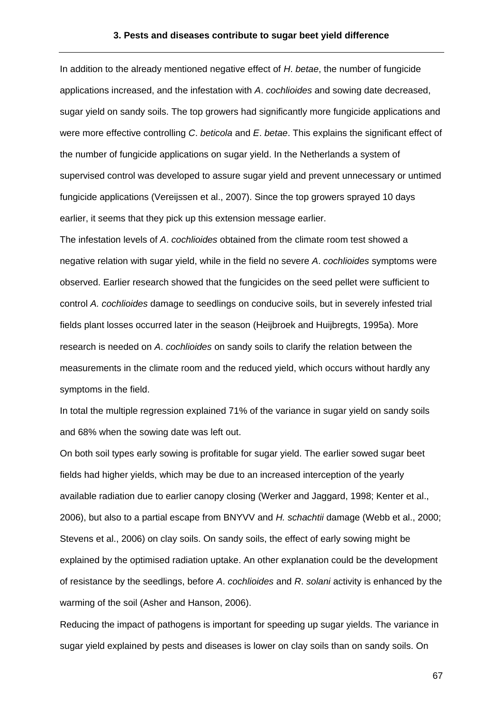## **3. Pests and diseases contribute to sugar beet yield difference**

In addition to the already mentioned negative effect of *H*. *betae*, the number of fungicide applications increased, and the infestation with *A*. *cochlioides* and sowing date decreased, sugar yield on sandy soils. The top growers had significantly more fungicide applications and were more effective controlling *C*. *beticola* and *E*. *betae*. This explains the significant effect of the number of fungicide applications on sugar yield. In the Netherlands a system of supervised control was developed to assure sugar yield and prevent unnecessary or untimed fungicide applications (Vereijssen et al., 2007). Since the top growers sprayed 10 days earlier, it seems that they pick up this extension message earlier.

The infestation levels of *A*. *cochlioides* obtained from the climate room test showed a negative relation with sugar yield, while in the field no severe *A*. *cochlioides* symptoms were observed. Earlier research showed that the fungicides on the seed pellet were sufficient to control *A. cochlioides* damage to seedlings on conducive soils, but in severely infested trial fields plant losses occurred later in the season (Heijbroek and Huijbregts, 1995a). More research is needed on *A*. *cochlioides* on sandy soils to clarify the relation between the measurements in the climate room and the reduced yield, which occurs without hardly any symptoms in the field.

In total the multiple regression explained 71% of the variance in sugar yield on sandy soils and 68% when the sowing date was left out.

On both soil types early sowing is profitable for sugar yield. The earlier sowed sugar beet fields had higher yields, which may be due to an increased interception of the yearly available radiation due to earlier canopy closing (Werker and Jaggard, 1998; Kenter et al., 2006), but also to a partial escape from BNYVV and *H. schachtii* damage (Webb et al., 2000; Stevens et al., 2006) on clay soils. On sandy soils, the effect of early sowing might be explained by the optimised radiation uptake. An other explanation could be the development of resistance by the seedlings, before *A*. *cochlioides* and *R*. *solani* activity is enhanced by the warming of the soil (Asher and Hanson, 2006).

Reducing the impact of pathogens is important for speeding up sugar yields. The variance in sugar yield explained by pests and diseases is lower on clay soils than on sandy soils. On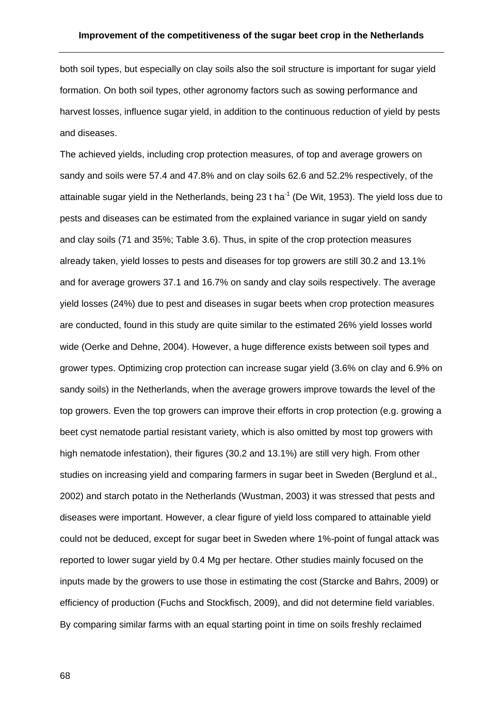both soil types, but especially on clay soils also the soil structure is important for sugar yield formation. On both soil types, other agronomy factors such as sowing performance and harvest losses, influence sugar yield, in addition to the continuous reduction of yield by pests and diseases.

The achieved yields, including crop protection measures, of top and average growers on sandy and soils were 57.4 and 47.8% and on clay soils 62.6 and 52.2% respectively, of the attainable sugar yield in the Netherlands, being 23 t ha<sup>-1</sup> (De Wit, 1953). The yield loss due to pests and diseases can be estimated from the explained variance in sugar yield on sandy and clay soils (71 and 35%; Table 3.6). Thus, in spite of the crop protection measures already taken, yield losses to pests and diseases for top growers are still 30.2 and 13.1% and for average growers 37.1 and 16.7% on sandy and clay soils respectively. The average yield losses (24%) due to pest and diseases in sugar beets when crop protection measures are conducted, found in this study are quite similar to the estimated 26% yield losses world wide (Oerke and Dehne, 2004). However, a huge difference exists between soil types and grower types. Optimizing crop protection can increase sugar yield (3.6% on clay and 6.9% on sandy soils) in the Netherlands, when the average growers improve towards the level of the top growers. Even the top growers can improve their efforts in crop protection (e.g. growing a beet cyst nematode partial resistant variety, which is also omitted by most top growers with high nematode infestation), their figures (30.2 and 13.1%) are still very high. From other studies on increasing yield and comparing farmers in sugar beet in Sweden (Berglund et al., 2002) and starch potato in the Netherlands (Wustman, 2003) it was stressed that pests and diseases were important. However, a clear figure of yield loss compared to attainable yield could not be deduced, except for sugar beet in Sweden where 1%-point of fungal attack was reported to lower sugar yield by 0.4 Mg per hectare. Other studies mainly focused on the inputs made by the growers to use those in estimating the cost (Starcke and Bahrs, 2009) or efficiency of production (Fuchs and Stockfisch, 2009), and did not determine field variables. By comparing similar farms with an equal starting point in time on soils freshly reclaimed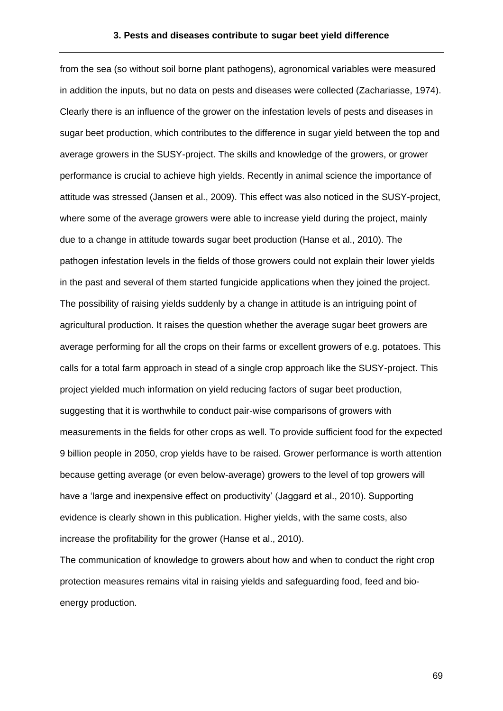from the sea (so without soil borne plant pathogens), agronomical variables were measured in addition the inputs, but no data on pests and diseases were collected (Zachariasse, 1974). Clearly there is an influence of the grower on the infestation levels of pests and diseases in sugar beet production, which contributes to the difference in sugar yield between the top and average growers in the SUSY-project. The skills and knowledge of the growers, or grower performance is crucial to achieve high yields. Recently in animal science the importance of attitude was stressed (Jansen et al., 2009). This effect was also noticed in the SUSY-project, where some of the average growers were able to increase yield during the project, mainly due to a change in attitude towards sugar beet production (Hanse et al., 2010). The pathogen infestation levels in the fields of those growers could not explain their lower yields in the past and several of them started fungicide applications when they joined the project. The possibility of raising yields suddenly by a change in attitude is an intriguing point of agricultural production. It raises the question whether the average sugar beet growers are average performing for all the crops on their farms or excellent growers of e.g. potatoes. This calls for a total farm approach in stead of a single crop approach like the SUSY-project. This project yielded much information on yield reducing factors of sugar beet production, suggesting that it is worthwhile to conduct pair-wise comparisons of growers with measurements in the fields for other crops as well. To provide sufficient food for the expected 9 billion people in 2050, crop yields have to be raised. Grower performance is worth attention because getting average (or even below-average) growers to the level of top growers will have a 'large and inexpensive effect on productivity' (Jaggard et al., 2010). Supporting evidence is clearly shown in this publication. Higher yields, with the same costs, also increase the profitability for the grower (Hanse et al., 2010).

The communication of knowledge to growers about how and when to conduct the right crop protection measures remains vital in raising yields and safeguarding food, feed and bioenergy production.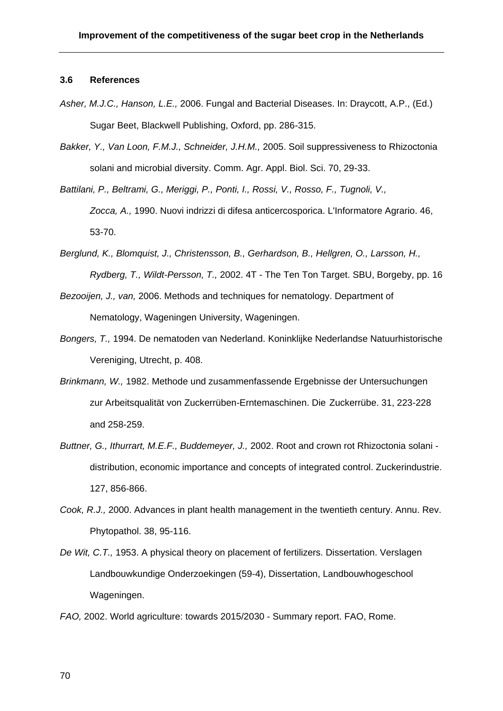### **3.6 References**

- *Asher, M.J.C., Hanson, L.E.,* 2006. Fungal and Bacterial Diseases. In: Draycott, A.P., (Ed.) Sugar Beet, Blackwell Publishing, Oxford, pp. 286-315.
- *Bakker, Y., Van Loon, F.M.J., Schneider, J.H.M.,* 2005. Soil suppressiveness to Rhizoctonia solani and microbial diversity. Comm. Agr. Appl. Biol. Sci. 70, 29-33.
- *Battilani, P., Beltrami, G., Meriggi, P., Ponti, I., Rossi, V., Rosso, F., Tugnoli, V., Zocca, A.,* 1990. Nuovi indrizzi di difesa anticercosporica. L'Informatore Agrario. 46, 53-70.
- *Berglund, K., Blomquist, J., Christensson, B., Gerhardson, B., Hellgren, O., Larsson, H., Rydberg, T., Wildt-Persson, T.,* 2002. 4T - The Ten Ton Target. SBU, Borgeby, pp. 16
- *Bezooijen, J., van,* 2006. Methods and techniques for nematology. Department of Nematology, Wageningen University, Wageningen.
- *Bongers, T.,* 1994. De nematoden van Nederland. Koninklijke Nederlandse Natuurhistorische Vereniging, Utrecht, p. 408.
- *Brinkmann, W.,* 1982. Methode und zusammenfassende Ergebnisse der Untersuchungen zur Arbeitsqualität von Zuckerrüben-Erntemaschinen. Die Zuckerrübe. 31, 223-228 and 258-259.
- *Buttner, G., Ithurrart, M.E.F., Buddemeyer, J.,* 2002. Root and crown rot Rhizoctonia solani distribution, economic importance and concepts of integrated control. Zuckerindustrie. 127, 856-866.
- *Cook, R.J.,* 2000. Advances in plant health management in the twentieth century. Annu. Rev. Phytopathol. 38, 95-116.
- *De Wit, C.T.,* 1953. A physical theory on placement of fertilizers. Dissertation. Verslagen Landbouwkundige Onderzoekingen (59-4), Dissertation, Landbouwhogeschool Wageningen.
- *FAO,* 2002. World agriculture: towards 2015/2030 Summary report. FAO, Rome.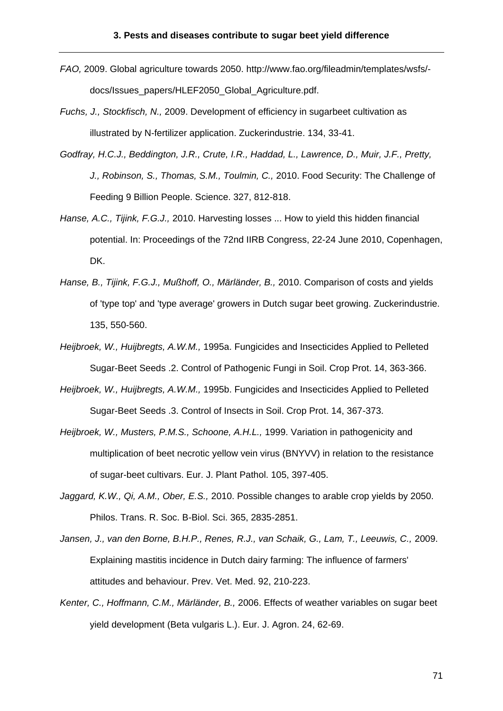- *FAO,* 2009. Global agriculture towards 2050. http://www.fao.org/fileadmin/templates/wsfs/ docs/Issues\_papers/HLEF2050\_Global\_Agriculture.pdf.
- *Fuchs, J., Stockfisch, N.,* 2009. Development of efficiency in sugarbeet cultivation as illustrated by N-fertilizer application. Zuckerindustrie. 134, 33-41.
- *Godfray, H.C.J., Beddington, J.R., Crute, I.R., Haddad, L., Lawrence, D., Muir, J.F., Pretty, J., Robinson, S., Thomas, S.M., Toulmin, C.,* 2010. Food Security: The Challenge of Feeding 9 Billion People. Science. 327, 812-818.
- *Hanse, A.C., Tijink, F.G.J.,* 2010. Harvesting losses ... How to yield this hidden financial potential. In: Proceedings of the 72nd IIRB Congress, 22-24 June 2010, Copenhagen, DK.
- *Hanse, B., Tijink, F.G.J., Mußhoff, O., Märländer, B.,* 2010. Comparison of costs and yields of 'type top' and 'type average' growers in Dutch sugar beet growing. Zuckerindustrie. 135, 550-560.
- *Heijbroek, W., Huijbregts, A.W.M.,* 1995a. Fungicides and Insecticides Applied to Pelleted Sugar-Beet Seeds .2. Control of Pathogenic Fungi in Soil. Crop Prot. 14, 363-366.
- *Heijbroek, W., Huijbregts, A.W.M.,* 1995b. Fungicides and Insecticides Applied to Pelleted Sugar-Beet Seeds .3. Control of Insects in Soil. Crop Prot. 14, 367-373.
- *Heijbroek, W., Musters, P.M.S., Schoone, A.H.L.,* 1999. Variation in pathogenicity and multiplication of beet necrotic yellow vein virus (BNYVV) in relation to the resistance of sugar-beet cultivars. Eur. J. Plant Pathol. 105, 397-405.
- *Jaggard, K.W., Qi, A.M., Ober, E.S.,* 2010. Possible changes to arable crop yields by 2050. Philos. Trans. R. Soc. B-Biol. Sci. 365, 2835-2851.
- *Jansen, J., van den Borne, B.H.P., Renes, R.J., van Schaik, G., Lam, T., Leeuwis, C.,* 2009. Explaining mastitis incidence in Dutch dairy farming: The influence of farmers' attitudes and behaviour. Prev. Vet. Med. 92, 210-223.
- *Kenter, C., Hoffmann, C.M., Märländer, B.,* 2006. Effects of weather variables on sugar beet yield development (Beta vulgaris L.). Eur. J. Agron. 24, 62-69.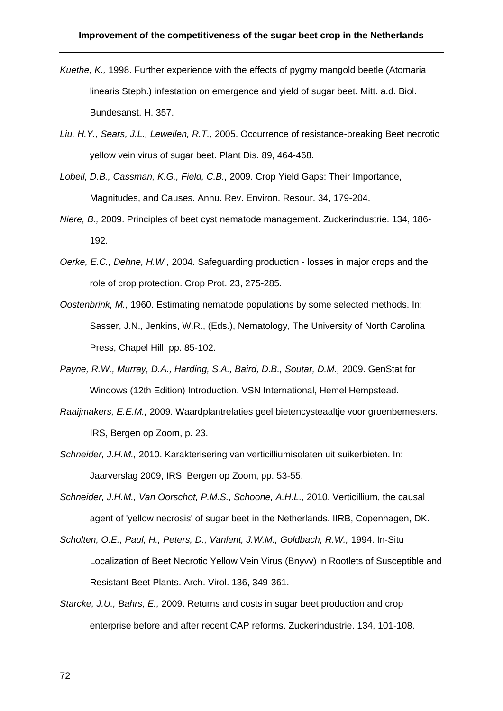- *Kuethe, K.,* 1998. Further experience with the effects of pygmy mangold beetle (Atomaria linearis Steph.) infestation on emergence and yield of sugar beet. Mitt. a.d. Biol. Bundesanst. H. 357.
- *Liu, H.Y., Sears, J.L., Lewellen, R.T.,* 2005. Occurrence of resistance-breaking Beet necrotic yellow vein virus of sugar beet. Plant Dis. 89, 464-468.
- *Lobell, D.B., Cassman, K.G., Field, C.B.,* 2009. Crop Yield Gaps: Their Importance, Magnitudes, and Causes. Annu. Rev. Environ. Resour. 34, 179-204.
- *Niere, B.,* 2009. Principles of beet cyst nematode management. Zuckerindustrie. 134, 186- 192.
- *Oerke, E.C., Dehne, H.W.,* 2004. Safeguarding production losses in major crops and the role of crop protection. Crop Prot. 23, 275-285.
- *Oostenbrink, M.,* 1960. Estimating nematode populations by some selected methods. In: Sasser, J.N., Jenkins, W.R., (Eds.), Nematology, The University of North Carolina Press, Chapel Hill, pp. 85-102.
- *Payne, R.W., Murray, D.A., Harding, S.A., Baird, D.B., Soutar, D.M.,* 2009. GenStat for Windows (12th Edition) Introduction. VSN International, Hemel Hempstead.
- *Raaijmakers, E.E.M.,* 2009. Waardplantrelaties geel bietencysteaaltje voor groenbemesters. IRS, Bergen op Zoom, p. 23.
- *Schneider, J.H.M.,* 2010. Karakterisering van verticilliumisolaten uit suikerbieten. In: Jaarverslag 2009, IRS, Bergen op Zoom, pp. 53-55.
- *Schneider, J.H.M., Van Oorschot, P.M.S., Schoone, A.H.L.,* 2010. Verticillium, the causal agent of 'yellow necrosis' of sugar beet in the Netherlands. IIRB, Copenhagen, DK.
- *Scholten, O.E., Paul, H., Peters, D., Vanlent, J.W.M., Goldbach, R.W.,* 1994. In-Situ Localization of Beet Necrotic Yellow Vein Virus (Bnyvv) in Rootlets of Susceptible and Resistant Beet Plants. Arch. Virol. 136, 349-361.
- *Starcke, J.U., Bahrs, E.,* 2009. Returns and costs in sugar beet production and crop enterprise before and after recent CAP reforms. Zuckerindustrie. 134, 101-108.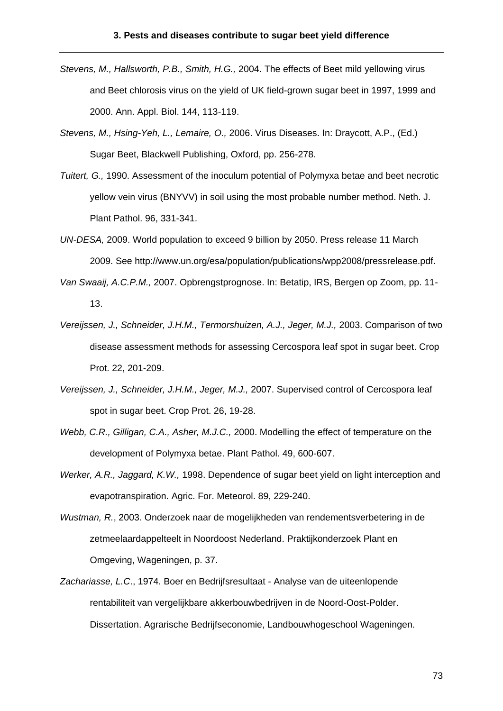- *Stevens, M., Hallsworth, P.B., Smith, H.G.,* 2004. The effects of Beet mild yellowing virus and Beet chlorosis virus on the yield of UK field-grown sugar beet in 1997, 1999 and 2000. Ann. Appl. Biol. 144, 113-119.
- *Stevens, M., Hsing-Yeh, L., Lemaire, O.,* 2006. Virus Diseases. In: Draycott, A.P., (Ed.) Sugar Beet, Blackwell Publishing, Oxford, pp. 256-278.
- *Tuitert, G.,* 1990. Assessment of the inoculum potential of Polymyxa betae and beet necrotic yellow vein virus (BNYVV) in soil using the most probable number method. Neth. J. Plant Pathol. 96, 331-341.
- *UN-DESA,* 2009. World population to exceed 9 billion by 2050. Press release 11 March 2009. See http://www.un.org/esa/population/publications/wpp2008/pressrelease.pdf.
- *Van Swaaij, A.C.P.M.,* 2007. Opbrengstprognose. In: Betatip, IRS, Bergen op Zoom, pp. 11- 13.
- *Vereijssen, J., Schneider, J.H.M., Termorshuizen, A.J., Jeger, M.J.,* 2003. Comparison of two disease assessment methods for assessing Cercospora leaf spot in sugar beet. Crop Prot. 22, 201-209.
- *Vereijssen, J., Schneider, J.H.M., Jeger, M.J.,* 2007. Supervised control of Cercospora leaf spot in sugar beet. Crop Prot. 26, 19-28.
- *Webb, C.R., Gilligan, C.A., Asher, M.J.C.,* 2000. Modelling the effect of temperature on the development of Polymyxa betae. Plant Pathol. 49, 600-607.
- *Werker, A.R., Jaggard, K.W.,* 1998. Dependence of sugar beet yield on light interception and evapotranspiration. Agric. For. Meteorol. 89, 229-240.
- *Wustman, R.*, 2003. Onderzoek naar de mogelijkheden van rendementsverbetering in de zetmeelaardappelteelt in Noordoost Nederland. Praktijkonderzoek Plant en Omgeving, Wageningen, p. 37.
- *Zachariasse, L.C*., 1974. Boer en Bedrijfsresultaat Analyse van de uiteenlopende rentabiliteit van vergelijkbare akkerbouwbedrijven in de Noord-Oost-Polder. Dissertation. Agrarische Bedrijfseconomie, Landbouwhogeschool Wageningen.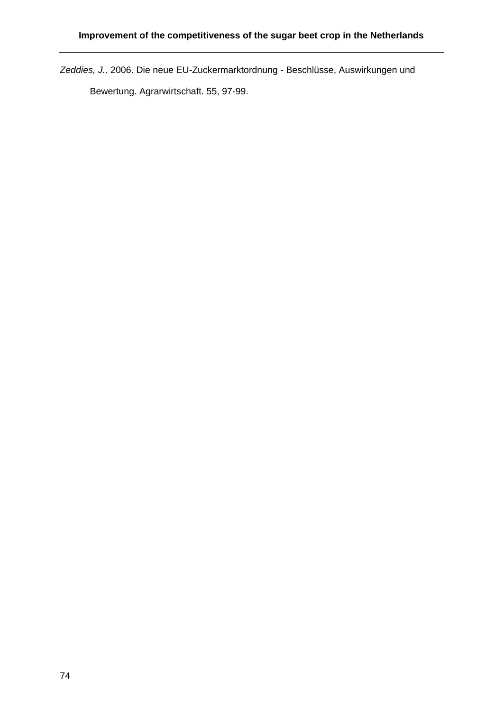*Zeddies, J.,* 2006. Die neue EU-Zuckermarktordnung - Beschlüsse, Auswirkungen und

Bewertung. Agrarwirtschaft. 55, 97-99.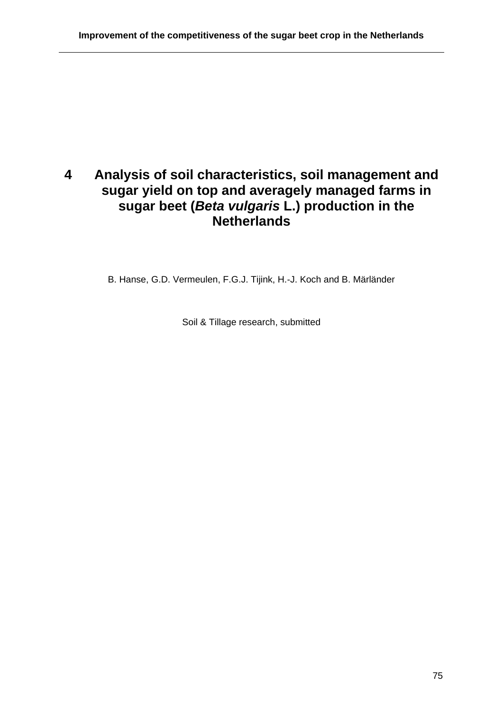# **4 Analysis of soil characteristics, soil management and sugar yield on top and averagely managed farms in sugar beet (***Beta vulgaris* **L.) production in the Netherlands**

B. Hanse, G.D. Vermeulen, F.G.J. Tijink, H.-J. Koch and B. Märländer

Soil & Tillage research, submitted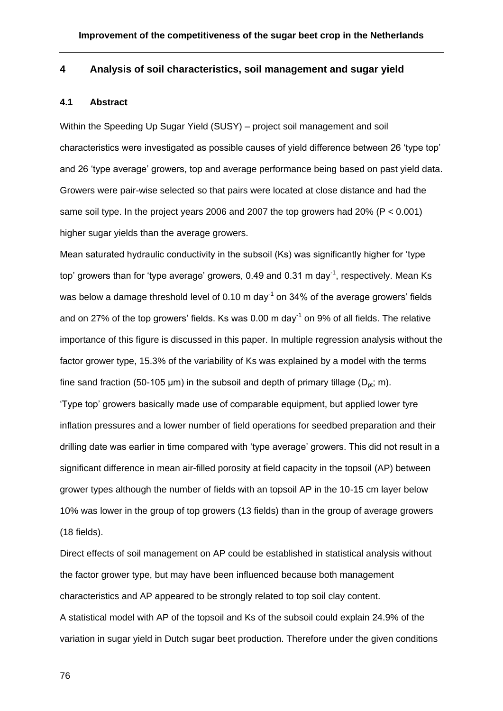# **4 Analysis of soil characteristics, soil management and sugar yield**

#### **4.1 Abstract**

Within the Speeding Up Sugar Yield (SUSY) – project soil management and soil characteristics were investigated as possible causes of yield difference between 26 'type top' and 26 'type average' growers, top and average performance being based on past yield data. Growers were pair-wise selected so that pairs were located at close distance and had the same soil type. In the project years 2006 and 2007 the top growers had 20% (P < 0.001) higher sugar yields than the average growers.

Mean saturated hydraulic conductivity in the subsoil (Ks) was significantly higher for 'type top' growers than for 'type average' growers, 0.49 and 0.31 m day<sup>-1</sup>, respectively. Mean Ks was below a damage threshold level of 0.10 m day<sup>-1</sup> on 34% of the average growers' fields and on 27% of the top growers' fields. Ks was 0.00 m day<sup>-1</sup> on 9% of all fields. The relative importance of this figure is discussed in this paper. In multiple regression analysis without the factor grower type, 15.3% of the variability of Ks was explained by a model with the terms fine sand fraction (50-105  $\mu$ m) in the subsoil and depth of primary tillage ( $D_{\text{nt}}$ ; m).

'Type top' growers basically made use of comparable equipment, but applied lower tyre inflation pressures and a lower number of field operations for seedbed preparation and their drilling date was earlier in time compared with 'type average' growers. This did not result in a significant difference in mean air-filled porosity at field capacity in the topsoil (AP) between grower types although the number of fields with an topsoil AP in the 10-15 cm layer below 10% was lower in the group of top growers (13 fields) than in the group of average growers (18 fields).

Direct effects of soil management on AP could be established in statistical analysis without the factor grower type, but may have been influenced because both management characteristics and AP appeared to be strongly related to top soil clay content. A statistical model with AP of the topsoil and Ks of the subsoil could explain 24.9% of the variation in sugar yield in Dutch sugar beet production. Therefore under the given conditions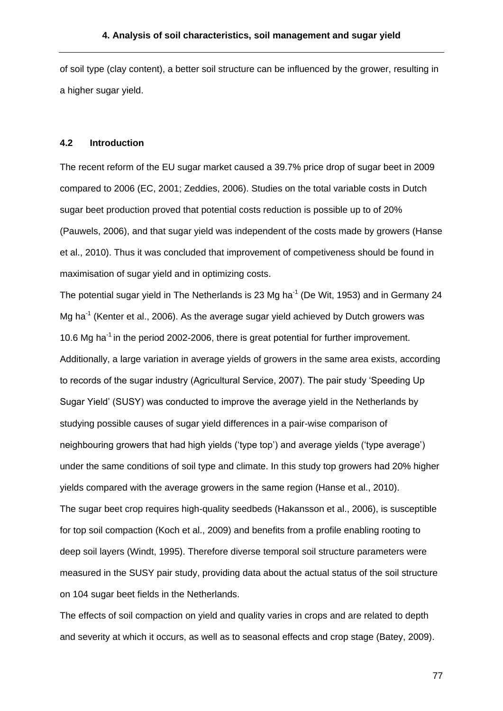of soil type (clay content), a better soil structure can be influenced by the grower, resulting in a higher sugar yield.

#### **4.2 Introduction**

The recent reform of the EU sugar market caused a 39.7% price drop of sugar beet in 2009 compared to 2006 (EC, 2001; Zeddies, 2006). Studies on the total variable costs in Dutch sugar beet production proved that potential costs reduction is possible up to of 20% (Pauwels, 2006), and that sugar yield was independent of the costs made by growers (Hanse et al., 2010). Thus it was concluded that improvement of competiveness should be found in maximisation of sugar yield and in optimizing costs.

The potential sugar yield in The Netherlands is 23 Mg ha<sup>-1</sup> (De Wit, 1953) and in Germany 24 Mg ha<sup>-1</sup> (Kenter et al., 2006). As the average sugar yield achieved by Dutch growers was 10.6 Mg ha<sup>-1</sup> in the period 2002-2006, there is great potential for further improvement. Additionally, a large variation in average yields of growers in the same area exists, according to records of the sugar industry (Agricultural Service, 2007). The pair study 'Speeding Up Sugar Yield' (SUSY) was conducted to improve the average yield in the Netherlands by studying possible causes of sugar yield differences in a pair-wise comparison of neighbouring growers that had high yields ('type top') and average yields ('type average') under the same conditions of soil type and climate. In this study top growers had 20% higher yields compared with the average growers in the same region (Hanse et al., 2010). The sugar beet crop requires high-quality seedbeds (Hakansson et al., 2006), is susceptible for top soil compaction (Koch et al., 2009) and benefits from a profile enabling rooting to deep soil layers (Windt, 1995). Therefore diverse temporal soil structure parameters were measured in the SUSY pair study, providing data about the actual status of the soil structure on 104 sugar beet fields in the Netherlands.

The effects of soil compaction on yield and quality varies in crops and are related to depth and severity at which it occurs, as well as to seasonal effects and crop stage (Batey, 2009).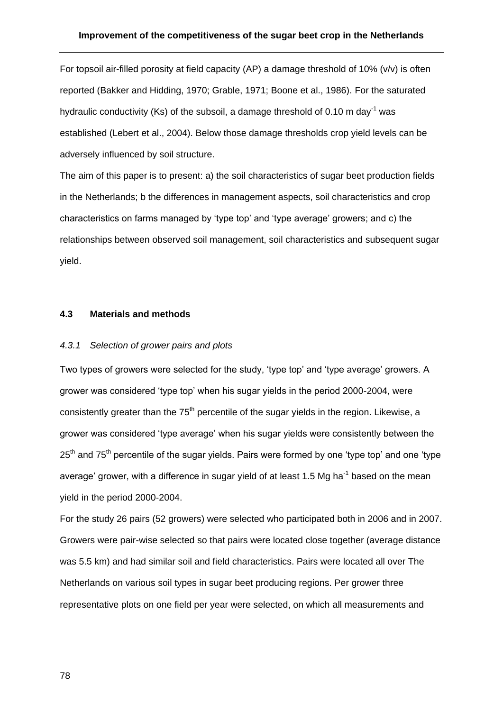For topsoil air-filled porosity at field capacity (AP) a damage threshold of 10% (v/v) is often reported (Bakker and Hidding, 1970; Grable, 1971; Boone et al., 1986). For the saturated hydraulic conductivity (Ks) of the subsoil, a damage threshold of 0.10 m day<sup>-1</sup> was established (Lebert et al., 2004). Below those damage thresholds crop yield levels can be adversely influenced by soil structure.

The aim of this paper is to present: a) the soil characteristics of sugar beet production fields in the Netherlands; b the differences in management aspects, soil characteristics and crop characteristics on farms managed by 'type top' and 'type average' growers; and c) the relationships between observed soil management, soil characteristics and subsequent sugar yield.

# **4.3 Materials and methods**

#### *4.3.1 Selection of grower pairs and plots*

Two types of growers were selected for the study, 'type top' and 'type average' growers. A grower was considered 'type top' when his sugar yields in the period 2000-2004, were consistently greater than the  $75<sup>th</sup>$  percentile of the sugar yields in the region. Likewise, a grower was considered 'type average' when his sugar yields were consistently between the  $25<sup>th</sup>$  and  $75<sup>th</sup>$  percentile of the sugar yields. Pairs were formed by one 'type top' and one 'type average' grower, with a difference in sugar yield of at least 1.5 Mg ha<sup>-1</sup> based on the mean yield in the period 2000-2004.

For the study 26 pairs (52 growers) were selected who participated both in 2006 and in 2007. Growers were pair-wise selected so that pairs were located close together (average distance was 5.5 km) and had similar soil and field characteristics. Pairs were located all over The Netherlands on various soil types in sugar beet producing regions. Per grower three representative plots on one field per year were selected, on which all measurements and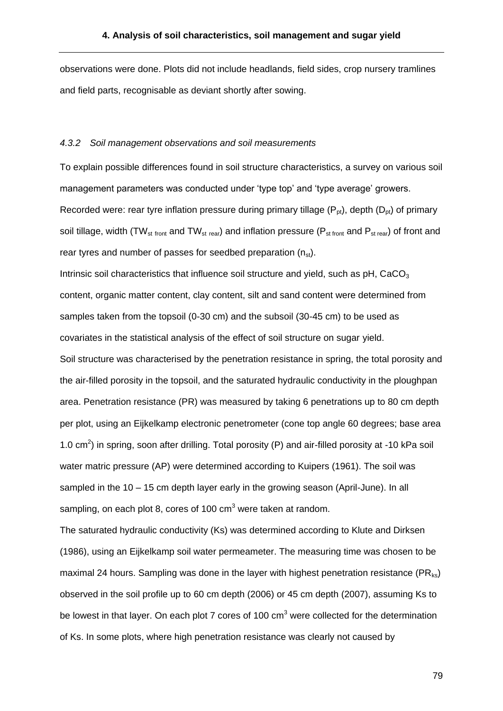observations were done. Plots did not include headlands, field sides, crop nursery tramlines and field parts, recognisable as deviant shortly after sowing.

#### *4.3.2 Soil management observations and soil measurements*

To explain possible differences found in soil structure characteristics, a survey on various soil management parameters was conducted under 'type top' and 'type average' growers. Recorded were: rear tyre inflation pressure during primary tillage  $(P_{pt})$ , depth  $(D_{pt})$  of primary soil tillage, width (TW<sub>st front</sub> and TW<sub>st rear</sub>) and inflation pressure ( $P_{\text{st front}}$  and  $P_{\text{st reach}}$ ) of front and

rear tyres and number of passes for seedbed preparation  $(n_{st})$ .

Intrinsic soil characteristics that influence soil structure and yield, such as  $pH$ , CaCO<sub>3</sub> content, organic matter content, clay content, silt and sand content were determined from samples taken from the topsoil (0-30 cm) and the subsoil (30-45 cm) to be used as covariates in the statistical analysis of the effect of soil structure on sugar yield.

Soil structure was characterised by the penetration resistance in spring, the total porosity and the air-filled porosity in the topsoil, and the saturated hydraulic conductivity in the ploughpan area. Penetration resistance (PR) was measured by taking 6 penetrations up to 80 cm depth per plot, using an Eijkelkamp electronic penetrometer (cone top angle 60 degrees; base area 1.0 cm<sup>2</sup>) in spring, soon after drilling. Total porosity (P) and air-filled porosity at -10 kPa soil water matric pressure (AP) were determined according to Kuipers (1961). The soil was sampled in the 10 – 15 cm depth layer early in the growing season (April-June). In all sampling, on each plot 8, cores of 100  $\text{cm}^3$  were taken at random.

The saturated hydraulic conductivity (Ks) was determined according to Klute and Dirksen (1986), using an Eijkelkamp soil water permeameter. The measuring time was chosen to be maximal 24 hours. Sampling was done in the layer with highest penetration resistance ( $PR_{ks}$ ) observed in the soil profile up to 60 cm depth (2006) or 45 cm depth (2007), assuming Ks to be lowest in that layer. On each plot 7 cores of 100 cm<sup>3</sup> were collected for the determination of Ks. In some plots, where high penetration resistance was clearly not caused by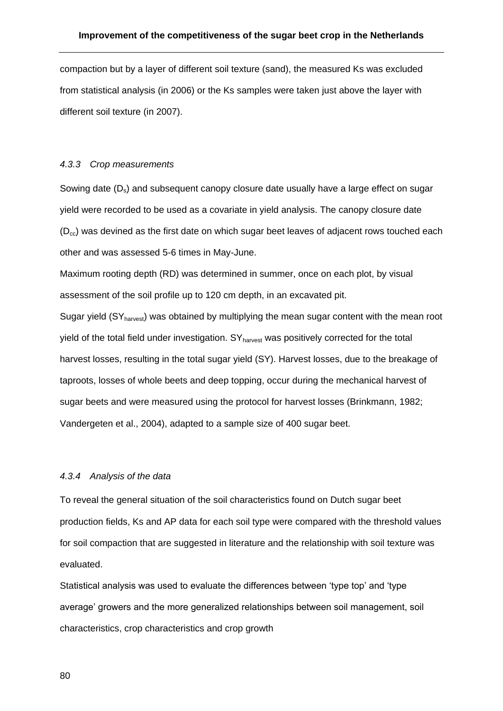compaction but by a layer of different soil texture (sand), the measured Ks was excluded from statistical analysis (in 2006) or the Ks samples were taken just above the layer with different soil texture (in 2007).

#### *4.3.3 Crop measurements*

Sowing date (D<sub>s</sub>) and subsequent canopy closure date usually have a large effect on sugar yield were recorded to be used as a covariate in yield analysis. The canopy closure date  $(D_{cc})$  was devined as the first date on which sugar beet leaves of adjacent rows touched each other and was assessed 5-6 times in May-June.

Maximum rooting depth (RD) was determined in summer, once on each plot, by visual assessment of the soil profile up to 120 cm depth, in an excavated pit.

Sugar yield (SY<sub>harvest</sub>) was obtained by multiplying the mean sugar content with the mean root yield of the total field under investigation. SY<sub>harvest</sub> was positively corrected for the total harvest losses, resulting in the total sugar yield (SY). Harvest losses, due to the breakage of taproots, losses of whole beets and deep topping, occur during the mechanical harvest of sugar beets and were measured using the protocol for harvest losses (Brinkmann, 1982; Vandergeten et al., 2004), adapted to a sample size of 400 sugar beet.

#### *4.3.4 Analysis of the data*

To reveal the general situation of the soil characteristics found on Dutch sugar beet production fields, Ks and AP data for each soil type were compared with the threshold values for soil compaction that are suggested in literature and the relationship with soil texture was evaluated.

Statistical analysis was used to evaluate the differences between 'type top' and 'type average' growers and the more generalized relationships between soil management, soil characteristics, crop characteristics and crop growth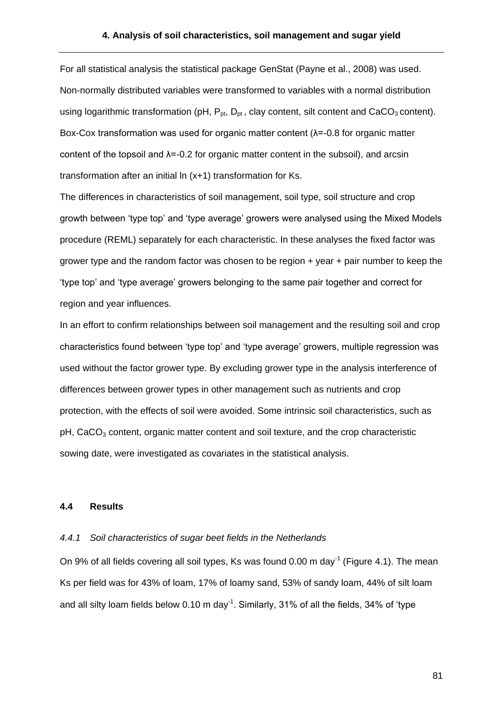For all statistical analysis the statistical package GenStat (Payne et al., 2008) was used. Non-normally distributed variables were transformed to variables with a normal distribution using logarithmic transformation (pH,  $P_{pt}$ ,  $D_{pt}$ , clay content, silt content and CaCO<sub>3</sub> content). Box-Cox transformation was used for organic matter content  $(\lambda = 0.8$  for organic matter content of the topsoil and  $\lambda = -0.2$  for organic matter content in the subsoil), and arcsin transformation after an initial ln (x+1) transformation for Ks.

The differences in characteristics of soil management, soil type, soil structure and crop growth between 'type top' and 'type average' growers were analysed using the Mixed Models procedure (REML) separately for each characteristic. In these analyses the fixed factor was grower type and the random factor was chosen to be region + year + pair number to keep the 'type top' and 'type average' growers belonging to the same pair together and correct for region and year influences.

In an effort to confirm relationships between soil management and the resulting soil and crop characteristics found between 'type top' and 'type average' growers, multiple regression was used without the factor grower type. By excluding grower type in the analysis interference of differences between grower types in other management such as nutrients and crop protection, with the effects of soil were avoided. Some intrinsic soil characteristics, such as  $pH$ , CaCO<sub>3</sub> content, organic matter content and soil texture, and the crop characteristic sowing date, were investigated as covariates in the statistical analysis.

# **4.4 Results**

#### *4.4.1 Soil characteristics of sugar beet fields in the Netherlands*

On 9% of all fields covering all soil types, Ks was found 0.00 m day<sup>-1</sup> (Figure 4.1). The mean Ks per field was for 43% of loam, 17% of loamy sand, 53% of sandy loam, 44% of silt loam and all silty loam fields below 0.10 m day<sup>-1</sup>. Similarly, 31% of all the fields, 34% of 'type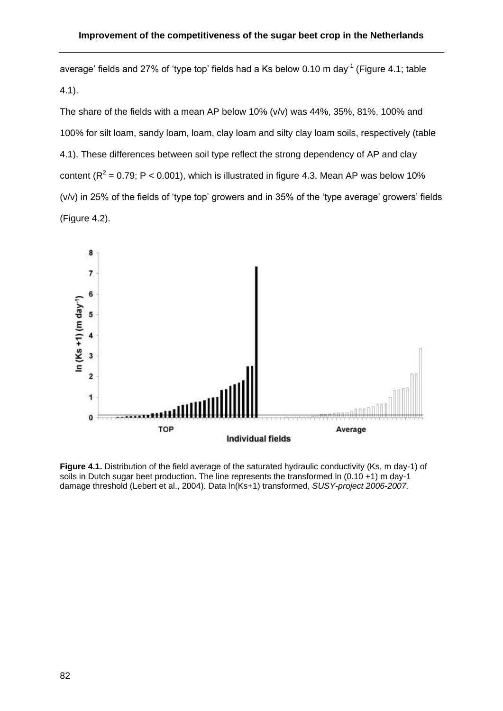average' fields and 27% of 'type top' fields had a Ks below 0.10 m day<sup>-1</sup> (Figure 4.1; table 4.1).

The share of the fields with a mean AP below 10% (v/v) was 44%, 35%, 81%, 100% and 100% for silt loam, sandy loam, loam, clay loam and silty clay loam soils, respectively (table 4.1). These differences between soil type reflect the strong dependency of AP and clay content ( $R^2$  = 0.79; P < 0.001), which is illustrated in figure 4.3. Mean AP was below 10% (v/v) in 25% of the fields of 'type top' growers and in 35% of the 'type average' growers' fields (Figure 4.2).



**Figure 4.1.** Distribution of the field average of the saturated hydraulic conductivity (Ks, m day-1) of soils in Dutch sugar beet production. The line represents the transformed ln (0.10 +1) m day-1 damage threshold (Lebert et al., 2004). Data ln(Ks+1) transformed, *SUSY-project 2006-2007.*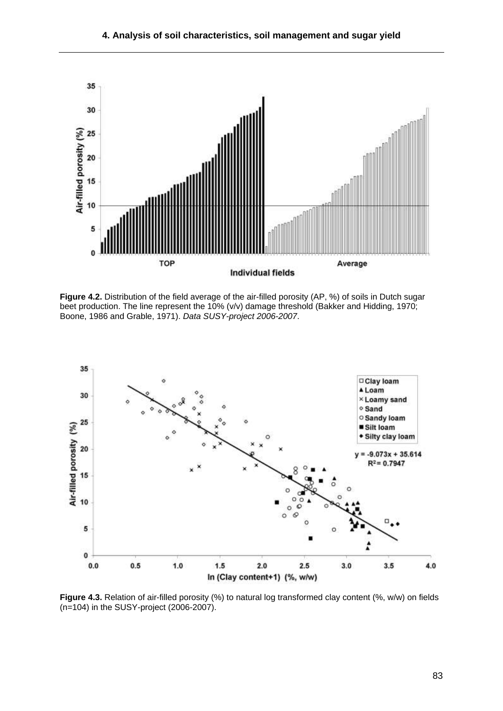

**Figure 4.2.** Distribution of the field average of the air-filled porosity (AP, %) of soils in Dutch sugar beet production. The line represent the 10% (v/v) damage threshold (Bakker and Hidding, 1970; Boone, 1986 and Grable, 1971). *Data SUSY-project 2006-2007*.



Figure 4.3. Relation of air-filled porosity (%) to natural log transformed clay content (%, w/w) on fields (n=104) in the SUSY-project (2006-2007).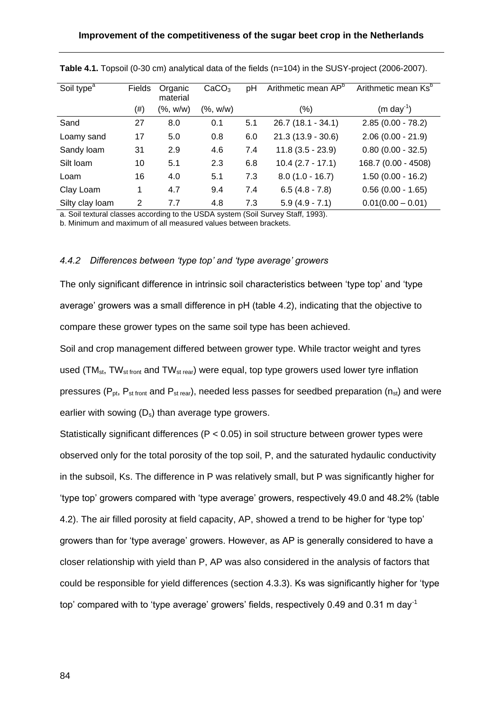| Soil type <sup><math>a</math></sup> | <b>Fields</b> | Organic<br>material | CaCO <sub>3</sub> | рH  | Arithmetic mean AP <sup>b</sup> | Arithmetic mean Ks <sup>b</sup> |
|-------------------------------------|---------------|---------------------|-------------------|-----|---------------------------------|---------------------------------|
|                                     | (#)           | $(\% , w/w)$        | (%, w/w)          |     | $(\%)$                          | $(m day-1)$                     |
| Sand                                | 27            | 8.0                 | 0.1               | 5.1 | 26.7 (18.1 - 34.1)              | $2.85(0.00 - 78.2)$             |
| Loamy sand                          | 17            | 5.0                 | 0.8               | 6.0 | $21.3(13.9 - 30.6)$             | $2.06(0.00 - 21.9)$             |
| Sandy loam                          | 31            | 2.9                 | 4.6               | 7.4 | $11.8(3.5 - 23.9)$              | $0.80(0.00 - 32.5)$             |
| Silt loam                           | 10            | 5.1                 | 2.3               | 6.8 | $10.4(2.7 - 17.1)$              | 168.7 (0.00 - 4508)             |
| Loam                                | 16            | 4.0                 | 5.1               | 7.3 | $8.0(1.0 - 16.7)$               | $1.50(0.00 - 16.2)$             |
| Clay Loam                           | 1             | 4.7                 | 9.4               | 7.4 | $6.5(4.8 - 7.8)$                | $0.56(0.00 - 1.65)$             |
| Silty clay loam                     | 2             | 7.7                 | 4.8               | 7.3 | $5.9(4.9 - 7.1)$                | $0.01(0.00 - 0.01)$             |

**Table 4.1.** Topsoil (0-30 cm) analytical data of the fields (n=104) in the SUSY-project (2006-2007).

a. Soil textural classes according to the USDA system (Soil Survey Staff, 1993).

b. Minimum and maximum of all measured values between brackets.

#### *4.4.2 Differences between 'type top' and 'type average' growers*

The only significant difference in intrinsic soil characteristics between 'type top' and 'type average' growers was a small difference in pH (table 4.2), indicating that the objective to compare these grower types on the same soil type has been achieved.

Soil and crop management differed between grower type. While tractor weight and tyres used (TM<sub>st</sub>, TW<sub>st front</sub> and TW<sub>st rear</sub>) were equal, top type growers used lower tyre inflation pressures ( $P_{\text{ot}}$ ,  $P_{\text{st front}}$  and  $P_{\text{st rear}}$ ), needed less passes for seedbed preparation ( $n_{\text{st}}$ ) and were earlier with sowing  $(D_s)$  than average type growers.

Statistically significant differences ( $P < 0.05$ ) in soil structure between grower types were observed only for the total porosity of the top soil, P, and the saturated hydaulic conductivity in the subsoil, Ks. The difference in P was relatively small, but P was significantly higher for 'type top' growers compared with 'type average' growers, respectively 49.0 and 48.2% (table 4.2). The air filled porosity at field capacity, AP, showed a trend to be higher for 'type top' growers than for 'type average' growers. However, as AP is generally considered to have a closer relationship with yield than P, AP was also considered in the analysis of factors that could be responsible for yield differences (section 4.3.3). Ks was significantly higher for 'type top' compared with to 'type average' growers' fields, respectively 0.49 and 0.31 m day<sup>-1</sup>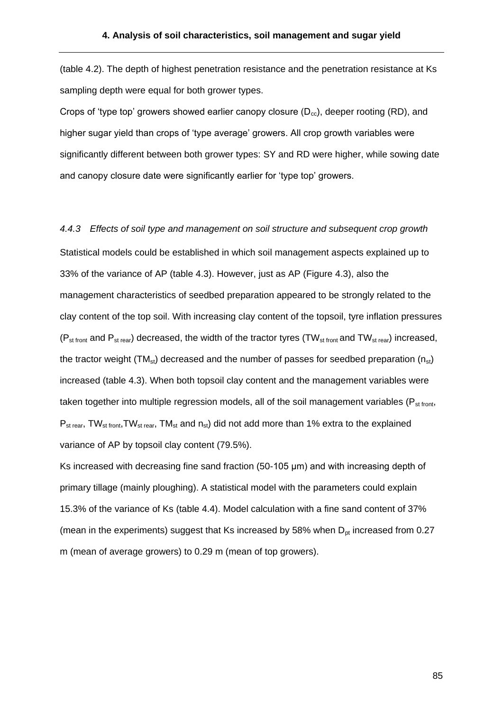(table 4.2). The depth of highest penetration resistance and the penetration resistance at Ks sampling depth were equal for both grower types.

Crops of 'type top' growers showed earlier canopy closure  $(D_{\infty})$ , deeper rooting (RD), and higher sugar yield than crops of 'type average' growers. All crop growth variables were significantly different between both grower types: SY and RD were higher, while sowing date and canopy closure date were significantly earlier for 'type top' growers.

*4.4.3 Effects of soil type and management on soil structure and subsequent crop growth* Statistical models could be established in which soil management aspects explained up to 33% of the variance of AP (table 4.3). However, just as AP (Figure 4.3), also the management characteristics of seedbed preparation appeared to be strongly related to the clay content of the top soil. With increasing clay content of the topsoil, tyre inflation pressures  $(P_{st front}$  and  $P_{st rear}$ ) decreased, the width of the tractor tyres (TW<sub>st front</sub> and TW<sub>st rear</sub>) increased, the tractor weight (TM<sub>st</sub>) decreased and the number of passes for seedbed preparation ( $n_{st}$ ) increased (table 4.3). When both topsoil clay content and the management variables were taken together into multiple regression models, all of the soil management variables ( $P_{\text{st front}}$ ,  $P_{\text{st rear}}$ , TW<sub>st front</sub>, TW<sub>st rear</sub>, TM<sub>st</sub> and n<sub>st</sub>) did not add more than 1% extra to the explained variance of AP by topsoil clay content (79.5%).

Ks increased with decreasing fine sand fraction (50-105 μm) and with increasing depth of primary tillage (mainly ploughing). A statistical model with the parameters could explain 15.3% of the variance of Ks (table 4.4). Model calculation with a fine sand content of 37% (mean in the experiments) suggest that Ks increased by 58% when  $D_{\text{ot}}$  increased from 0.27 m (mean of average growers) to 0.29 m (mean of top growers).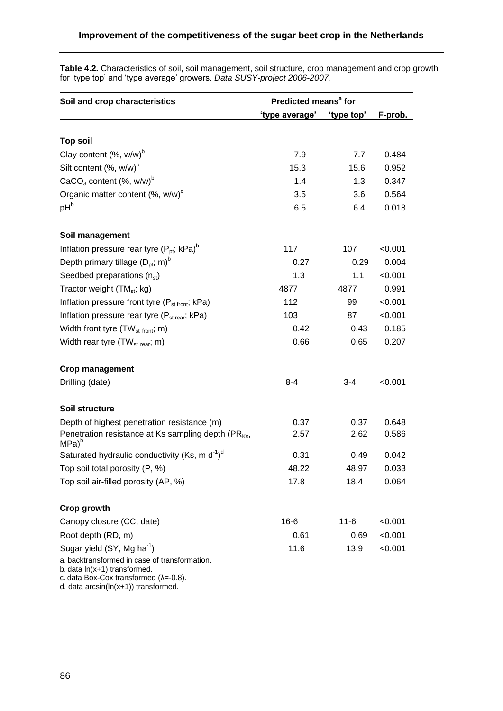**Table 4.2.** Characteristics of soil, soil management, soil structure, crop management and crop growth for 'type top' and 'type average' growers. *Data SUSY-project 2006-2007.*

| Soil and crop characteristics                                               | Predicted means <sup>a</sup> for |            |         |
|-----------------------------------------------------------------------------|----------------------------------|------------|---------|
|                                                                             | 'type average'                   | 'type top' | F-prob. |
|                                                                             |                                  |            |         |
| <b>Top soil</b>                                                             |                                  |            |         |
| Clay content $(\% , w/w)^{b}$                                               | 7.9                              | 7.7        | 0.484   |
| Silt content $(\% , w/w)^b$                                                 | 15.3                             | 15.6       | 0.952   |
| CaCO <sub>3</sub> content $(\% , w/w)^b$                                    | 1.4                              | 1.3        | 0.347   |
| Organic matter content (%, w/w) <sup>c</sup>                                | 3.5                              | 3.6        | 0.564   |
| pH <sub>b</sub>                                                             | 6.5                              | 6.4        | 0.018   |
| Soil management                                                             |                                  |            |         |
| Inflation pressure rear tyre $(P_{\text{pt}}; kPa)^{D}$                     | 117                              | 107        | < 0.001 |
| Depth primary tillage $(D_{pt}; m)^b$                                       | 0.27                             | 0.29       | 0.004   |
| Seedbed preparations (n <sub>st</sub> )                                     | 1.3                              | 1.1        | < 0.001 |
| Tractor weight (TM <sub>st</sub> ; kg)                                      | 4877                             | 4877       | 0.991   |
| Inflation pressure front tyre (P <sub>st front</sub> ; kPa)                 | 112                              | 99         | < 0.001 |
| Inflation pressure rear tyre (P <sub>st rear</sub> ; kPa)                   | 103                              | 87         | < 0.001 |
| Width front tyre (TW <sub>st front</sub> ; m)                               | 0.42                             | 0.43       | 0.185   |
| Width rear tyre $(TWst rear; m)$                                            | 0.66                             | 0.65       | 0.207   |
| <b>Crop management</b>                                                      |                                  |            |         |
| Drilling (date)                                                             | $8 - 4$                          | $3 - 4$    | < 0.001 |
| Soil structure                                                              |                                  |            |         |
| Depth of highest penetration resistance (m)                                 | 0.37                             | 0.37       | 0.648   |
| Penetration resistance at Ks sampling depth (PR <sub>Ks</sub> ,<br>$MPa)^b$ | 2.57                             | 2.62       | 0.586   |
| Saturated hydraulic conductivity (Ks, m d <sup>-1)d</sup>                   | 0.31                             | 0.49       | 0.042   |
| Top soil total porosity (P, %)                                              | 48.22                            | 48.97      | 0.033   |
| Top soil air-filled porosity (AP, %)                                        | 17.8                             | 18.4       | 0.064   |
| <b>Crop growth</b>                                                          |                                  |            |         |
| Canopy closure (CC, date)                                                   | $16 - 6$                         | $11 - 6$   | < 0.001 |
| Root depth (RD, m)                                                          | 0.61                             | 0.69       | < 0.001 |
| Sugar yield (SY, Mg ha <sup>-1</sup> )                                      | 11.6                             | 13.9       | < 0.001 |
| a. backtransformed in case of transformation.                               |                                  |            |         |

b. data ln(x+1) transformed.

c. data Box-Cox transformed (λ=-0.8).

d. data arcsin(ln(x+1)) transformed.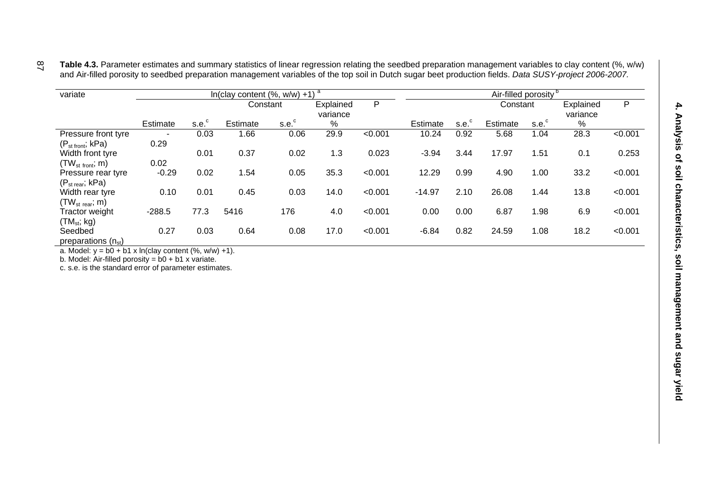**Table 4.3.** Parameter estimates and summary statistics of linear regression relating the seedbed preparation management variables to clay content (%, w/w) and Air-filled porosity to seedbed preparation management variables of the top soil in Dutch sugar beet production fields. *Data SUSY-project 2006-2007.* 87

| variate                       | In(clay content $(\% , w/w) + 1$ ) <sup>a</sup> |                   |          |                   |           | Air-filled porosity <sup>b</sup> |          |                   |          |                   |           |         |
|-------------------------------|-------------------------------------------------|-------------------|----------|-------------------|-----------|----------------------------------|----------|-------------------|----------|-------------------|-----------|---------|
|                               |                                                 |                   | Constant |                   | Explained | P.                               |          |                   | Constant |                   | Explained | P       |
|                               |                                                 | s.e. <sup>c</sup> |          | s.e. <sup>c</sup> | variance  |                                  |          |                   |          |                   | variance  |         |
|                               | Estimate                                        |                   | Estimate |                   | %         |                                  | Estimate | s.e. <sup>c</sup> | Estimate | s.e. <sup>c</sup> | %         |         |
| Pressure front tyre           | ٠                                               | 0.03              | 1.66     | 0.06              | 29.9      | < 0.001                          | 10.24    | 0.92              | 5.68     | 1.04              | 28.3      | < 0.001 |
| (P <sub>st front</sub> ; kPa) | 0.29                                            |                   |          |                   |           |                                  |          |                   |          |                   |           |         |
| Width front tyre              |                                                 | 0.01              | 0.37     | 0.02              | 1.3       | 0.023                            | $-3.94$  | 3.44              | 17.97    | 1.51              | 0.1       | 0.253   |
| (TW <sub>st front</sub> ; m)  | 0.02                                            |                   |          |                   |           |                                  |          |                   |          |                   |           |         |
| Pressure rear tyre            | $-0.29$                                         | 0.02              | 1.54     | 0.05              | 35.3      | < 0.001                          | 12.29    | 0.99              | 4.90     | 1.00              | 33.2      | < 0.001 |
| (P <sub>str</sub> , kPa)      |                                                 |                   |          |                   |           |                                  |          |                   |          |                   |           |         |
| Width rear tyre               | 0.10                                            | 0.01              | 0.45     | 0.03              | 14.0      | < 0.001                          | $-14.97$ | 2.10              | 26.08    | 1.44              | 13.8      | < 0.001 |
| $(TW_{st \text{ rear}}; m)$   |                                                 |                   |          |                   |           |                                  |          |                   |          |                   |           |         |
| Tractor weight                | $-288.5$                                        | 77.3              | 5416     | 176               | 4.0       | < 0.001                          | 0.00     | 0.00              | 6.87     | 1.98              | 6.9       | < 0.001 |
| $(TM_{\rm st};$ kg)           |                                                 |                   |          |                   |           |                                  |          |                   |          |                   |           |         |
| Seedbed                       | 0.27                                            | 0.03              | 0.64     | 0.08              | 17.0      | < 0.001                          | $-6.84$  | 0.82              | 24.59    | 1.08              | 18.2      | < 0.001 |
| preparations $(n_{st})$       |                                                 |                   |          |                   |           |                                  |          |                   |          |                   |           |         |

a. Model:  $y = b0 + b1$  x ln(clay content  $(\% , w/w) + 1$ ).

b. Model: Air-filled porosity = b0 + b1 x variate.

c. s.e. is the standard error of parameter estimates.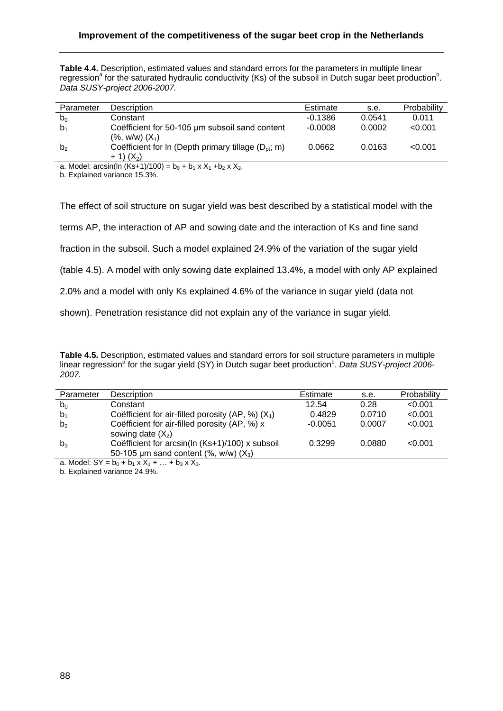## **Improvement of the competitiveness of the sugar beet crop in the Netherlands**

**Table 4.4.** Description, estimated values and standard errors for the parameters in multiple linear regression<sup>a</sup> for the saturated hydraulic conductivity (Ks) of the subsoil in Dutch sugar beet production<sup>b</sup>. *Data SUSY-project 2006-2007.*

| Parameter      | Description                                                                      | Estimate  | s.e.   | Probability |
|----------------|----------------------------------------------------------------------------------|-----------|--------|-------------|
| $b_0$          | Constant                                                                         | $-0.1386$ | 0.0541 | 0.011       |
| b <sub>1</sub> | Coëfficient for 50-105 um subsoil sand content<br>$(\% , w/w)$ $(X_1)$           | $-0.0008$ | 0.0002 | < 0.001     |
| b <sub>2</sub> | Coëfficient for In (Depth primary tillage $(D_{\text{ot}}; m)$ )<br>$+ 1) (X_2)$ | 0.0662    | 0.0163 | < 0.001     |

a. Model:  $arcsin(ln (Ks+1)/100) = b<sub>0</sub> + b<sub>1</sub> x X<sub>1</sub> + b<sub>2</sub> x X<sub>2</sub>$ .

b. Explained variance 15.3%.

The effect of soil structure on sugar yield was best described by a statistical model with the

terms AP, the interaction of AP and sowing date and the interaction of Ks and fine sand

fraction in the subsoil. Such a model explained 24.9% of the variation of the sugar yield

(table 4.5). A model with only sowing date explained 13.4%, a model with only AP explained

2.0% and a model with only Ks explained 4.6% of the variance in sugar yield (data not

shown). Penetration resistance did not explain any of the variance in sugar yield.

**Table 4.5.** Description, estimated values and standard errors for soil structure parameters in multiple linear regression<sup>a</sup> for the sugar yield (SY) in Dutch sugar beet production<sup>b</sup>. *Data SUSY-project 2006-2007.*

| Parameter      | Description                                            | Estimate  | s.e.   | Probability |
|----------------|--------------------------------------------------------|-----------|--------|-------------|
| $b_0$          | Constant                                               | 12.54     | 0.28   | < 0.001     |
| b <sub>1</sub> | Coëfficient for air-filled porosity (AP, %) $(X_1)$    | 0.4829    | 0.0710 | < 0.001     |
| b <sub>2</sub> | Coëfficient for air-filled porosity (AP, %) x          | $-0.0051$ | 0.0007 | < 0.001     |
|                | sowing date $(X_2)$                                    |           |        |             |
| $b_3$          | Coëfficient for arcsin(ln (Ks+1)/100) x subsoil        | 0.3299    | 0.0880 | < 0.001     |
|                | 50-105 $\mu$ m sand content (%, w/w) (X <sub>3</sub> ) |           |        |             |

a. Model:  $SY = b_0 + b_1 \times X_1 + ... + b_3 \times X_3$ .

b. Explained variance 24.9%.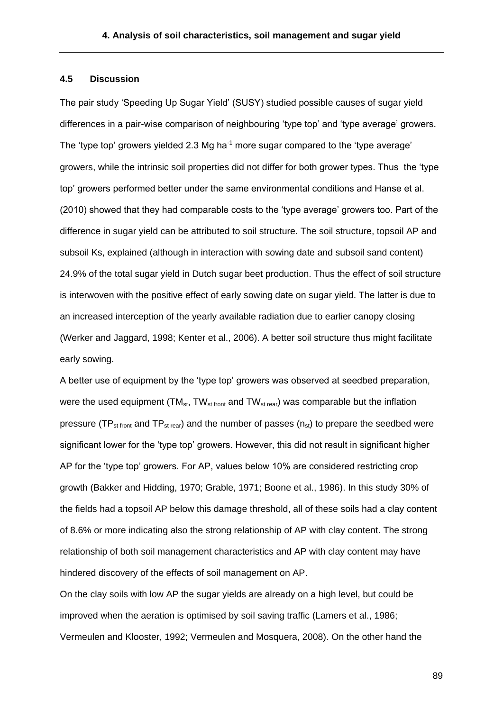## **4.5 Discussion**

The pair study 'Speeding Up Sugar Yield' (SUSY) studied possible causes of sugar yield differences in a pair-wise comparison of neighbouring 'type top' and 'type average' growers. The 'type top' growers yielded 2.3 Mg ha<sup>-1</sup> more sugar compared to the 'type average' growers, while the intrinsic soil properties did not differ for both grower types. Thus the 'type top' growers performed better under the same environmental conditions and Hanse et al. (2010) showed that they had comparable costs to the 'type average' growers too. Part of the difference in sugar yield can be attributed to soil structure. The soil structure, topsoil AP and subsoil Ks, explained (although in interaction with sowing date and subsoil sand content) 24.9% of the total sugar yield in Dutch sugar beet production. Thus the effect of soil structure is interwoven with the positive effect of early sowing date on sugar yield. The latter is due to an increased interception of the yearly available radiation due to earlier canopy closing (Werker and Jaggard, 1998; Kenter et al., 2006). A better soil structure thus might facilitate early sowing.

A better use of equipment by the 'type top' growers was observed at seedbed preparation, were the used equipment ( $TM_{st}$ ,  $TW_{st front}$  and  $TW_{st.}$ ) was comparable but the inflation pressure (TP<sub>st front</sub> and TP<sub>st rear</sub>) and the number of passes ( $n_{st}$ ) to prepare the seedbed were significant lower for the 'type top' growers. However, this did not result in significant higher AP for the 'type top' growers. For AP, values below 10% are considered restricting crop growth (Bakker and Hidding, 1970; Grable, 1971; Boone et al., 1986). In this study 30% of the fields had a topsoil AP below this damage threshold, all of these soils had a clay content of 8.6% or more indicating also the strong relationship of AP with clay content. The strong relationship of both soil management characteristics and AP with clay content may have hindered discovery of the effects of soil management on AP.

On the clay soils with low AP the sugar yields are already on a high level, but could be improved when the aeration is optimised by soil saving traffic (Lamers et al., 1986; Vermeulen and Klooster, 1992; Vermeulen and Mosquera, 2008). On the other hand the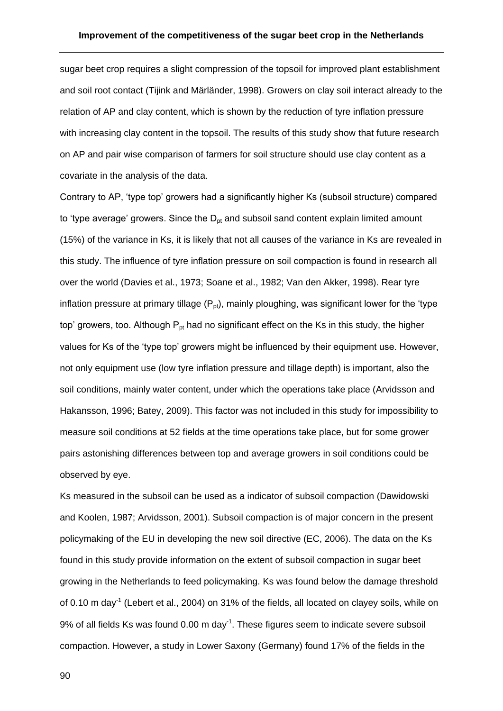sugar beet crop requires a slight compression of the topsoil for improved plant establishment and soil root contact (Tijink and Märländer, 1998). Growers on clay soil interact already to the relation of AP and clay content, which is shown by the reduction of tyre inflation pressure with increasing clay content in the topsoil. The results of this study show that future research on AP and pair wise comparison of farmers for soil structure should use clay content as a covariate in the analysis of the data.

Contrary to AP, 'type top' growers had a significantly higher Ks (subsoil structure) compared to 'type average' growers. Since the  $D_{pt}$  and subsoil sand content explain limited amount (15%) of the variance in Ks, it is likely that not all causes of the variance in Ks are revealed in this study. The influence of tyre inflation pressure on soil compaction is found in research all over the world (Davies et al., 1973; Soane et al., 1982; Van den Akker, 1998). Rear tyre inflation pressure at primary tillage  $(P_{pt})$ , mainly ploughing, was significant lower for the 'type top' growers, too. Although  $P_{pt}$  had no significant effect on the Ks in this study, the higher values for Ks of the 'type top' growers might be influenced by their equipment use. However, not only equipment use (low tyre inflation pressure and tillage depth) is important, also the soil conditions, mainly water content, under which the operations take place (Arvidsson and Hakansson, 1996; Batey, 2009). This factor was not included in this study for impossibility to measure soil conditions at 52 fields at the time operations take place, but for some grower pairs astonishing differences between top and average growers in soil conditions could be observed by eye.

Ks measured in the subsoil can be used as a indicator of subsoil compaction (Dawidowski and Koolen, 1987; Arvidsson, 2001). Subsoil compaction is of major concern in the present policymaking of the EU in developing the new soil directive (EC, 2006). The data on the Ks found in this study provide information on the extent of subsoil compaction in sugar beet growing in the Netherlands to feed policymaking. Ks was found below the damage threshold of 0.10 m day<sup>-1</sup> (Lebert et al., 2004) on 31% of the fields, all located on clayey soils, while on  $9\%$  of all fields Ks was found 0.00 m day<sup>-1</sup>. These figures seem to indicate severe subsoil compaction. However, a study in Lower Saxony (Germany) found 17% of the fields in the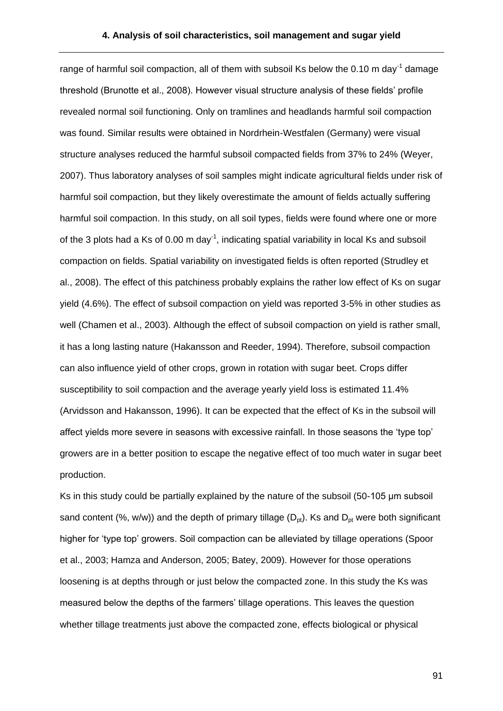range of harmful soil compaction, all of them with subsoil Ks below the 0.10 m day<sup>-1</sup> damage threshold (Brunotte et al., 2008). However visual structure analysis of these fields' profile revealed normal soil functioning. Only on tramlines and headlands harmful soil compaction was found. Similar results were obtained in Nordrhein-Westfalen (Germany) were visual structure analyses reduced the harmful subsoil compacted fields from 37% to 24% (Weyer, 2007). Thus laboratory analyses of soil samples might indicate agricultural fields under risk of harmful soil compaction, but they likely overestimate the amount of fields actually suffering harmful soil compaction. In this study, on all soil types, fields were found where one or more of the 3 plots had a Ks of 0.00 m day<sup>-1</sup>, indicating spatial variability in local Ks and subsoil compaction on fields. Spatial variability on investigated fields is often reported (Strudley et al., 2008). The effect of this patchiness probably explains the rather low effect of Ks on sugar yield (4.6%). The effect of subsoil compaction on yield was reported 3-5% in other studies as well (Chamen et al., 2003). Although the effect of subsoil compaction on yield is rather small, it has a long lasting nature (Hakansson and Reeder, 1994). Therefore, subsoil compaction can also influence yield of other crops, grown in rotation with sugar beet. Crops differ susceptibility to soil compaction and the average yearly yield loss is estimated 11.4% (Arvidsson and Hakansson, 1996). It can be expected that the effect of Ks in the subsoil will affect yields more severe in seasons with excessive rainfall. In those seasons the 'type top' growers are in a better position to escape the negative effect of too much water in sugar beet production.

Ks in this study could be partially explained by the nature of the subsoil (50-105 µm subsoil sand content (%, w/w)) and the depth of primary tillage ( $D_{pt}$ ). Ks and  $D_{pt}$  were both significant higher for 'type top' growers. Soil compaction can be alleviated by tillage operations (Spoor et al., 2003; Hamza and Anderson, 2005; Batey, 2009). However for those operations loosening is at depths through or just below the compacted zone. In this study the Ks was measured below the depths of the farmers' tillage operations. This leaves the question whether tillage treatments just above the compacted zone, effects biological or physical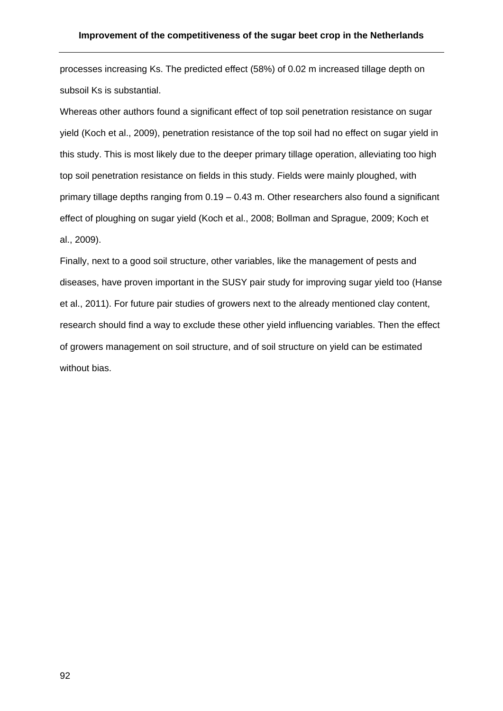processes increasing Ks. The predicted effect (58%) of 0.02 m increased tillage depth on subsoil Ks is substantial.

Whereas other authors found a significant effect of top soil penetration resistance on sugar yield (Koch et al., 2009), penetration resistance of the top soil had no effect on sugar yield in this study. This is most likely due to the deeper primary tillage operation, alleviating too high top soil penetration resistance on fields in this study. Fields were mainly ploughed, with primary tillage depths ranging from 0.19 – 0.43 m. Other researchers also found a significant effect of ploughing on sugar yield (Koch et al., 2008; Bollman and Sprague, 2009; Koch et al., 2009).

Finally, next to a good soil structure, other variables, like the management of pests and diseases, have proven important in the SUSY pair study for improving sugar yield too (Hanse et al., 2011). For future pair studies of growers next to the already mentioned clay content, research should find a way to exclude these other yield influencing variables. Then the effect of growers management on soil structure, and of soil structure on yield can be estimated without bias.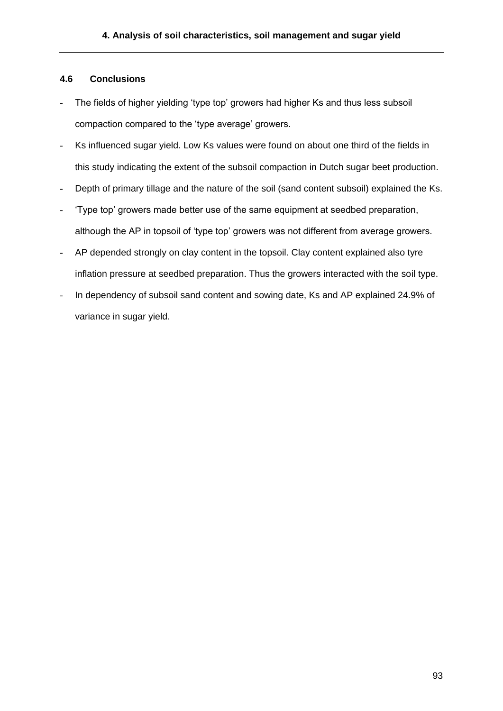# **4.6 Conclusions**

- The fields of higher yielding 'type top' growers had higher Ks and thus less subsoil compaction compared to the 'type average' growers.
- Ks influenced sugar yield. Low Ks values were found on about one third of the fields in this study indicating the extent of the subsoil compaction in Dutch sugar beet production.
- Depth of primary tillage and the nature of the soil (sand content subsoil) explained the Ks.
- 'Type top' growers made better use of the same equipment at seedbed preparation, although the AP in topsoil of 'type top' growers was not different from average growers.
- AP depended strongly on clay content in the topsoil. Clay content explained also tyre inflation pressure at seedbed preparation. Thus the growers interacted with the soil type.
- In dependency of subsoil sand content and sowing date, Ks and AP explained 24.9% of variance in sugar yield.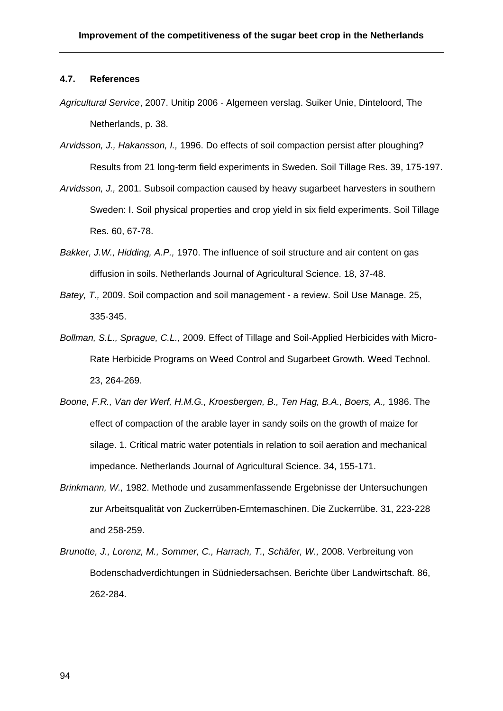## **4.7. References**

- *Agricultural Service*, 2007. Unitip 2006 Algemeen verslag. Suiker Unie, Dinteloord, The Netherlands, p. 38.
- *Arvidsson, J., Hakansson, I.,* 1996. Do effects of soil compaction persist after ploughing? Results from 21 long-term field experiments in Sweden. Soil Tillage Res. 39, 175-197.
- *Arvidsson, J.,* 2001. Subsoil compaction caused by heavy sugarbeet harvesters in southern Sweden: I. Soil physical properties and crop yield in six field experiments. Soil Tillage Res. 60, 67-78.
- *Bakker, J.W., Hidding, A.P.,* 1970. The influence of soil structure and air content on gas diffusion in soils. Netherlands Journal of Agricultural Science. 18, 37-48.
- *Batey, T.,* 2009. Soil compaction and soil management a review. Soil Use Manage. 25, 335-345.
- *Bollman, S.L., Sprague, C.L.,* 2009. Effect of Tillage and Soil-Applied Herbicides with Micro-Rate Herbicide Programs on Weed Control and Sugarbeet Growth. Weed Technol. 23, 264-269.
- *Boone, F.R., Van der Werf, H.M.G., Kroesbergen, B., Ten Hag, B.A., Boers, A.,* 1986. The effect of compaction of the arable layer in sandy soils on the growth of maize for silage. 1. Critical matric water potentials in relation to soil aeration and mechanical impedance. Netherlands Journal of Agricultural Science. 34, 155-171.
- *Brinkmann, W.,* 1982. Methode und zusammenfassende Ergebnisse der Untersuchungen zur Arbeitsqualität von Zuckerrüben-Erntemaschinen. Die Zuckerrübe. 31, 223-228 and 258-259.
- *Brunotte, J., Lorenz, M., Sommer, C., Harrach, T., Schäfer, W.,* 2008. Verbreitung von Bodenschadverdichtungen in Südniedersachsen. Berichte über Landwirtschaft. 86, 262-284.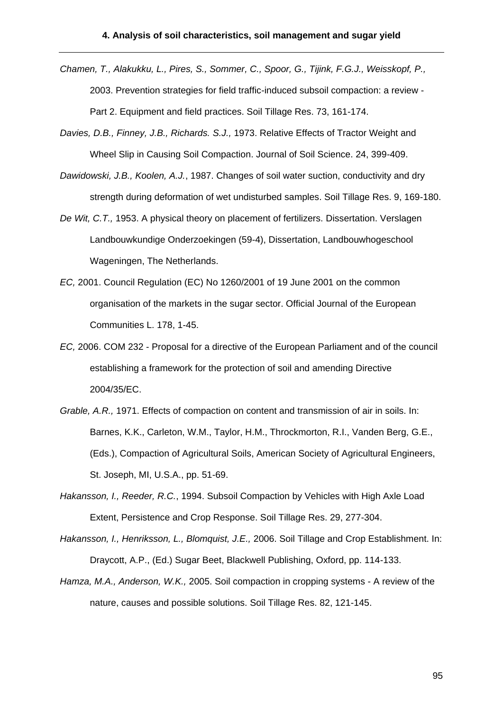- *Chamen, T., Alakukku, L., Pires, S., Sommer, C., Spoor, G., Tijink, F.G.J., Weisskopf, P.,* 2003. Prevention strategies for field traffic-induced subsoil compaction: a review - Part 2. Equipment and field practices. Soil Tillage Res. 73, 161-174.
- *Davies, D.B., Finney, J.B., Richards. S.J.,* 1973. Relative Effects of Tractor Weight and Wheel Slip in Causing Soil Compaction. Journal of Soil Science. 24, 399-409.
- *Dawidowski, J.B., Koolen, A.J.*, 1987. Changes of soil water suction, conductivity and dry strength during deformation of wet undisturbed samples. Soil Tillage Res. 9, 169-180.
- *De Wit, C.T.,* 1953. A physical theory on placement of fertilizers. Dissertation. Verslagen Landbouwkundige Onderzoekingen (59-4), Dissertation, Landbouwhogeschool Wageningen, The Netherlands.
- *EC,* 2001. Council Regulation (EC) No 1260/2001 of 19 June 2001 on the common organisation of the markets in the sugar sector. Official Journal of the European Communities L. 178, 1-45.
- *EC,* 2006. COM 232 Proposal for a directive of the European Parliament and of the council establishing a framework for the protection of soil and amending Directive 2004/35/EC.
- *Grable, A.R.,* 1971. Effects of compaction on content and transmission of air in soils. In: Barnes, K.K., Carleton, W.M., Taylor, H.M., Throckmorton, R.I., Vanden Berg, G.E., (Eds.), Compaction of Agricultural Soils, American Society of Agricultural Engineers, St. Joseph, MI, U.S.A., pp. 51-69.
- *Hakansson, I., Reeder, R.C.*, 1994. Subsoil Compaction by Vehicles with High Axle Load Extent, Persistence and Crop Response. Soil Tillage Res. 29, 277-304.
- *Hakansson, I., Henriksson, L., Blomquist, J.E.,* 2006. Soil Tillage and Crop Establishment. In: Draycott, A.P., (Ed.) Sugar Beet, Blackwell Publishing, Oxford, pp. 114-133.
- *Hamza, M.A., Anderson, W.K.,* 2005. Soil compaction in cropping systems A review of the nature, causes and possible solutions. Soil Tillage Res. 82, 121-145.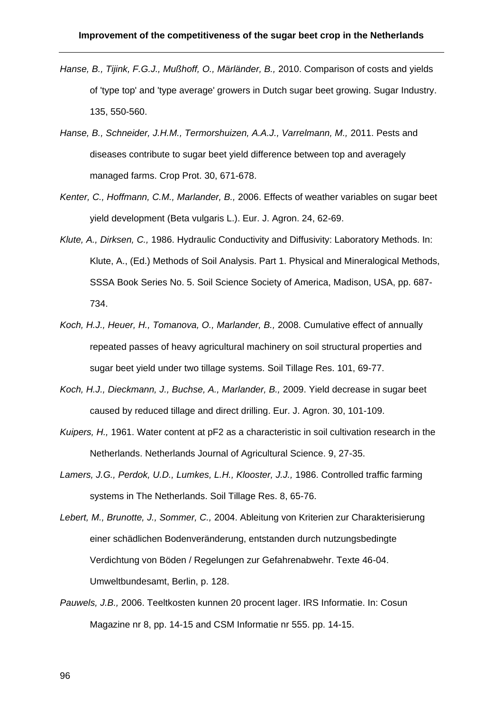- *Hanse, B., Tijink, F.G.J., Mußhoff, O., Märländer, B.,* 2010. Comparison of costs and yields of 'type top' and 'type average' growers in Dutch sugar beet growing. Sugar Industry. 135, 550-560.
- *Hanse, B., Schneider, J.H.M., Termorshuizen, A.A.J., Varrelmann, M.,* 2011. Pests and diseases contribute to sugar beet yield difference between top and averagely managed farms. Crop Prot. 30, 671-678.
- *Kenter, C., Hoffmann, C.M., Marlander, B.,* 2006. Effects of weather variables on sugar beet yield development (Beta vulgaris L.). Eur. J. Agron. 24, 62-69.
- *Klute, A., Dirksen, C.,* 1986. Hydraulic Conductivity and Diffusivity: Laboratory Methods. In: Klute, A., (Ed.) Methods of Soil Analysis. Part 1. Physical and Mineralogical Methods, SSSA Book Series No. 5. Soil Science Society of America, Madison, USA, pp. 687- 734.
- *Koch, H.J., Heuer, H., Tomanova, O., Marlander, B.,* 2008. Cumulative effect of annually repeated passes of heavy agricultural machinery on soil structural properties and sugar beet yield under two tillage systems. Soil Tillage Res. 101, 69-77.
- *Koch, H.J., Dieckmann, J., Buchse, A., Marlander, B.,* 2009. Yield decrease in sugar beet caused by reduced tillage and direct drilling. Eur. J. Agron. 30, 101-109.
- *Kuipers, H.,* 1961. Water content at pF2 as a characteristic in soil cultivation research in the Netherlands. Netherlands Journal of Agricultural Science. 9, 27-35.
- *Lamers, J.G., Perdok, U.D., Lumkes, L.H., Klooster, J.J.,* 1986. Controlled traffic farming systems in The Netherlands. Soil Tillage Res. 8, 65-76.
- *Lebert, M., Brunotte, J., Sommer, C.,* 2004. Ableitung von Kriterien zur Charakterisierung einer schädlichen Bodenveränderung, entstanden durch nutzungsbedingte Verdichtung von Böden / Regelungen zur Gefahrenabwehr. Texte 46-04. Umweltbundesamt, Berlin, p. 128.
- *Pauwels, J.B.,* 2006. Teeltkosten kunnen 20 procent lager. IRS Informatie. In: Cosun Magazine nr 8, pp. 14-15 and CSM Informatie nr 555. pp. 14-15.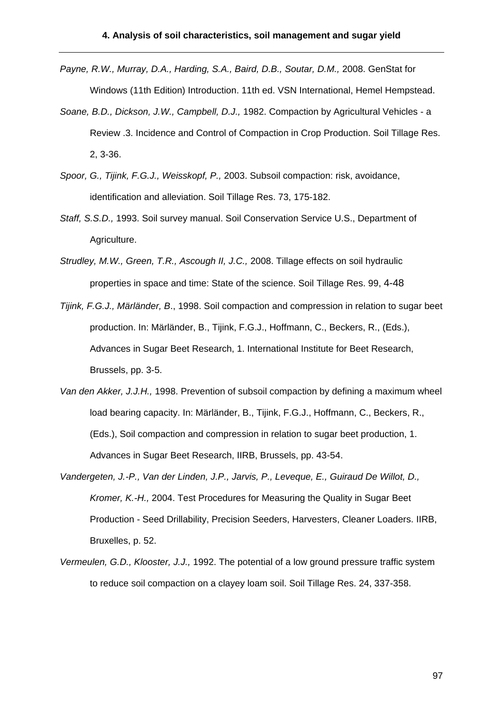- *Payne, R.W., Murray, D.A., Harding, S.A., Baird, D.B., Soutar, D.M.,* 2008. GenStat for Windows (11th Edition) Introduction. 11th ed. VSN International, Hemel Hempstead.
- *Soane, B.D., Dickson, J.W., Campbell, D.J.,* 1982. Compaction by Agricultural Vehicles a Review .3. Incidence and Control of Compaction in Crop Production. Soil Tillage Res. 2, 3-36.
- *Spoor, G., Tijink, F.G.J., Weisskopf, P.,* 2003. Subsoil compaction: risk, avoidance, identification and alleviation. Soil Tillage Res. 73, 175-182.
- *Staff, S.S.D.,* 1993. Soil survey manual. Soil Conservation Service U.S., Department of Agriculture.
- *Strudley, M.W., Green, T.R., Ascough II, J.C.,* 2008. Tillage effects on soil hydraulic properties in space and time: State of the science. Soil Tillage Res. 99, 4-48
- *Tijink, F.G.J., Märländer, B*., 1998. Soil compaction and compression in relation to sugar beet production. In: Märländer, B., Tijink, F.G.J., Hoffmann, C., Beckers, R., (Eds.), Advances in Sugar Beet Research, 1. International Institute for Beet Research, Brussels, pp. 3-5.
- *Van den Akker, J.J.H.,* 1998. Prevention of subsoil compaction by defining a maximum wheel load bearing capacity. In: Märländer, B., Tijink, F.G.J., Hoffmann, C., Beckers, R., (Eds.), Soil compaction and compression in relation to sugar beet production, 1. Advances in Sugar Beet Research, IIRB, Brussels, pp. 43-54.
- *Vandergeten, J.-P., Van der Linden, J.P., Jarvis, P., Leveque, E., Guiraud De Willot, D., Kromer, K.-H.,* 2004. Test Procedures for Measuring the Quality in Sugar Beet Production - Seed Drillability, Precision Seeders, Harvesters, Cleaner Loaders. IIRB, Bruxelles, p. 52.
- *Vermeulen, G.D., Klooster, J.J.,* 1992. The potential of a low ground pressure traffic system to reduce soil compaction on a clayey loam soil. Soil Tillage Res. 24, 337-358.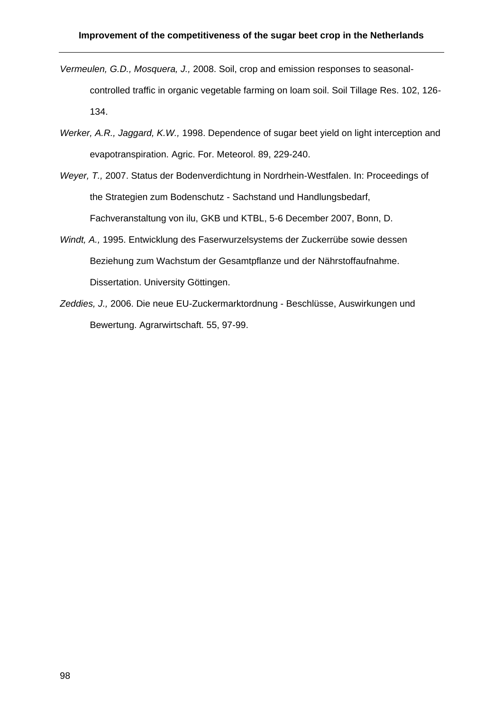- *Vermeulen, G.D., Mosquera, J.,* 2008. Soil, crop and emission responses to seasonalcontrolled traffic in organic vegetable farming on loam soil. Soil Tillage Res. 102, 126- 134.
- *Werker, A.R., Jaggard, K.W.,* 1998. Dependence of sugar beet yield on light interception and evapotranspiration. Agric. For. Meteorol. 89, 229-240.
- *Weyer, T.,* 2007. Status der Bodenverdichtung in Nordrhein-Westfalen. In: Proceedings of the Strategien zum Bodenschutz - Sachstand und Handlungsbedarf, Fachveranstaltung von ilu, GKB und KTBL, 5-6 December 2007, Bonn, D.
- *Windt, A.,* 1995. Entwicklung des Faserwurzelsystems der Zuckerrübe sowie dessen Beziehung zum Wachstum der Gesamtpflanze und der Nährstoffaufnahme. Dissertation. University Göttingen.
- *Zeddies, J.,* 2006. Die neue EU-Zuckermarktordnung Beschlüsse, Auswirkungen und Bewertung. Agrarwirtschaft. 55, 97-99.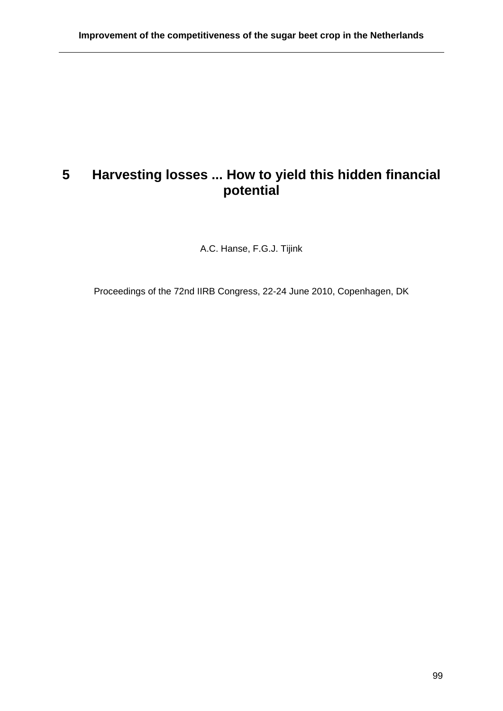# **5 Harvesting losses ... How to yield this hidden financial potential**

A.C. Hanse, F.G.J. Tijink

Proceedings of the 72nd IIRB Congress, 22-24 June 2010, Copenhagen, DK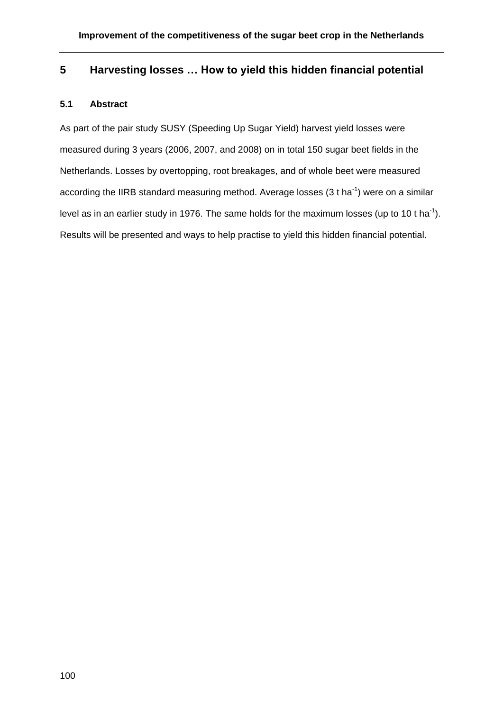# **5 Harvesting losses … How to yield this hidden financial potential**

# **5.1 Abstract**

As part of the pair study SUSY (Speeding Up Sugar Yield) harvest yield losses were measured during 3 years (2006, 2007, and 2008) on in total 150 sugar beet fields in the Netherlands. Losses by overtopping, root breakages, and of whole beet were measured according the IIRB standard measuring method. Average losses (3 t ha<sup>-1</sup>) were on a similar level as in an earlier study in 1976. The same holds for the maximum losses (up to 10 t ha<sup>-1</sup>). Results will be presented and ways to help practise to yield this hidden financial potential.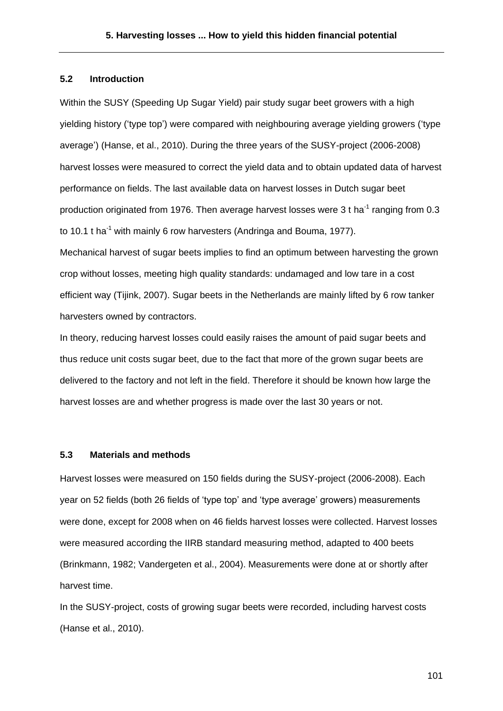# **5.2 Introduction**

Within the SUSY (Speeding Up Sugar Yield) pair study sugar beet growers with a high yielding history ('type top') were compared with neighbouring average yielding growers ('type average') (Hanse, et al., 2010). During the three years of the SUSY-project (2006-2008) harvest losses were measured to correct the yield data and to obtain updated data of harvest performance on fields. The last available data on harvest losses in Dutch sugar beet production originated from 1976. Then average harvest losses were 3 t ha<sup>-1</sup> ranging from 0.3 to 10.1 t ha<sup>-1</sup> with mainly 6 row harvesters (Andringa and Bouma, 1977).

Mechanical harvest of sugar beets implies to find an optimum between harvesting the grown crop without losses, meeting high quality standards: undamaged and low tare in a cost efficient way (Tijink, 2007). Sugar beets in the Netherlands are mainly lifted by 6 row tanker harvesters owned by contractors.

In theory, reducing harvest losses could easily raises the amount of paid sugar beets and thus reduce unit costs sugar beet, due to the fact that more of the grown sugar beets are delivered to the factory and not left in the field. Therefore it should be known how large the harvest losses are and whether progress is made over the last 30 years or not.

#### **5.3 Materials and methods**

Harvest losses were measured on 150 fields during the SUSY-project (2006-2008). Each year on 52 fields (both 26 fields of 'type top' and 'type average' growers) measurements were done, except for 2008 when on 46 fields harvest losses were collected. Harvest losses were measured according the IIRB standard measuring method, adapted to 400 beets (Brinkmann, 1982; Vandergeten et al., 2004). Measurements were done at or shortly after harvest time.

In the SUSY-project, costs of growing sugar beets were recorded, including harvest costs (Hanse et al., 2010).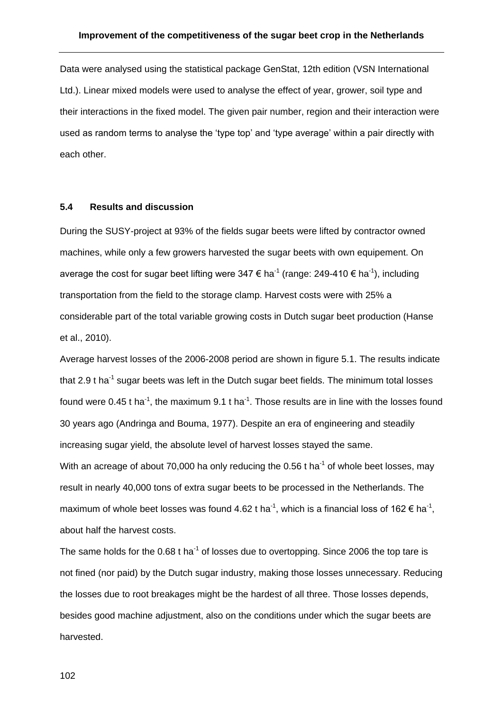Data were analysed using the statistical package GenStat, 12th edition (VSN International Ltd.). Linear mixed models were used to analyse the effect of year, grower, soil type and their interactions in the fixed model. The given pair number, region and their interaction were used as random terms to analyse the 'type top' and 'type average' within a pair directly with each other.

#### **5.4 Results and discussion**

During the SUSY-project at 93% of the fields sugar beets were lifted by contractor owned machines, while only a few growers harvested the sugar beets with own equipement. On average the cost for sugar beet lifting were 347  $\epsilon$  ha<sup>-1</sup> (range: 249-410  $\epsilon$  ha<sup>-1</sup>), including transportation from the field to the storage clamp. Harvest costs were with 25% a considerable part of the total variable growing costs in Dutch sugar beet production (Hanse et al., 2010).

Average harvest losses of the 2006-2008 period are shown in figure 5.1. The results indicate that 2.9 t ha<sup>-1</sup> sugar beets was left in the Dutch sugar beet fields. The minimum total losses found were 0.45 t ha<sup>-1</sup>, the maximum 9.1 t ha<sup>-1</sup>. Those results are in line with the losses found 30 years ago (Andringa and Bouma, 1977). Despite an era of engineering and steadily increasing sugar yield, the absolute level of harvest losses stayed the same. With an acreage of about 70,000 ha only reducing the 0.56 t ha<sup>-1</sup> of whole beet losses, may result in nearly 40,000 tons of extra sugar beets to be processed in the Netherlands. The maximum of whole beet losses was found 4.62 t ha<sup>-1</sup>, which is a financial loss of 162  $\epsilon$  ha<sup>-1</sup>, about half the harvest costs.

The same holds for the 0.68 t ha<sup>-1</sup> of losses due to overtopping. Since 2006 the top tare is not fined (nor paid) by the Dutch sugar industry, making those losses unnecessary. Reducing the losses due to root breakages might be the hardest of all three. Those losses depends, besides good machine adjustment, also on the conditions under which the sugar beets are harvested.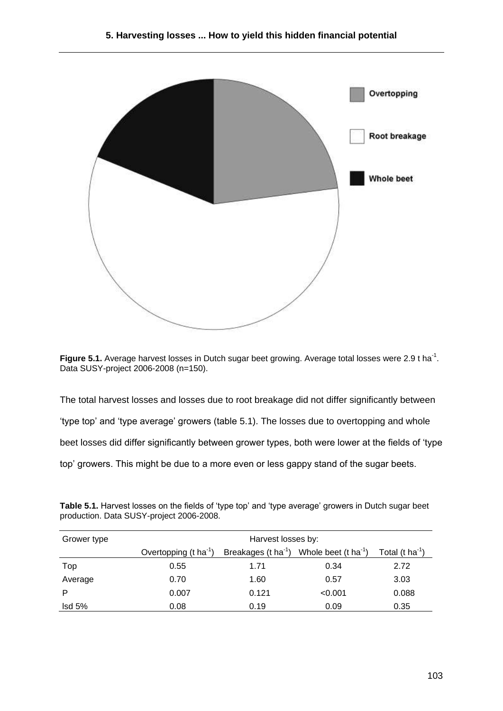

Figure 5.1. Average harvest losses in Dutch sugar beet growing. Average total losses were 2.9 t ha<sup>-1</sup>. Data SUSY-project 2006-2008 (n=150).

The total harvest losses and losses due to root breakage did not differ significantly between 'type top' and 'type average' growers (table 5.1). The losses due to overtopping and whole beet losses did differ significantly between grower types, both were lower at the fields of 'type top' growers. This might be due to a more even or less gappy stand of the sugar beets.

| Grower type | Harvest losses by:                                                                                                                      |       |         |       |  |  |  |  |
|-------------|-----------------------------------------------------------------------------------------------------------------------------------------|-------|---------|-------|--|--|--|--|
|             | Breakages (t ha <sup>-1</sup> )<br>Overtopping $(t \text{ ha}^{-1})$<br>Whole beet $(t \text{ ha}^{-1})$<br>Total (t ha <sup>-1</sup> ) |       |         |       |  |  |  |  |
| Top         | 0.55                                                                                                                                    | 1.71  | 0.34    | 2.72  |  |  |  |  |
| Average     | 0.70                                                                                                                                    | 1.60  | 0.57    | 3.03  |  |  |  |  |
| P           | 0.007                                                                                                                                   | 0.121 | < 0.001 | 0.088 |  |  |  |  |
| lsd 5%      | 0.08                                                                                                                                    | 0.19  | 0.09    | 0.35  |  |  |  |  |

| Table 5.1. Harvest losses on the fields of 'type top' and 'type average' growers in Dutch sugar beet |  |  |
|------------------------------------------------------------------------------------------------------|--|--|
| production. Data SUSY-project 2006-2008.                                                             |  |  |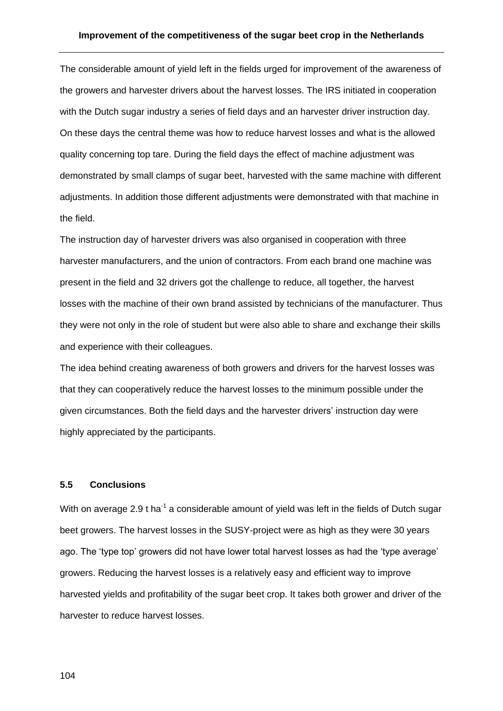#### **Improvement of the competitiveness of the sugar beet crop in the Netherlands**

The considerable amount of yield left in the fields urged for improvement of the awareness of the growers and harvester drivers about the harvest losses. The IRS initiated in cooperation with the Dutch sugar industry a series of field days and an harvester driver instruction day. On these days the central theme was how to reduce harvest losses and what is the allowed quality concerning top tare. During the field days the effect of machine adjustment was demonstrated by small clamps of sugar beet, harvested with the same machine with different adjustments. In addition those different adjustments were demonstrated with that machine in the field.

The instruction day of harvester drivers was also organised in cooperation with three harvester manufacturers, and the union of contractors. From each brand one machine was present in the field and 32 drivers got the challenge to reduce, all together, the harvest losses with the machine of their own brand assisted by technicians of the manufacturer. Thus they were not only in the role of student but were also able to share and exchange their skills and experience with their colleagues.

The idea behind creating awareness of both growers and drivers for the harvest losses was that they can cooperatively reduce the harvest losses to the minimum possible under the given circumstances. Both the field days and the harvester drivers' instruction day were highly appreciated by the participants.

#### **5.5 Conclusions**

With on average 2.9 t ha<sup>-1</sup> a considerable amount of yield was left in the fields of Dutch sugar beet growers. The harvest losses in the SUSY-project were as high as they were 30 years ago. The 'type top' growers did not have lower total harvest losses as had the 'type average' growers. Reducing the harvest losses is a relatively easy and efficient way to improve harvested yields and profitability of the sugar beet crop. It takes both grower and driver of the harvester to reduce harvest losses.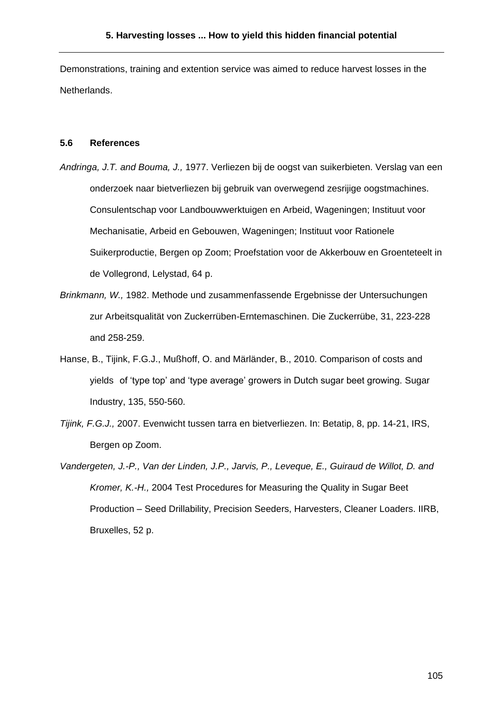Demonstrations, training and extention service was aimed to reduce harvest losses in the Netherlands.

# **5.6 References**

- *Andringa, J.T. and Bouma, J.,* 1977. Verliezen bij de oogst van suikerbieten. Verslag van een onderzoek naar bietverliezen bij gebruik van overwegend zesrijige oogstmachines. Consulentschap voor Landbouwwerktuigen en Arbeid, Wageningen; Instituut voor Mechanisatie, Arbeid en Gebouwen, Wageningen; Instituut voor Rationele Suikerproductie, Bergen op Zoom; Proefstation voor de Akkerbouw en Groenteteelt in de Vollegrond, Lelystad, 64 p.
- *Brinkmann, W.,* 1982. Methode und zusammenfassende Ergebnisse der Untersuchungen zur Arbeitsqualität von Zuckerrüben-Erntemaschinen. Die Zuckerrübe, 31, 223-228 and 258-259.
- Hanse, B., Tijink, F.G.J., Mußhoff, O. and Märländer, B., 2010. Comparison of costs and yields of 'type top' and 'type average' growers in Dutch sugar beet growing. Sugar Industry, 135, 550-560.
- *Tijink, F.G.J.,* 2007. Evenwicht tussen tarra en bietverliezen. In: Betatip, 8, pp. 14-21, IRS, Bergen op Zoom.
- *Vandergeten, J.-P., Van der Linden, J.P., Jarvis, P., Leveque, E., Guiraud de Willot, D. and Kromer, K.-H.,* 2004 Test Procedures for Measuring the Quality in Sugar Beet Production – Seed Drillability, Precision Seeders, Harvesters, Cleaner Loaders. IIRB, Bruxelles, 52 p.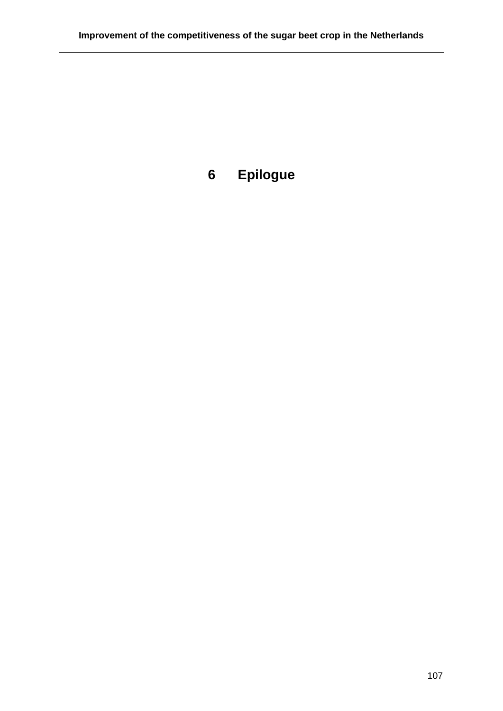# **Epilogue**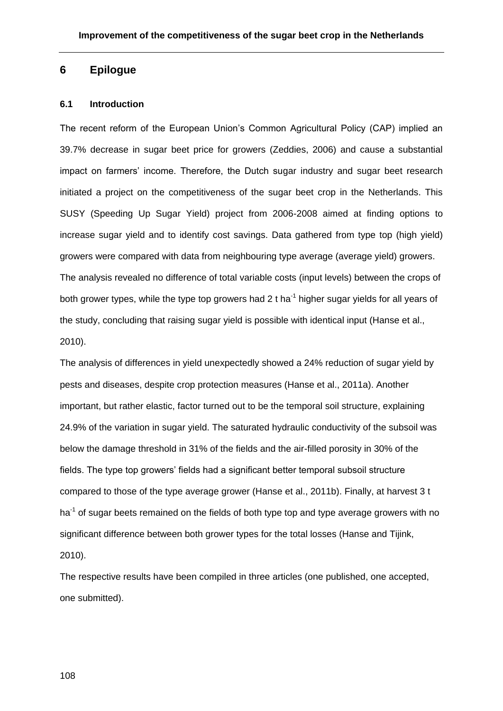# **6 Epilogue**

#### **6.1 Introduction**

The recent reform of the European Union's Common Agricultural Policy (CAP) implied an 39.7% decrease in sugar beet price for growers (Zeddies, 2006) and cause a substantial impact on farmers' income. Therefore, the Dutch sugar industry and sugar beet research initiated a project on the competitiveness of the sugar beet crop in the Netherlands. This SUSY (Speeding Up Sugar Yield) project from 2006-2008 aimed at finding options to increase sugar yield and to identify cost savings. Data gathered from type top (high yield) growers were compared with data from neighbouring type average (average yield) growers. The analysis revealed no difference of total variable costs (input levels) between the crops of both grower types, while the type top growers had 2 t ha<sup>-1</sup> higher sugar yields for all years of the study, concluding that raising sugar yield is possible with identical input (Hanse et al., 2010).

The analysis of differences in yield unexpectedly showed a 24% reduction of sugar yield by pests and diseases, despite crop protection measures (Hanse et al., 2011a). Another important, but rather elastic, factor turned out to be the temporal soil structure, explaining 24.9% of the variation in sugar yield. The saturated hydraulic conductivity of the subsoil was below the damage threshold in 31% of the fields and the air-filled porosity in 30% of the fields. The type top growers' fields had a significant better temporal subsoil structure compared to those of the type average grower (Hanse et al., 2011b). Finally, at harvest 3 t ha<sup>-1</sup> of sugar beets remained on the fields of both type top and type average growers with no significant difference between both grower types for the total losses (Hanse and Tijink, 2010).

The respective results have been compiled in three articles (one published, one accepted, one submitted).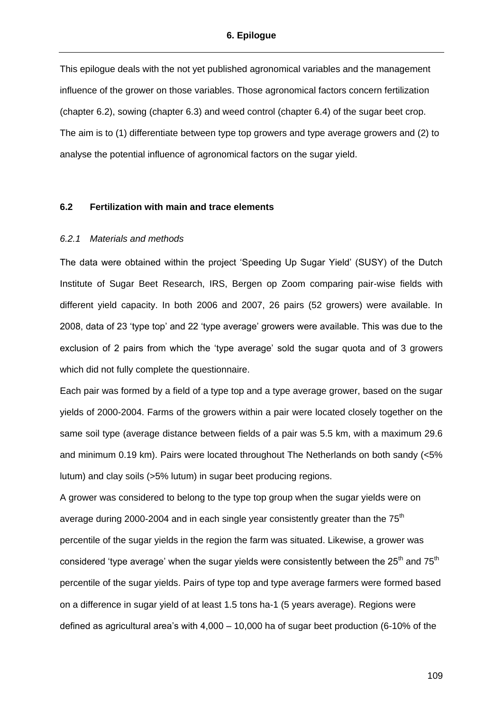This epilogue deals with the not yet published agronomical variables and the management influence of the grower on those variables. Those agronomical factors concern fertilization (chapter 6.2), sowing (chapter 6.3) and weed control (chapter 6.4) of the sugar beet crop. The aim is to (1) differentiate between type top growers and type average growers and (2) to analyse the potential influence of agronomical factors on the sugar yield.

#### **6.2 Fertilization with main and trace elements**

#### *6.2.1 Materials and methods*

The data were obtained within the project 'Speeding Up Sugar Yield' (SUSY) of the Dutch Institute of Sugar Beet Research, IRS, Bergen op Zoom comparing pair-wise fields with different yield capacity. In both 2006 and 2007, 26 pairs (52 growers) were available. In 2008, data of 23 'type top' and 22 'type average' growers were available. This was due to the exclusion of 2 pairs from which the 'type average' sold the sugar quota and of 3 growers which did not fully complete the questionnaire.

Each pair was formed by a field of a type top and a type average grower, based on the sugar yields of 2000-2004. Farms of the growers within a pair were located closely together on the same soil type (average distance between fields of a pair was 5.5 km, with a maximum 29.6 and minimum 0.19 km). Pairs were located throughout The Netherlands on both sandy (<5% lutum) and clay soils (>5% lutum) in sugar beet producing regions.

A grower was considered to belong to the type top group when the sugar yields were on average during 2000-2004 and in each single year consistently greater than the  $75<sup>th</sup>$ percentile of the sugar yields in the region the farm was situated. Likewise, a grower was considered 'type average' when the sugar yields were consistently between the  $25<sup>th</sup>$  and  $75<sup>th</sup>$ percentile of the sugar yields. Pairs of type top and type average farmers were formed based on a difference in sugar yield of at least 1.5 tons ha-1 (5 years average). Regions were defined as agricultural area's with 4,000 – 10,000 ha of sugar beet production (6-10% of the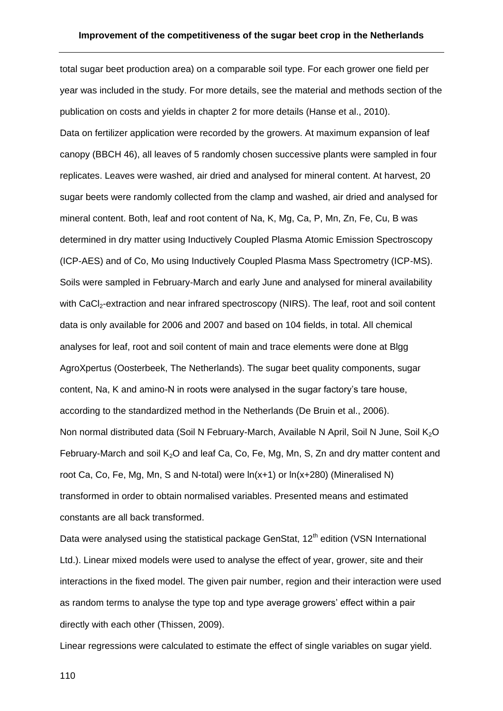total sugar beet production area) on a comparable soil type. For each grower one field per year was included in the study. For more details, see the material and methods section of the publication on costs and yields in chapter 2 for more details (Hanse et al., 2010). Data on fertilizer application were recorded by the growers. At maximum expansion of leaf canopy (BBCH 46), all leaves of 5 randomly chosen successive plants were sampled in four replicates. Leaves were washed, air dried and analysed for mineral content. At harvest, 20 sugar beets were randomly collected from the clamp and washed, air dried and analysed for mineral content. Both, leaf and root content of Na, K, Mg, Ca, P, Mn, Zn, Fe, Cu, B was determined in dry matter using Inductively Coupled Plasma Atomic Emission Spectroscopy (ICP-AES) and of Co, Mo using Inductively Coupled Plasma Mass Spectrometry (ICP-MS). Soils were sampled in February-March and early June and analysed for mineral availability with CaCl<sub>2</sub>-extraction and near infrared spectroscopy (NIRS). The leaf, root and soil content data is only available for 2006 and 2007 and based on 104 fields, in total. All chemical analyses for leaf, root and soil content of main and trace elements were done at Blgg AgroXpertus (Oosterbeek, The Netherlands). The sugar beet quality components, sugar content, Na, K and amino-N in roots were analysed in the sugar factory's tare house, according to the standardized method in the Netherlands (De Bruin et al., 2006). Non normal distributed data (Soil N February-March, Available N April, Soil N June, Soil K<sub>2</sub>O February-March and soil  $K_2O$  and leaf Ca, Co, Fe, Mg, Mn, S, Zn and dry matter content and root Ca, Co, Fe, Mg, Mn, S and N-total) were ln(x+1) or ln(x+280) (Mineralised N) transformed in order to obtain normalised variables. Presented means and estimated constants are all back transformed.

Data were analysed using the statistical package GenStat, 12<sup>th</sup> edition (VSN International Ltd.). Linear mixed models were used to analyse the effect of year, grower, site and their interactions in the fixed model. The given pair number, region and their interaction were used as random terms to analyse the type top and type average growers' effect within a pair directly with each other (Thissen, 2009).

Linear regressions were calculated to estimate the effect of single variables on sugar yield.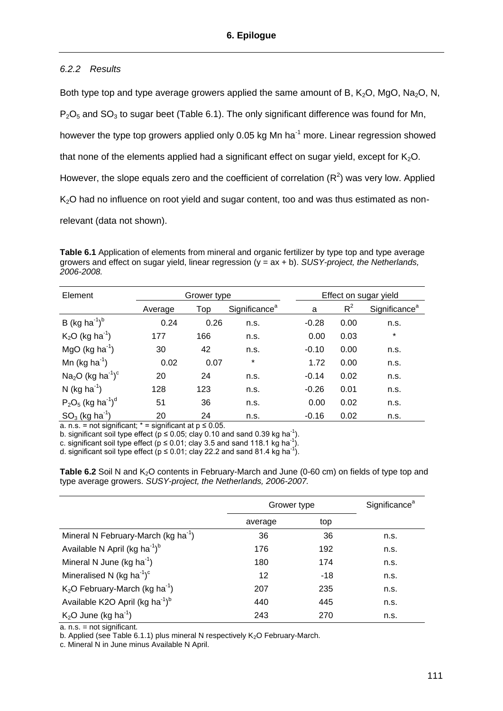## *6.2.2 Results*

Both type top and type average growers applied the same amount of B,  $K_2O$ , MgO, Na<sub>2</sub>O, N,  $P_2O_5$  and  $SO_3$  to sugar beet (Table 6.1). The only significant difference was found for Mn,

however the type top growers applied only 0.05 kg Mn ha<sup>-1</sup> more. Linear regression showed

that none of the elements applied had a significant effect on sugar yield, except for  $K<sub>2</sub>O$ .

However, the slope equals zero and the coefficient of correlation  $(R^2)$  was very low. Applied

K<sub>2</sub>O had no influence on root vield and sugar content, too and was thus estimated as non-

relevant (data not shown).

**Table 6.1** Application of elements from mineral and organic fertilizer by type top and type average growers and effect on sugar yield, linear regression (y = ax + b). *SUSY-project, the Netherlands, 2006-2008.*

| Element                                      | Grower type |      |                           |         |       | Effect on sugar yield     |
|----------------------------------------------|-------------|------|---------------------------|---------|-------|---------------------------|
|                                              | Average     | Top  | Significance <sup>a</sup> | a       | $R^2$ | Significance <sup>a</sup> |
| B (kg ha <sup>-1</sup> ) <sup>b</sup>        | 0.24        | 0.26 | n.s.                      | $-0.28$ | 0.00  | n.s.                      |
| $K_2O$ (kg ha <sup>-1</sup> )                | 177         | 166  | n.s.                      | 0.00    | 0.03  | $\star$                   |
| MgO (kg ha <sup>-1</sup> )                   | 30          | 42   | n.s.                      | $-0.10$ | 0.00  | n.s.                      |
| Mn (kg ha <sup>-1</sup> )                    | 0.02        | 0.07 | $\star$                   | 1.72    | 0.00  | n.s.                      |
| $Na2O$ (kg ha <sup>-1</sup> ) <sup>c</sup>   | 20          | 24   | n.s.                      | $-0.14$ | 0.02  | n.s.                      |
| N (kg ha <sup>-1</sup> )                     | 128         | 123  | n.s.                      | $-0.26$ | 0.01  | n.s.                      |
| $P_2O_5$ (kg ha <sup>-1</sup> ) <sup>d</sup> | 51          | 36   | n.s.                      | 0.00    | 0.02  | n.s.                      |
| $SO_3$ (kg ha <sup>-1</sup> )                | 20          | 24   | n.s.                      | $-0.16$ | 0.02  | n.s.                      |

a. n.s. = not significant;  $*$  = significant at  $p \le 0.05$ .

b. significant soil type effect ( $p \le 0.05$ ; clay 0.10 and sand 0.39 kg ha<sup>-1</sup>).

c. significant soil type effect ( $p \le 0.01$ ; clay 3.5 and sand 118.1 kg ha<sup>-1</sup>).

d. significant soil type effect ( $p \le 0.01$ ; clay 22.2 and sand 81.4 kg ha<sup>-1</sup>).

**Table 6.2** Soil N and K<sub>2</sub>O contents in February-March and June (0-60 cm) on fields of type top and type average growers. *SUSY-project, the Netherlands, 2006-2007.*

|                                                       | Grower type | Significance <sup>a</sup> |      |
|-------------------------------------------------------|-------------|---------------------------|------|
|                                                       | average     | top                       |      |
| Mineral N February-March (kg ha <sup>-1</sup> )       | 36          | 36                        | n.s. |
| Available N April (kg ha <sup>-1</sup> ) <sup>b</sup> | 176         | 192                       | n.s. |
| Mineral N June (kg ha <sup>-1</sup> )                 | 180         | 174                       | n.s. |
| Mineralised N (kg ha <sup>-1</sup> ) <sup>c</sup>     | 12          | $-18$                     | n.s. |
| $K2O$ February-March (kg ha <sup>-1</sup> )           | 207         | 235                       | n.s. |
| Available K2O April (kg ha <sup>-1)b</sup>            | 440         | 445                       | n.s. |
| $K2O$ June (kg ha <sup>-1</sup> )                     | 243         | 270                       | n.s. |

a. n.s. = not significant.

b. Applied (see Table 6.1.1) plus mineral N respectively K<sub>2</sub>O February-March.

c. Mineral N in June minus Available N April.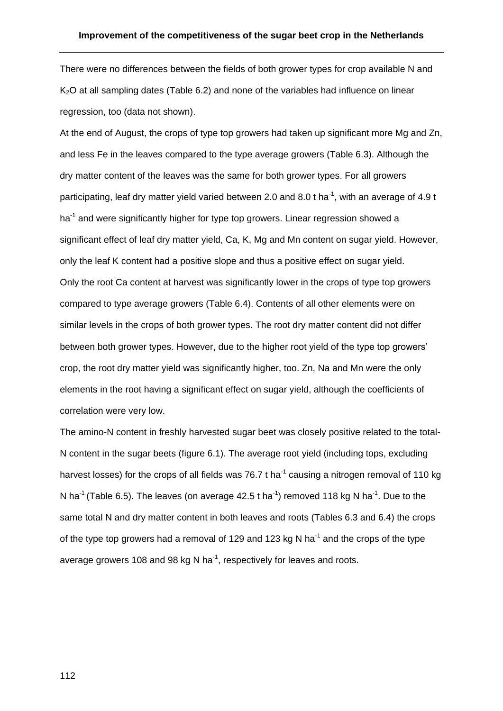There were no differences between the fields of both grower types for crop available N and  $K<sub>2</sub>O$  at all sampling dates (Table 6.2) and none of the variables had influence on linear regression, too (data not shown).

At the end of August, the crops of type top growers had taken up significant more Mg and Zn, and less Fe in the leaves compared to the type average growers (Table 6.3). Although the dry matter content of the leaves was the same for both grower types. For all growers participating, leaf dry matter yield varied between 2.0 and 8.0 t ha<sup>-1</sup>, with an average of 4.9 t ha<sup>-1</sup> and were significantly higher for type top growers. Linear regression showed a significant effect of leaf dry matter yield, Ca, K, Mg and Mn content on sugar yield. However, only the leaf K content had a positive slope and thus a positive effect on sugar yield. Only the root Ca content at harvest was significantly lower in the crops of type top growers compared to type average growers (Table 6.4). Contents of all other elements were on similar levels in the crops of both grower types. The root dry matter content did not differ between both grower types. However, due to the higher root yield of the type top growers' crop, the root dry matter yield was significantly higher, too. Zn, Na and Mn were the only elements in the root having a significant effect on sugar yield, although the coefficients of correlation were very low.

The amino-N content in freshly harvested sugar beet was closely positive related to the total-N content in the sugar beets (figure 6.1). The average root yield (including tops, excluding harvest losses) for the crops of all fields was 76.7 t ha<sup>-1</sup> causing a nitrogen removal of 110 kg N ha<sup>-1</sup> (Table 6.5). The leaves (on average 42.5 t ha<sup>-1</sup>) removed 118 kg N ha<sup>-1</sup>. Due to the same total N and dry matter content in both leaves and roots (Tables 6.3 and 6.4) the crops of the type top growers had a removal of 129 and 123 kg N ha<sup>-1</sup> and the crops of the type average growers 108 and 98 kg N ha<sup>-1</sup>, respectively for leaves and roots.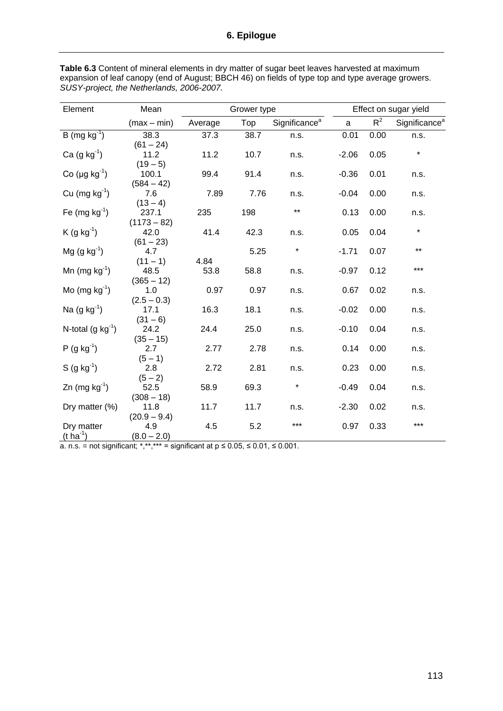| Element                        | Mean                                 |         | Grower type |                           |         |       | Effect on sugar yield     |
|--------------------------------|--------------------------------------|---------|-------------|---------------------------|---------|-------|---------------------------|
|                                | (max – min)                          | Average | Top         | Significance <sup>a</sup> | a       | $R^2$ | Significance <sup>a</sup> |
| $B (mg kg-1)$                  | 38.3                                 | 37.3    | 38.7        | n.s.                      | 0.01    | 0.00  | n.s.                      |
| $Ca (g kg-1)$                  | (61 – 24)<br>11.2<br>$(19 - 5)$      | 11.2    | 10.7        | n.s.                      | $-2.06$ | 0.05  | $\star$                   |
| $Co$ (µg $kg^{-1}$ )           | 100.1<br>$(584 - 42)$                | 99.4    | 91.4        | n.s.                      | $-0.36$ | 0.01  | n.s.                      |
| Cu $(mg kg^{-1})$              | 7.6                                  | 7.89    | 7.76        | n.s.                      | $-0.04$ | 0.00  | n.s.                      |
| Fe (mg $kg^{-1}$ )             | $(13 - 4)$<br>237.1<br>$(1173 - 82)$ | 235     | 198         | $***$                     | 0.13    | 0.00  | n.s.                      |
| $K$ (g kg <sup>-1</sup> )      | 42.0<br>$(61 - 23)$                  | 41.4    | 42.3        | n.s.                      | 0.05    | 0.04  | $\star$                   |
| $Mg$ (g kg <sup>-1</sup> )     | 4.7<br>$(11 - 1)$                    | 4.84    | 5.25        | $\star$                   | $-1.71$ | 0.07  | $***$                     |
| Mn $(mg kg-1)$                 | 48.5                                 | 53.8    | 58.8        | n.s.                      | $-0.97$ | 0.12  | ***                       |
| Mo $(mg kg-1)$                 | $(365 - 12)$<br>1.0<br>$(2.5 - 0.3)$ | 0.97    | 0.97        | n.s.                      | 0.67    | 0.02  | n.s.                      |
| Na $(g kg^{-1})$               | 17.1<br>$(31 - 6)$                   | 16.3    | 18.1        | n.s.                      | $-0.02$ | 0.00  | n.s.                      |
| N-total $(g kg^{-1})$          | 24.2<br>$(35 - 15)$                  | 24.4    | 25.0        | n.s.                      | $-0.10$ | 0.04  | n.s.                      |
| $P(g kg-1)$                    | 2.7<br>$(5 - 1)$                     | 2.77    | 2.78        | n.s.                      | 0.14    | 0.00  | n.s.                      |
| $S$ (g kg <sup>-1</sup> )      | 2.8<br>$(5 - 2)$                     | 2.72    | 2.81        | n.s.                      | 0.23    | 0.00  | n.s.                      |
| $Zn$ (mg $kg^{-1}$ )           | 52.5<br>$(308 - 18)$                 | 58.9    | 69.3        | $\star$                   | $-0.49$ | 0.04  | n.s.                      |
| Dry matter (%)                 | 11.8<br>$(20.9 - 9.4)$               | 11.7    | 11.7        | n.s.                      | $-2.30$ | 0.02  | n.s.                      |
| Dry matter<br>$(t \, ha^{-1})$ | 4.9<br>$(8.0 - 2.0)$                 | 4.5     | 5.2         | $***$                     | 0.97    | 0.33  | ***                       |

**Table 6.3** Content of mineral elements in dry matter of sugar beet leaves harvested at maximum expansion of leaf canopy (end of August; BBCH 46) on fields of type top and type average growers. *SUSY-project, the Netherlands, 2006-2007.*

a. n.s. = not significant;  $*, ** * * =$  significant at p ≤ 0.05, ≤ 0.01, ≤ 0.001.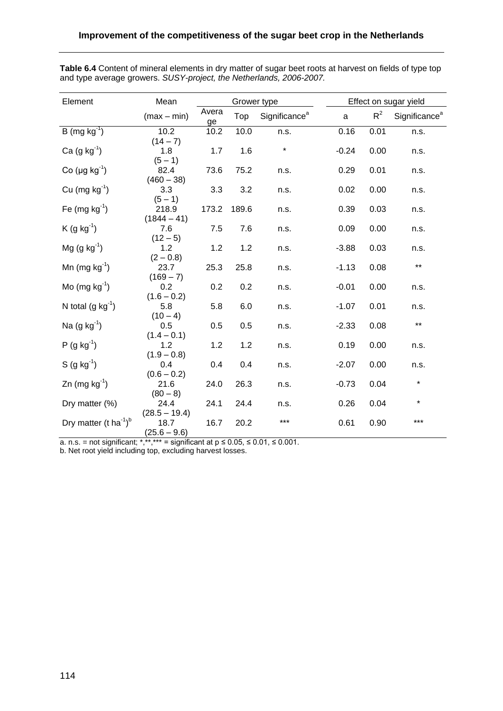| Element                            | Mean                    | Grower type |       |                           |         |       | Effect on sugar yield     |
|------------------------------------|-------------------------|-------------|-------|---------------------------|---------|-------|---------------------------|
|                                    | $(max - min)$           | Avera<br>ge | Top   | Significance <sup>a</sup> | a       | $R^2$ | Significance <sup>a</sup> |
| $B (mg kg^{-1})$                   | 10.2<br>$(14 - 7)$      | 10.2        | 10.0  | n.s.                      | 0.16    | 0.01  | n.s.                      |
| $Ca (g kg-1)$                      | 1.8<br>$(5 - 1)$        | 1.7         | 1.6   | $\star$                   | $-0.24$ | 0.00  | n.s.                      |
| Co ( $\mu$ g kg <sup>-1</sup> )    | 82.4<br>$(460 - 38)$    | 73.6        | 75.2  | n.s.                      | 0.29    | 0.01  | n.s.                      |
| Cu (mg $kg^{-1}$ )                 | 3.3<br>$(5 - 1)$        | 3.3         | 3.2   | n.s.                      | 0.02    | 0.00  | n.s.                      |
| Fe (mg $kg^{-1}$ )                 | 218.9<br>$(1844 - 41)$  | 173.2       | 189.6 | n.s.                      | 0.39    | 0.03  | n.s.                      |
| $K$ (g kg <sup>-1</sup> )          | 7.6<br>$(12 - 5)$       | 7.5         | 7.6   | n.s.                      | 0.09    | 0.00  | n.s.                      |
| $Mg$ (g kg <sup>-1</sup> )         | 1.2<br>$(2 - 0.8)$      | 1.2         | 1.2   | n.s.                      | $-3.88$ | 0.03  | n.s.                      |
| Mn (mg $kg^{-1}$ )                 | 23.7<br>$(169 - 7)$     | 25.3        | 25.8  | n.s.                      | $-1.13$ | 0.08  | $***$                     |
| Mo (mg $kg^{-1}$ )                 | 0.2<br>$(1.6 - 0.2)$    | 0.2         | 0.2   | n.s.                      | $-0.01$ | 0.00  | n.s.                      |
| N total $(g kg^{-1})$              | 5.8<br>$(10 - 4)$       | 5.8         | 6.0   | n.s.                      | $-1.07$ | 0.01  | n.s.                      |
| Na $(g kg^{-1})$                   | 0.5<br>$(1.4 - 0.1)$    | 0.5         | 0.5   | n.s.                      | $-2.33$ | 0.08  | $\star\star$              |
| $P(g kg^{-1})$                     | 1.2<br>$(1.9 - 0.8)$    | 1.2         | 1.2   | n.s.                      | 0.19    | 0.00  | n.s.                      |
| $S(g kg^{-1})$                     | 0.4<br>$(0.6 - 0.2)$    | 0.4         | 0.4   | n.s.                      | $-2.07$ | 0.00  | n.s.                      |
| $Zn$ (mg kg <sup>-1</sup> )        | 21.6<br>$(80 - 8)$      | 24.0        | 26.3  | n.s.                      | $-0.73$ | 0.04  | $\star$                   |
| Dry matter (%)                     | 24.4<br>$(28.5 - 19.4)$ | 24.1        | 24.4  | n.s.                      | 0.26    | 0.04  | $\star$                   |
| Dry matter $(t \text{ ha}^{-1})^b$ | 18.7<br>$(25.6 - 9.6)$  | 16.7        | 20.2  | ***                       | 0.61    | 0.90  | ***                       |

**Table 6.4** Content of mineral elements in dry matter of sugar beet roots at harvest on fields of type top and type average growers. *SUSY-project, the Netherlands, 2006-2007.*

a. n.s. = not significant;  $*, ** * * =$  significant at p ≤ 0.05, ≤ 0.01, ≤ 0.001.

b. Net root yield including top, excluding harvest losses.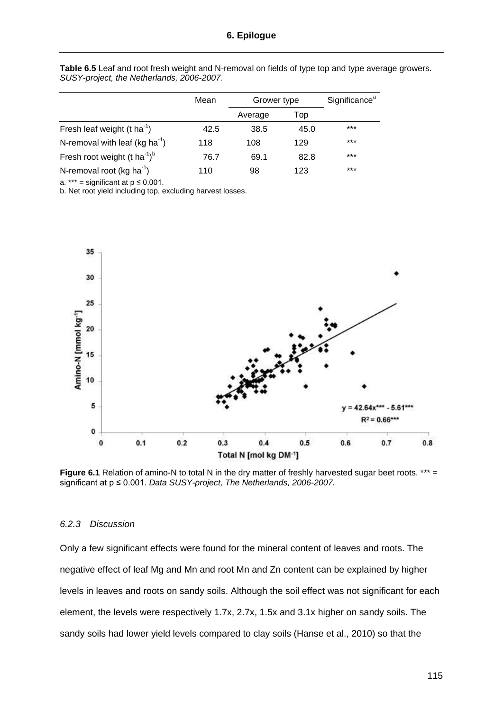| Table 6.5 Leaf and root fresh weight and N-removal on fields of type top and type average growers. |  |
|----------------------------------------------------------------------------------------------------|--|
| SUSY-project, the Netherlands, 2006-2007.                                                          |  |

|                                                      | Mean | Grower type | Significance <sup>a</sup> |       |
|------------------------------------------------------|------|-------------|---------------------------|-------|
|                                                      |      | Average     | Top                       |       |
| Fresh leaf weight (t ha <sup>-1</sup> )              | 42.5 | 38.5        | 45.0                      | $***$ |
| N-removal with leaf (kg ha <sup>-1</sup> )           | 118  | 108         | 129                       | $***$ |
| Fresh root weight (t ha <sup>-1</sup> ) <sup>b</sup> | 76.7 | 69.1        | 82.8                      | $***$ |
| N-removal root (kg ha <sup>-1</sup> )                | 110  | 98          | 123                       | $***$ |

 $a.$  \*\*\* = significant at  $p \le 0.001$ .

b. Net root yield including top, excluding harvest losses.



**Figure 6.1** Relation of amino-N to total N in the dry matter of freshly harvested sugar beet roots. \*\*\* = significant at p ≤ 0.001. *Data SUSY-project, The Netherlands, 2006-2007.*

#### *6.2.3 Discussion*

Only a few significant effects were found for the mineral content of leaves and roots. The negative effect of leaf Mg and Mn and root Mn and Zn content can be explained by higher levels in leaves and roots on sandy soils. Although the soil effect was not significant for each element, the levels were respectively 1.7x, 2.7x, 1.5x and 3.1x higher on sandy soils. The sandy soils had lower yield levels compared to clay soils (Hanse et al., 2010) so that the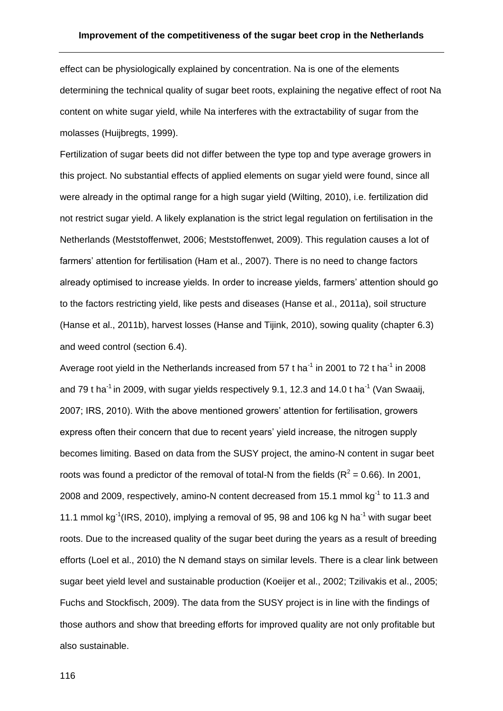effect can be physiologically explained by concentration. Na is one of the elements determining the technical quality of sugar beet roots, explaining the negative effect of root Na content on white sugar yield, while Na interferes with the extractability of sugar from the molasses (Huijbregts, 1999).

Fertilization of sugar beets did not differ between the type top and type average growers in this project. No substantial effects of applied elements on sugar yield were found, since all were already in the optimal range for a high sugar yield (Wilting, 2010), i.e. fertilization did not restrict sugar yield. A likely explanation is the strict legal regulation on fertilisation in the Netherlands (Meststoffenwet, 2006; Meststoffenwet, 2009). This regulation causes a lot of farmers' attention for fertilisation (Ham et al., 2007). There is no need to change factors already optimised to increase yields. In order to increase yields, farmers' attention should go to the factors restricting yield, like pests and diseases (Hanse et al., 2011a), soil structure (Hanse et al., 2011b), harvest losses (Hanse and Tijink, 2010), sowing quality (chapter 6.3) and weed control (section 6.4).

Average root yield in the Netherlands increased from 57 t ha<sup>-1</sup> in 2001 to 72 t ha<sup>-1</sup> in 2008 and 79 t ha<sup>-1</sup> in 2009, with sugar yields respectively 9.1, 12.3 and 14.0 t ha<sup>-1</sup> (Van Swaaij, 2007; IRS, 2010). With the above mentioned growers' attention for fertilisation, growers express often their concern that due to recent years' yield increase, the nitrogen supply becomes limiting. Based on data from the SUSY project, the amino-N content in sugar beet roots was found a predictor of the removal of total-N from the fields ( $R^2$  = 0.66). In 2001, 2008 and 2009, respectively, amino-N content decreased from 15.1 mmol  $kg^{-1}$  to 11.3 and 11.1 mmol kg<sup>-1</sup>(IRS, 2010), implying a removal of 95, 98 and 106 kg N ha<sup>-1</sup> with sugar beet roots. Due to the increased quality of the sugar beet during the years as a result of breeding efforts (Loel et al., 2010) the N demand stays on similar levels. There is a clear link between sugar beet yield level and sustainable production (Koeijer et al., 2002; Tzilivakis et al., 2005; Fuchs and Stockfisch, 2009). The data from the SUSY project is in line with the findings of those authors and show that breeding efforts for improved quality are not only profitable but also sustainable.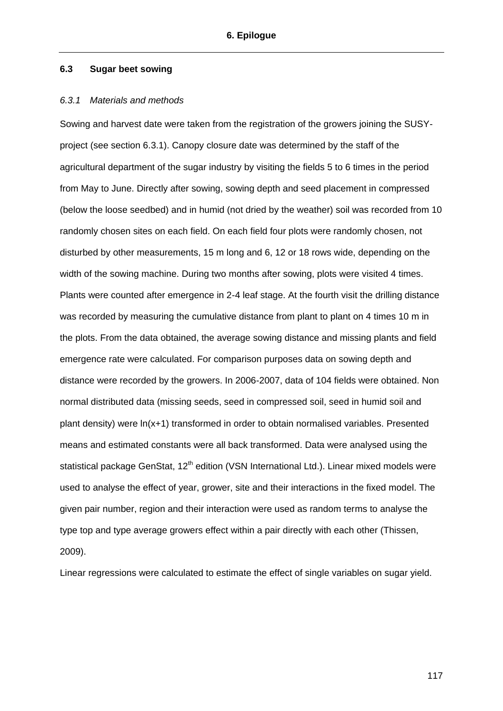#### **6.3 Sugar beet sowing**

#### *6.3.1 Materials and methods*

Sowing and harvest date were taken from the registration of the growers joining the SUSYproject (see section 6.3.1). Canopy closure date was determined by the staff of the agricultural department of the sugar industry by visiting the fields 5 to 6 times in the period from May to June. Directly after sowing, sowing depth and seed placement in compressed (below the loose seedbed) and in humid (not dried by the weather) soil was recorded from 10 randomly chosen sites on each field. On each field four plots were randomly chosen, not disturbed by other measurements, 15 m long and 6, 12 or 18 rows wide, depending on the width of the sowing machine. During two months after sowing, plots were visited 4 times. Plants were counted after emergence in 2-4 leaf stage. At the fourth visit the drilling distance was recorded by measuring the cumulative distance from plant to plant on 4 times 10 m in the plots. From the data obtained, the average sowing distance and missing plants and field emergence rate were calculated. For comparison purposes data on sowing depth and distance were recorded by the growers. In 2006-2007, data of 104 fields were obtained. Non normal distributed data (missing seeds, seed in compressed soil, seed in humid soil and plant density) were ln(x+1) transformed in order to obtain normalised variables. Presented means and estimated constants were all back transformed. Data were analysed using the statistical package GenStat,  $12<sup>th</sup>$  edition (VSN International Ltd.). Linear mixed models were used to analyse the effect of year, grower, site and their interactions in the fixed model. The given pair number, region and their interaction were used as random terms to analyse the type top and type average growers effect within a pair directly with each other (Thissen, 2009).

Linear regressions were calculated to estimate the effect of single variables on sugar yield.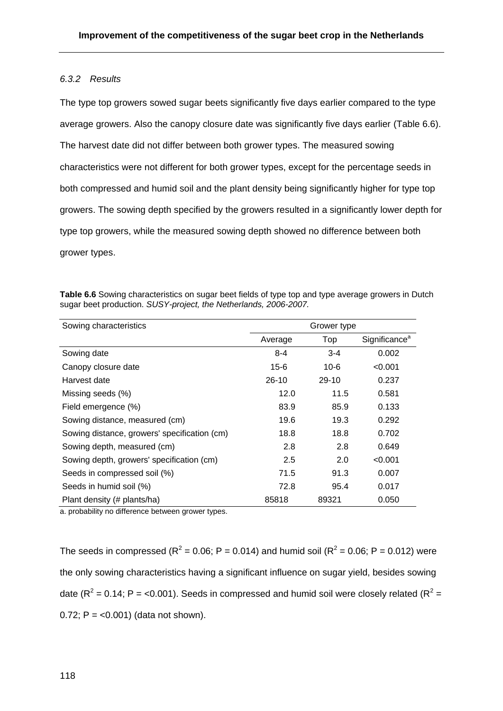## *6.3.2 Results*

The type top growers sowed sugar beets significantly five days earlier compared to the type average growers. Also the canopy closure date was significantly five days earlier (Table 6.6). The harvest date did not differ between both grower types. The measured sowing characteristics were not different for both grower types, except for the percentage seeds in both compressed and humid soil and the plant density being significantly higher for type top growers. The sowing depth specified by the growers resulted in a significantly lower depth for type top growers, while the measured sowing depth showed no difference between both grower types.

| Table 6.6 Sowing characteristics on sugar beet fields of type top and type average growers in Dutch |  |
|-----------------------------------------------------------------------------------------------------|--|
| sugar beet production. SUSY-project, the Netherlands, 2006-2007.                                    |  |

| Sowing characteristics                       |         | Grower type |                           |
|----------------------------------------------|---------|-------------|---------------------------|
|                                              | Average | Top         | Significance <sup>a</sup> |
| Sowing date                                  | $8 - 4$ | $3 - 4$     | 0.002                     |
| Canopy closure date                          | 15-6    | $10 - 6$    | < 0.001                   |
| Harvest date                                 | $26-10$ | $29-10$     | 0.237                     |
| Missing seeds (%)                            | 12.0    | 11.5        | 0.581                     |
| Field emergence (%)                          | 83.9    | 85.9        | 0.133                     |
| Sowing distance, measured (cm)               | 19.6    | 19.3        | 0.292                     |
| Sowing distance, growers' specification (cm) | 18.8    | 18.8        | 0.702                     |
| Sowing depth, measured (cm)                  | 2.8     | 2.8         | 0.649                     |
| Sowing depth, growers' specification (cm)    | 2.5     | 2.0         | < 0.001                   |
| Seeds in compressed soil (%)                 | 71.5    | 91.3        | 0.007                     |
| Seeds in humid soil (%)                      | 72.8    | 95.4        | 0.017                     |
| Plant density (# plants/ha)                  | 85818   | 89321       | 0.050                     |

a. probability no difference between grower types.

The seeds in compressed ( $R^2 = 0.06$ ; P = 0.014) and humid soil ( $R^2 = 0.06$ ; P = 0.012) were the only sowing characteristics having a significant influence on sugar yield, besides sowing date ( $R^2$  = 0.14; P = <0.001). Seeds in compressed and humid soil were closely related ( $R^2$  = 0.72;  $P = 0.001$  (data not shown).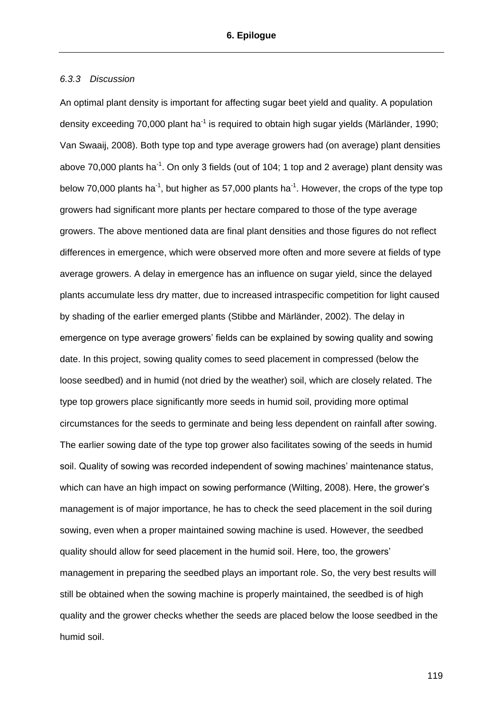## *6.3.3 Discussion*

An optimal plant density is important for affecting sugar beet yield and quality. A population density exceeding 70,000 plant ha<sup>-1</sup> is required to obtain high sugar yields (Märländer, 1990; Van Swaaij, 2008). Both type top and type average growers had (on average) plant densities above 70,000 plants ha<sup>-1</sup>. On only 3 fields (out of 104; 1 top and 2 average) plant density was below 70,000 plants ha<sup>-1</sup>, but higher as 57,000 plants ha<sup>-1</sup>. However, the crops of the type top growers had significant more plants per hectare compared to those of the type average growers. The above mentioned data are final plant densities and those figures do not reflect differences in emergence, which were observed more often and more severe at fields of type average growers. A delay in emergence has an influence on sugar yield, since the delayed plants accumulate less dry matter, due to increased intraspecific competition for light caused by shading of the earlier emerged plants (Stibbe and Märländer, 2002). The delay in emergence on type average growers' fields can be explained by sowing quality and sowing date. In this project, sowing quality comes to seed placement in compressed (below the loose seedbed) and in humid (not dried by the weather) soil, which are closely related. The type top growers place significantly more seeds in humid soil, providing more optimal circumstances for the seeds to germinate and being less dependent on rainfall after sowing. The earlier sowing date of the type top grower also facilitates sowing of the seeds in humid soil. Quality of sowing was recorded independent of sowing machines' maintenance status, which can have an high impact on sowing performance (Wilting, 2008). Here, the grower's management is of major importance, he has to check the seed placement in the soil during sowing, even when a proper maintained sowing machine is used. However, the seedbed quality should allow for seed placement in the humid soil. Here, too, the growers' management in preparing the seedbed plays an important role. So, the very best results will still be obtained when the sowing machine is properly maintained, the seedbed is of high quality and the grower checks whether the seeds are placed below the loose seedbed in the humid soil.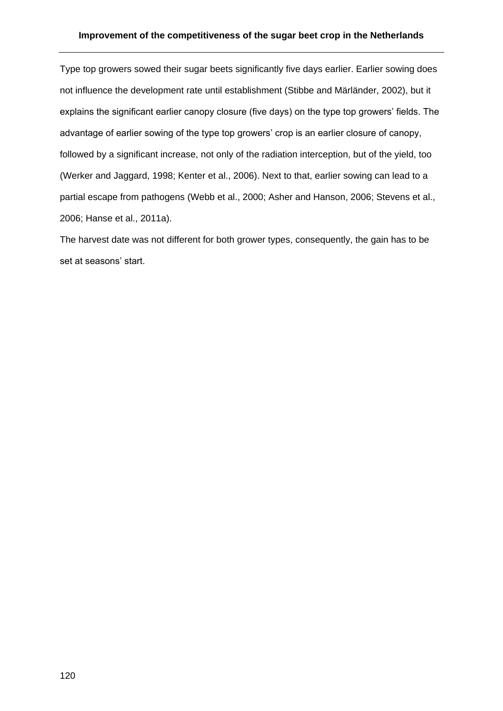## **Improvement of the competitiveness of the sugar beet crop in the Netherlands**

Type top growers sowed their sugar beets significantly five days earlier. Earlier sowing does not influence the development rate until establishment (Stibbe and Märländer, 2002), but it explains the significant earlier canopy closure (five days) on the type top growers' fields. The advantage of earlier sowing of the type top growers' crop is an earlier closure of canopy, followed by a significant increase, not only of the radiation interception, but of the yield, too (Werker and Jaggard, 1998; Kenter et al., 2006). Next to that, earlier sowing can lead to a partial escape from pathogens (Webb et al., 2000; Asher and Hanson, 2006; Stevens et al., 2006; Hanse et al., 2011a).

The harvest date was not different for both grower types, consequently, the gain has to be set at seasons' start.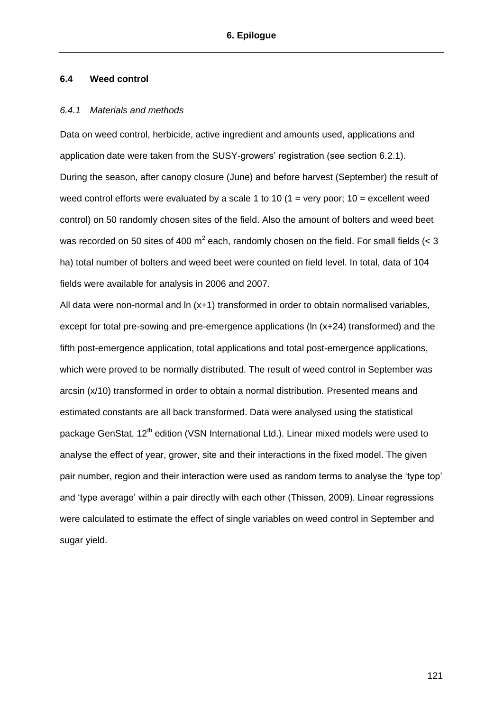## **6.4 Weed control**

#### *6.4.1 Materials and methods*

Data on weed control, herbicide, active ingredient and amounts used, applications and application date were taken from the SUSY-growers' registration (see section 6.2.1). During the season, after canopy closure (June) and before harvest (September) the result of weed control efforts were evaluated by a scale 1 to 10 (1 = very poor; 10 = excellent weed control) on 50 randomly chosen sites of the field. Also the amount of bolters and weed beet was recorded on 50 sites of 400  $m^2$  each, randomly chosen on the field. For small fields (< 3 ha) total number of bolters and weed beet were counted on field level. In total, data of 104 fields were available for analysis in 2006 and 2007.

All data were non-normal and ln (x+1) transformed in order to obtain normalised variables, except for total pre-sowing and pre-emergence applications (ln (x+24) transformed) and the fifth post-emergence application, total applications and total post-emergence applications, which were proved to be normally distributed. The result of weed control in September was arcsin (x/10) transformed in order to obtain a normal distribution. Presented means and estimated constants are all back transformed. Data were analysed using the statistical package GenStat, 12<sup>th</sup> edition (VSN International Ltd.). Linear mixed models were used to analyse the effect of year, grower, site and their interactions in the fixed model. The given pair number, region and their interaction were used as random terms to analyse the 'type top' and 'type average' within a pair directly with each other (Thissen, 2009). Linear regressions were calculated to estimate the effect of single variables on weed control in September and sugar yield.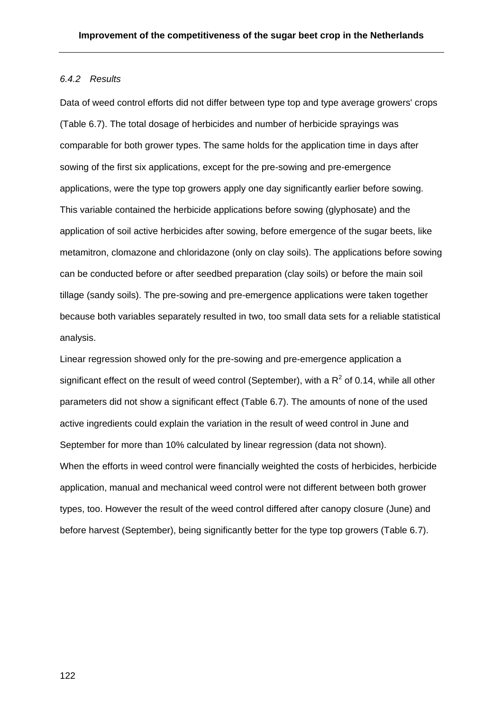#### *6.4.2 Results*

Data of weed control efforts did not differ between type top and type average growers' crops (Table 6.7). The total dosage of herbicides and number of herbicide sprayings was comparable for both grower types. The same holds for the application time in days after sowing of the first six applications, except for the pre-sowing and pre-emergence applications, were the type top growers apply one day significantly earlier before sowing. This variable contained the herbicide applications before sowing (glyphosate) and the application of soil active herbicides after sowing, before emergence of the sugar beets, like metamitron, clomazone and chloridazone (only on clay soils). The applications before sowing can be conducted before or after seedbed preparation (clay soils) or before the main soil tillage (sandy soils). The pre-sowing and pre-emergence applications were taken together because both variables separately resulted in two, too small data sets for a reliable statistical analysis.

Linear regression showed only for the pre-sowing and pre-emergence application a significant effect on the result of weed control (September), with a  $R^2$  of 0.14, while all other parameters did not show a significant effect (Table 6.7). The amounts of none of the used active ingredients could explain the variation in the result of weed control in June and September for more than 10% calculated by linear regression (data not shown). When the efforts in weed control were financially weighted the costs of herbicides, herbicide application, manual and mechanical weed control were not different between both grower types, too. However the result of the weed control differed after canopy closure (June) and before harvest (September), being significantly better for the type top growers (Table 6.7).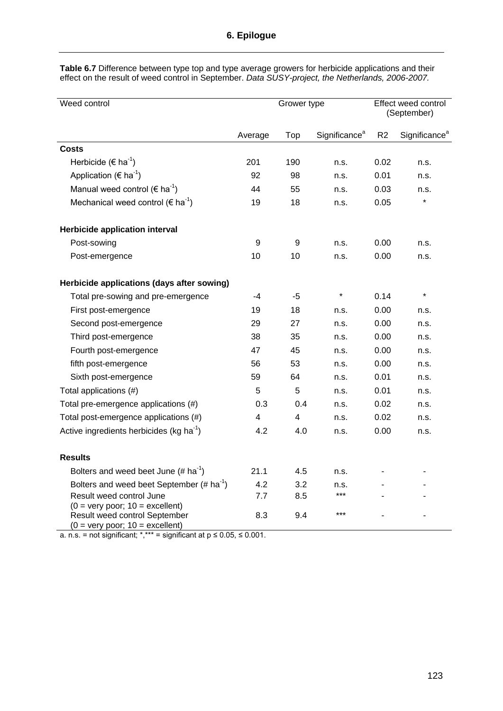| Weed control                                                                     | Grower type             |                | Effect weed control<br>(September) |                |                           |
|----------------------------------------------------------------------------------|-------------------------|----------------|------------------------------------|----------------|---------------------------|
|                                                                                  | Average                 | Top            | Significance <sup>a</sup>          | R <sub>2</sub> | Significance <sup>a</sup> |
| <b>Costs</b>                                                                     |                         |                |                                    |                |                           |
| Herbicide ( $\in$ ha <sup>-1</sup> )                                             | 201                     | 190            | n.s.                               | 0.02           | n.s.                      |
| Application ( $\in$ ha <sup>-1</sup> )                                           | 92                      | 98             | n.s.                               | 0.01           | n.s.                      |
| Manual weed control ( $\in$ ha <sup>-1</sup> )                                   | 44                      | 55             | n.s.                               | 0.03           | n.s.                      |
| Mechanical weed control ( $\epsilon$ ha <sup>-1</sup> )                          | 19                      | 18             | n.s.                               | 0.05           | $\star$                   |
| <b>Herbicide application interval</b>                                            |                         |                |                                    |                |                           |
| Post-sowing                                                                      | 9                       | 9              | n.s.                               | 0.00           | n.s.                      |
| Post-emergence                                                                   | 10                      | 10             | n.s.                               | 0.00           | n.s.                      |
| Herbicide applications (days after sowing)                                       |                         |                |                                    |                |                           |
| Total pre-sowing and pre-emergence                                               | $-4$                    | -5             | $\star$                            | 0.14           | $\star$                   |
| First post-emergence                                                             | 19                      | 18             | n.s.                               | 0.00           | n.s.                      |
| Second post-emergence                                                            | 29                      | 27             | n.s.                               | 0.00           | n.s.                      |
| Third post-emergence                                                             | 38                      | 35             | n.s.                               | 0.00           | n.s.                      |
| Fourth post-emergence                                                            | 47                      | 45             | n.s.                               | 0.00           | n.s.                      |
| fifth post-emergence                                                             | 56                      | 53             | n.s.                               | 0.00           | n.s.                      |
| Sixth post-emergence                                                             | 59                      | 64             | n.s.                               | 0.01           | n.s.                      |
| Total applications (#)                                                           | 5                       | $\overline{5}$ | n.s.                               | 0.01           | n.s.                      |
| Total pre-emergence applications (#)                                             | 0.3                     | 0.4            | n.s.                               | 0.02           | n.s.                      |
| Total post-emergence applications (#)                                            | $\overline{\mathbf{4}}$ | 4              | n.s.                               | 0.02           | n.s.                      |
| Active ingredients herbicides (kg ha <sup>-1</sup> )                             | 4.2                     | 4.0            | n.s.                               | 0.00           | n.s.                      |
| <b>Results</b>                                                                   |                         |                |                                    |                |                           |
| Bolters and weed beet June (# $ha^{-1}$ )                                        | 21.1                    | 4.5            | n.s.                               |                |                           |
| Bolters and weed beet September (# $ha^{-1}$ )                                   | 4.2                     | 3.2            | n.s.                               |                |                           |
| Result weed control June<br>$(0 = \text{very poor}; 10 = \text{excellent})$      | 7.7                     | 8.5            | ***                                |                |                           |
| Result weed control September<br>$(0 = \text{very poor}; 10 = \text{excellent})$ | 8.3                     | 9.4            | ***                                |                |                           |

**Table 6.7** Difference between type top and type average growers for herbicide applications and their effect on the result of weed control in September. *Data SUSY-project, the Netherlands, 2006-2007.*

a. n.s. = not significant;  $*$ , $*$  $*$  $*$  = significant at  $p \le 0.05$ ,  $\le 0.001$ .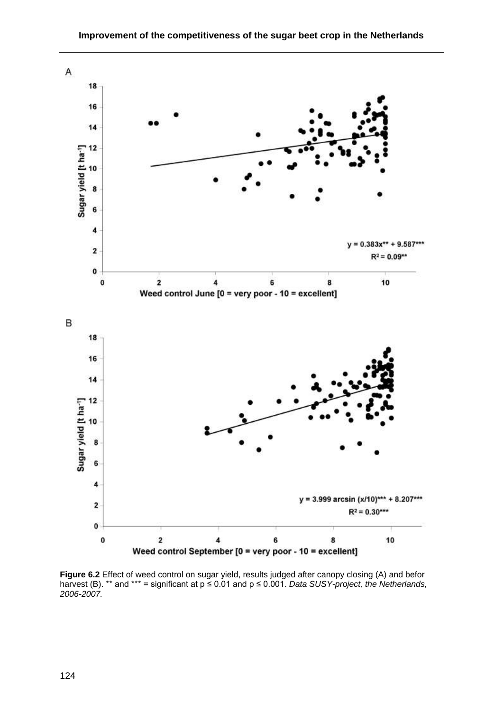

**Figure 6.2** Effect of weed control on sugar yield, results judged after canopy closing (A) and befor harvest (B). \*\* and \*\*\* = significant at p ≤ 0.01 and p ≤ 0.001. *Data SUSY-project, the Netherlands, 2006-2007.*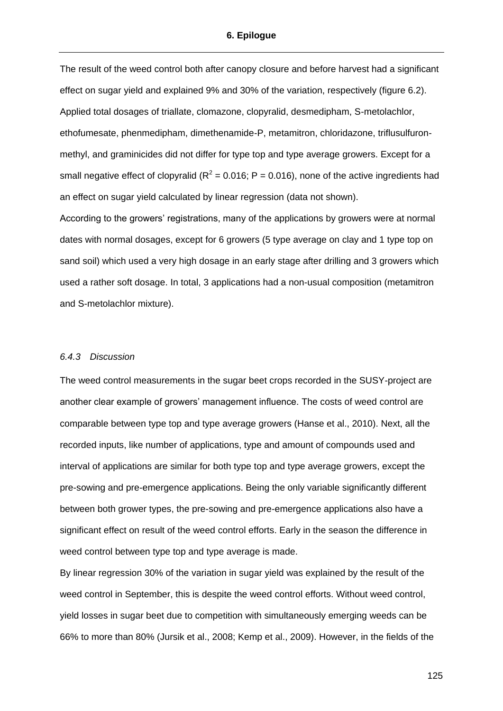The result of the weed control both after canopy closure and before harvest had a significant effect on sugar yield and explained 9% and 30% of the variation, respectively (figure 6.2). Applied total dosages of triallate, clomazone, clopyralid, desmedipham, S-metolachlor, ethofumesate, phenmedipham, dimethenamide-P, metamitron, chloridazone, triflusulfuronmethyl, and graminicides did not differ for type top and type average growers. Except for a small negative effect of clopyralid ( $R^2$  = 0.016; P = 0.016), none of the active ingredients had an effect on sugar yield calculated by linear regression (data not shown).

According to the growers' registrations, many of the applications by growers were at normal dates with normal dosages, except for 6 growers (5 type average on clay and 1 type top on sand soil) which used a very high dosage in an early stage after drilling and 3 growers which used a rather soft dosage. In total, 3 applications had a non-usual composition (metamitron and S-metolachlor mixture).

### *6.4.3 Discussion*

The weed control measurements in the sugar beet crops recorded in the SUSY-project are another clear example of growers' management influence. The costs of weed control are comparable between type top and type average growers (Hanse et al., 2010). Next, all the recorded inputs, like number of applications, type and amount of compounds used and interval of applications are similar for both type top and type average growers, except the pre-sowing and pre-emergence applications. Being the only variable significantly different between both grower types, the pre-sowing and pre-emergence applications also have a significant effect on result of the weed control efforts. Early in the season the difference in weed control between type top and type average is made.

By linear regression 30% of the variation in sugar yield was explained by the result of the weed control in September, this is despite the weed control efforts. Without weed control, yield losses in sugar beet due to competition with simultaneously emerging weeds can be 66% to more than 80% (Jursik et al., 2008; Kemp et al., 2009). However, in the fields of the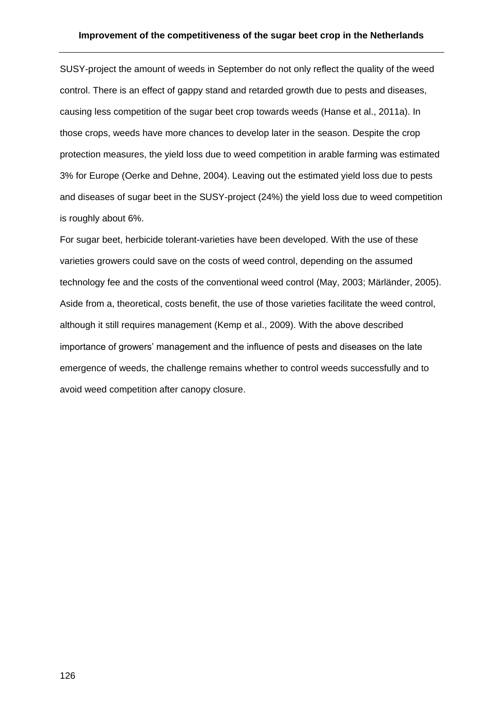### **Improvement of the competitiveness of the sugar beet crop in the Netherlands**

SUSY-project the amount of weeds in September do not only reflect the quality of the weed control. There is an effect of gappy stand and retarded growth due to pests and diseases, causing less competition of the sugar beet crop towards weeds (Hanse et al., 2011a). In those crops, weeds have more chances to develop later in the season. Despite the crop protection measures, the yield loss due to weed competition in arable farming was estimated 3% for Europe (Oerke and Dehne, 2004). Leaving out the estimated yield loss due to pests and diseases of sugar beet in the SUSY-project (24%) the yield loss due to weed competition is roughly about 6%.

For sugar beet, herbicide tolerant-varieties have been developed. With the use of these varieties growers could save on the costs of weed control, depending on the assumed technology fee and the costs of the conventional weed control (May, 2003; Märländer, 2005). Aside from a, theoretical, costs benefit, the use of those varieties facilitate the weed control, although it still requires management (Kemp et al., 2009). With the above described importance of growers' management and the influence of pests and diseases on the late emergence of weeds, the challenge remains whether to control weeds successfully and to avoid weed competition after canopy closure.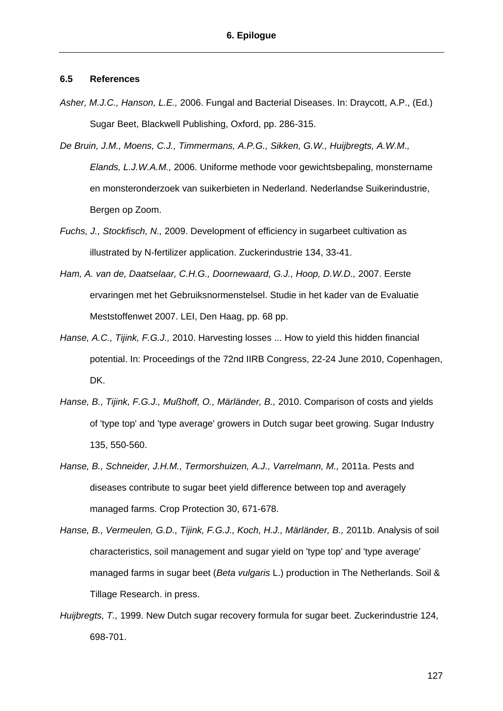#### **6.5 References**

- *Asher, M.J.C., Hanson, L.E.,* 2006. Fungal and Bacterial Diseases. In: Draycott, A.P., (Ed.) Sugar Beet, Blackwell Publishing, Oxford, pp. 286-315.
- *De Bruin, J.M., Moens, C.J., Timmermans, A.P.G., Sikken, G.W., Huijbregts, A.W.M., Elands, L.J.W.A.M.,* 2006. Uniforme methode voor gewichtsbepaling, monstername en monsteronderzoek van suikerbieten in Nederland. Nederlandse Suikerindustrie, Bergen op Zoom.
- *Fuchs, J., Stockfisch, N.,* 2009. Development of efficiency in sugarbeet cultivation as illustrated by N-fertilizer application. Zuckerindustrie 134, 33-41.
- *Ham, A. van de, Daatselaar, C.H.G., Doornewaard, G.J., Hoop, D.W.D.,* 2007. Eerste ervaringen met het Gebruiksnormenstelsel. Studie in het kader van de Evaluatie Meststoffenwet 2007. LEI, Den Haag, pp. 68 pp.
- *Hanse, A.C., Tijink, F.G.J.,* 2010. Harvesting losses ... How to yield this hidden financial potential. In: Proceedings of the 72nd IIRB Congress, 22-24 June 2010, Copenhagen, DK.
- *Hanse, B., Tijink, F.G.J., Mußhoff, O., Märländer, B.,* 2010. Comparison of costs and yields of 'type top' and 'type average' growers in Dutch sugar beet growing. Sugar Industry 135, 550-560.
- *Hanse, B., Schneider, J.H.M., Termorshuizen, A.J., Varrelmann, M.,* 2011a. Pests and diseases contribute to sugar beet yield difference between top and averagely managed farms. Crop Protection 30, 671-678.
- *Hanse, B., Vermeulen, G.D., Tijink, F.G.J., Koch, H.J., Märländer, B.,* 2011b. Analysis of soil characteristics, soil management and sugar yield on 'type top' and 'type average' managed farms in sugar beet (*Beta vulgaris* L.) production in The Netherlands. Soil & Tillage Research. in press.
- *Huijbregts, T.,* 1999. New Dutch sugar recovery formula for sugar beet. Zuckerindustrie 124, 698-701.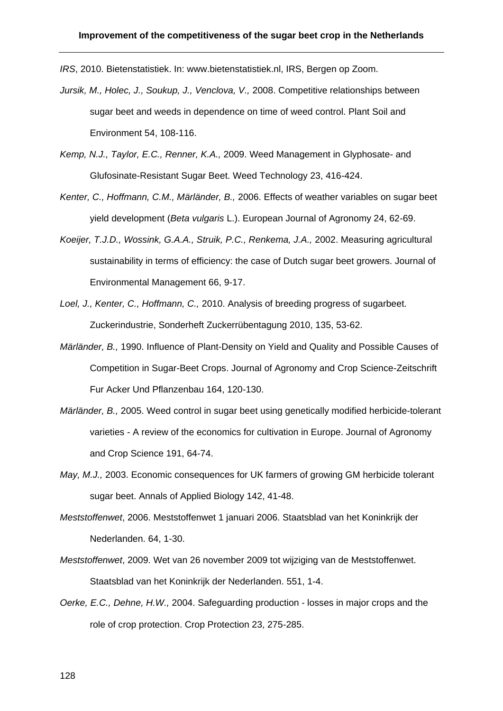*IRS*, 2010. Bietenstatistiek. In: www.bietenstatistiek.nl, IRS, Bergen op Zoom.

- *Jursik, M., Holec, J., Soukup, J., Venclova, V.,* 2008. Competitive relationships between sugar beet and weeds in dependence on time of weed control. Plant Soil and Environment 54, 108-116.
- *Kemp, N.J., Taylor, E.C., Renner, K.A.,* 2009. Weed Management in Glyphosate- and Glufosinate-Resistant Sugar Beet. Weed Technology 23, 416-424.
- *Kenter, C., Hoffmann, C.M., Märländer, B.,* 2006. Effects of weather variables on sugar beet yield development (*Beta vulgaris* L.). European Journal of Agronomy 24, 62-69.
- *Koeijer, T.J.D., Wossink, G.A.A., Struik, P.C., Renkema, J.A.,* 2002. Measuring agricultural sustainability in terms of efficiency: the case of Dutch sugar beet growers. Journal of Environmental Management 66, 9-17.
- *Loel, J., Kenter, C., Hoffmann, C.,* 2010. Analysis of breeding progress of sugarbeet. Zuckerindustrie, Sonderheft Zuckerrübentagung 2010, 135, 53-62.
- *Märländer, B.,* 1990. Influence of Plant-Density on Yield and Quality and Possible Causes of Competition in Sugar-Beet Crops. Journal of Agronomy and Crop Science-Zeitschrift Fur Acker Und Pflanzenbau 164, 120-130.
- *Märländer, B.,* 2005. Weed control in sugar beet using genetically modified herbicide-tolerant varieties - A review of the economics for cultivation in Europe. Journal of Agronomy and Crop Science 191, 64-74.
- *May, M.J.,* 2003. Economic consequences for UK farmers of growing GM herbicide tolerant sugar beet. Annals of Applied Biology 142, 41-48.
- *Meststoffenwet*, 2006. Meststoffenwet 1 januari 2006. Staatsblad van het Koninkrijk der Nederlanden. 64, 1-30.
- *Meststoffenwet*, 2009. Wet van 26 november 2009 tot wijziging van de Meststoffenwet. Staatsblad van het Koninkrijk der Nederlanden. 551, 1-4.
- *Oerke, E.C., Dehne, H.W.,* 2004. Safeguarding production losses in major crops and the role of crop protection. Crop Protection 23, 275-285.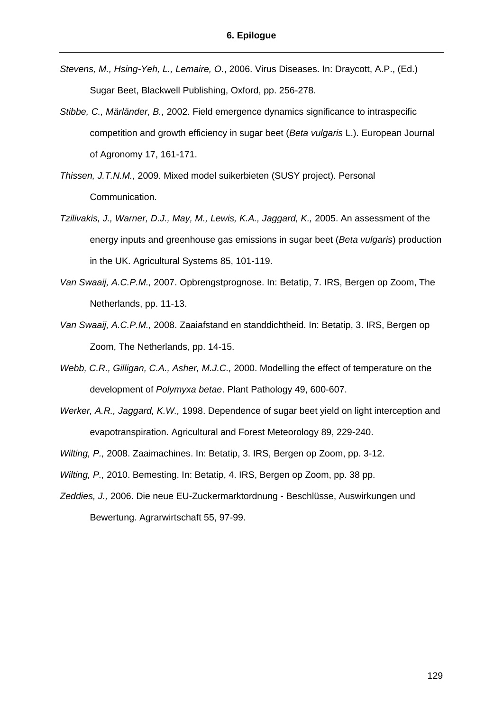- *Stevens, M., Hsing-Yeh, L., Lemaire, O.*, 2006. Virus Diseases. In: Draycott, A.P., (Ed.) Sugar Beet, Blackwell Publishing, Oxford, pp. 256-278.
- *Stibbe, C., Märländer, B.,* 2002. Field emergence dynamics significance to intraspecific competition and growth efficiency in sugar beet (*Beta vulgaris* L.). European Journal of Agronomy 17, 161-171.
- *Thissen, J.T.N.M.,* 2009. Mixed model suikerbieten (SUSY project). Personal Communication.
- *Tzilivakis, J., Warner, D.J., May, M., Lewis, K.A., Jaggard, K.,* 2005. An assessment of the energy inputs and greenhouse gas emissions in sugar beet (*Beta vulgaris*) production in the UK. Agricultural Systems 85, 101-119.
- *Van Swaaij, A.C.P.M.,* 2007. Opbrengstprognose. In: Betatip, 7. IRS, Bergen op Zoom, The Netherlands, pp. 11-13.
- *Van Swaaij, A.C.P.M.,* 2008. Zaaiafstand en standdichtheid. In: Betatip, 3. IRS, Bergen op Zoom, The Netherlands, pp. 14-15.
- *Webb, C.R., Gilligan, C.A., Asher, M.J.C.,* 2000. Modelling the effect of temperature on the development of *Polymyxa betae*. Plant Pathology 49, 600-607.
- *Werker, A.R., Jaggard, K.W.,* 1998. Dependence of sugar beet yield on light interception and evapotranspiration. Agricultural and Forest Meteorology 89, 229-240.
- *Wilting, P.,* 2008. Zaaimachines. In: Betatip, 3. IRS, Bergen op Zoom, pp. 3-12.
- *Wilting, P.,* 2010. Bemesting. In: Betatip, 4. IRS, Bergen op Zoom, pp. 38 pp.
- *Zeddies, J.,* 2006. Die neue EU-Zuckermarktordnung Beschlüsse, Auswirkungen und Bewertung. Agrarwirtschaft 55, 97-99.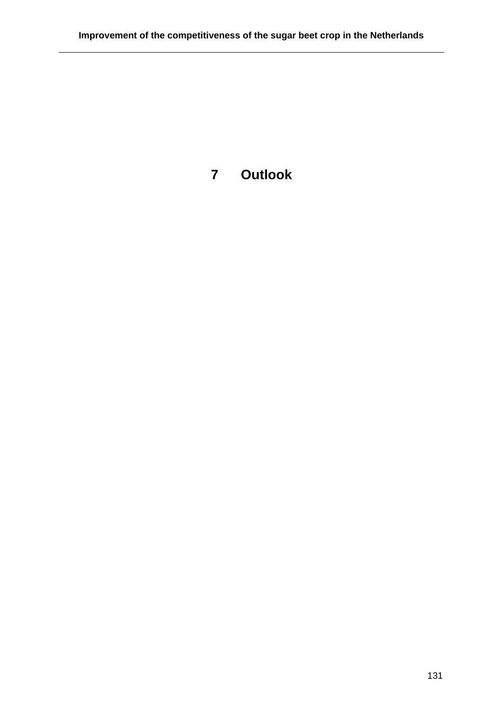# **Outlook**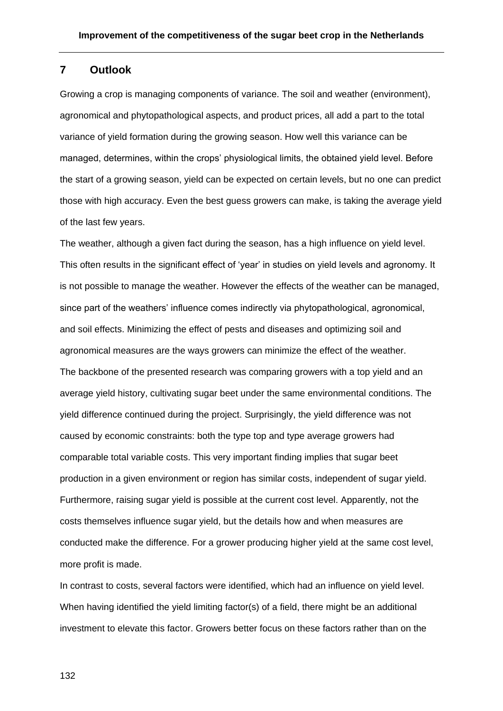## **7 Outlook**

Growing a crop is managing components of variance. The soil and weather (environment), agronomical and phytopathological aspects, and product prices, all add a part to the total variance of yield formation during the growing season. How well this variance can be managed, determines, within the crops' physiological limits, the obtained yield level. Before the start of a growing season, yield can be expected on certain levels, but no one can predict those with high accuracy. Even the best guess growers can make, is taking the average yield of the last few years.

The weather, although a given fact during the season, has a high influence on yield level. This often results in the significant effect of 'year' in studies on yield levels and agronomy. It is not possible to manage the weather. However the effects of the weather can be managed, since part of the weathers' influence comes indirectly via phytopathological, agronomical, and soil effects. Minimizing the effect of pests and diseases and optimizing soil and agronomical measures are the ways growers can minimize the effect of the weather. The backbone of the presented research was comparing growers with a top yield and an average yield history, cultivating sugar beet under the same environmental conditions. The yield difference continued during the project. Surprisingly, the yield difference was not caused by economic constraints: both the type top and type average growers had comparable total variable costs. This very important finding implies that sugar beet production in a given environment or region has similar costs, independent of sugar yield. Furthermore, raising sugar yield is possible at the current cost level. Apparently, not the costs themselves influence sugar yield, but the details how and when measures are conducted make the difference. For a grower producing higher yield at the same cost level, more profit is made.

In contrast to costs, several factors were identified, which had an influence on yield level. When having identified the yield limiting factor(s) of a field, there might be an additional investment to elevate this factor. Growers better focus on these factors rather than on the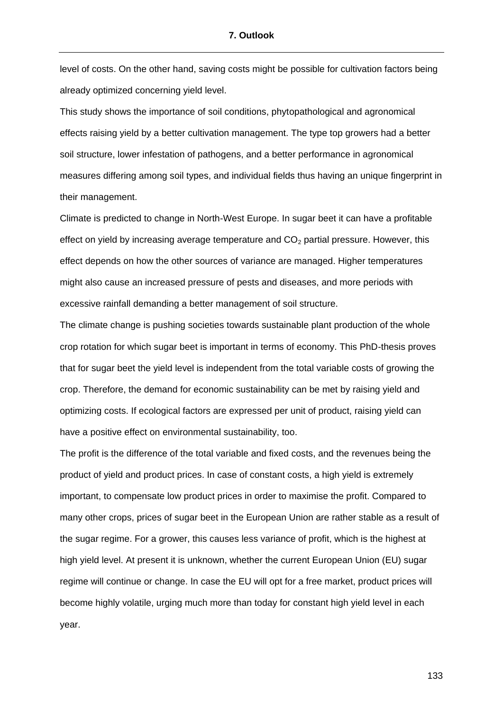### **7. Outlook**

level of costs. On the other hand, saving costs might be possible for cultivation factors being already optimized concerning yield level.

This study shows the importance of soil conditions, phytopathological and agronomical effects raising yield by a better cultivation management. The type top growers had a better soil structure, lower infestation of pathogens, and a better performance in agronomical measures differing among soil types, and individual fields thus having an unique fingerprint in their management.

Climate is predicted to change in North-West Europe. In sugar beet it can have a profitable effect on yield by increasing average temperature and  $CO<sub>2</sub>$  partial pressure. However, this effect depends on how the other sources of variance are managed. Higher temperatures might also cause an increased pressure of pests and diseases, and more periods with excessive rainfall demanding a better management of soil structure.

The climate change is pushing societies towards sustainable plant production of the whole crop rotation for which sugar beet is important in terms of economy. This PhD-thesis proves that for sugar beet the yield level is independent from the total variable costs of growing the crop. Therefore, the demand for economic sustainability can be met by raising yield and optimizing costs. If ecological factors are expressed per unit of product, raising yield can have a positive effect on environmental sustainability, too.

The profit is the difference of the total variable and fixed costs, and the revenues being the product of yield and product prices. In case of constant costs, a high yield is extremely important, to compensate low product prices in order to maximise the profit. Compared to many other crops, prices of sugar beet in the European Union are rather stable as a result of the sugar regime. For a grower, this causes less variance of profit, which is the highest at high yield level. At present it is unknown, whether the current European Union (EU) sugar regime will continue or change. In case the EU will opt for a free market, product prices will become highly volatile, urging much more than today for constant high yield level in each year.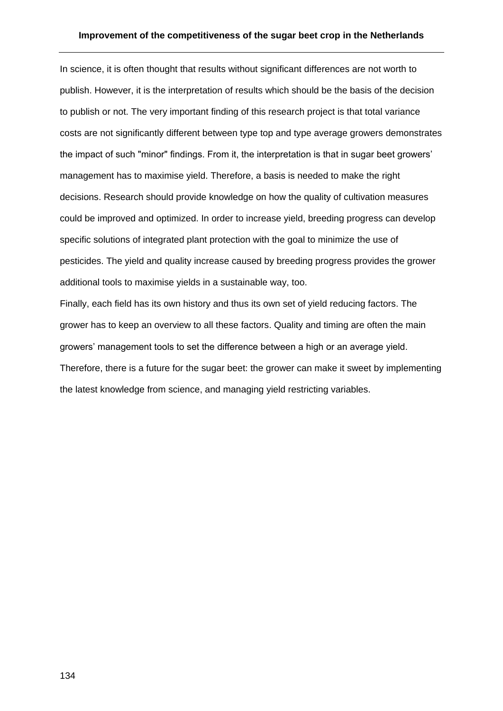### **Improvement of the competitiveness of the sugar beet crop in the Netherlands**

In science, it is often thought that results without significant differences are not worth to publish. However, it is the interpretation of results which should be the basis of the decision to publish or not. The very important finding of this research project is that total variance costs are not significantly different between type top and type average growers demonstrates the impact of such "minor" findings. From it, the interpretation is that in sugar beet growers' management has to maximise yield. Therefore, a basis is needed to make the right decisions. Research should provide knowledge on how the quality of cultivation measures could be improved and optimized. In order to increase yield, breeding progress can develop specific solutions of integrated plant protection with the goal to minimize the use of pesticides. The yield and quality increase caused by breeding progress provides the grower additional tools to maximise yields in a sustainable way, too.

Finally, each field has its own history and thus its own set of yield reducing factors. The grower has to keep an overview to all these factors. Quality and timing are often the main growers' management tools to set the difference between a high or an average yield. Therefore, there is a future for the sugar beet: the grower can make it sweet by implementing the latest knowledge from science, and managing yield restricting variables.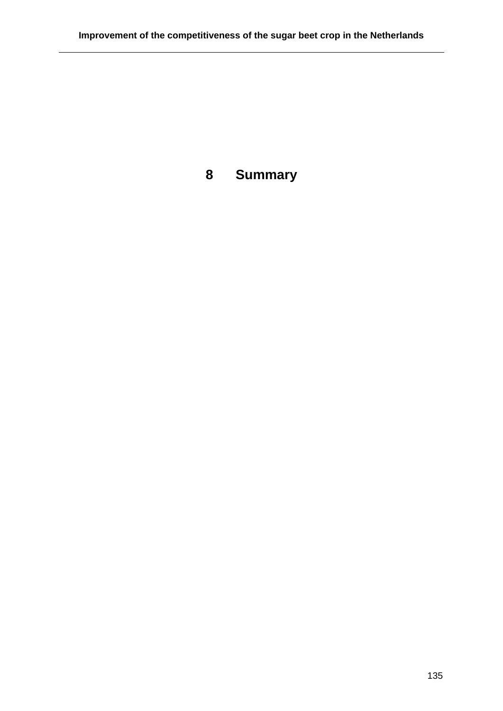# **Summary**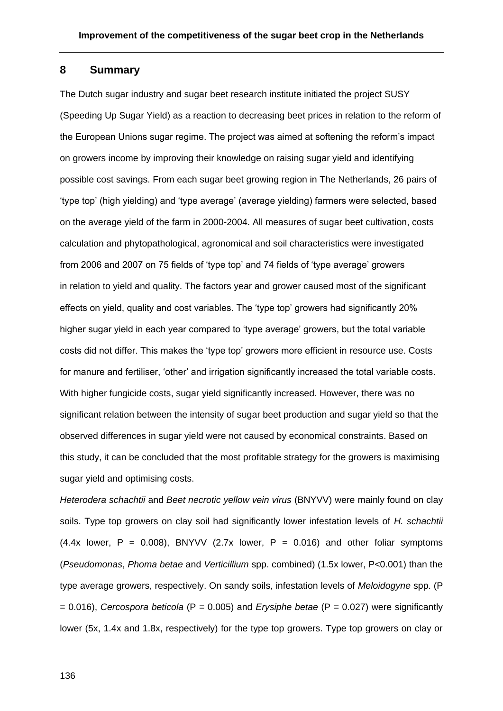## **8 Summary**

The Dutch sugar industry and sugar beet research institute initiated the project SUSY (Speeding Up Sugar Yield) as a reaction to decreasing beet prices in relation to the reform of the European Unions sugar regime. The project was aimed at softening the reform's impact on growers income by improving their knowledge on raising sugar yield and identifying possible cost savings. From each sugar beet growing region in The Netherlands, 26 pairs of 'type top' (high yielding) and 'type average' (average yielding) farmers were selected, based on the average yield of the farm in 2000-2004. All measures of sugar beet cultivation, costs calculation and phytopathological, agronomical and soil characteristics were investigated from 2006 and 2007 on 75 fields of 'type top' and 74 fields of 'type average' growers in relation to yield and quality. The factors year and grower caused most of the significant effects on yield, quality and cost variables. The 'type top' growers had significantly 20% higher sugar yield in each year compared to 'type average' growers, but the total variable costs did not differ. This makes the 'type top' growers more efficient in resource use. Costs for manure and fertiliser, 'other' and irrigation significantly increased the total variable costs. With higher fungicide costs, sugar yield significantly increased. However, there was no significant relation between the intensity of sugar beet production and sugar yield so that the observed differences in sugar yield were not caused by economical constraints. Based on this study, it can be concluded that the most profitable strategy for the growers is maximising sugar yield and optimising costs.

*Heterodera schachtii* and *Beet necrotic yellow vein virus* (BNYVV) were mainly found on clay soils. Type top growers on clay soil had significantly lower infestation levels of *H. schachtii*   $(4.4x$  lower,  $P = 0.008$ ), BNYVV (2.7x lower,  $P = 0.016$ ) and other foliar symptoms (*Pseudomonas*, *Phoma betae* and *Verticillium* spp. combined) (1.5x lower, P<0.001) than the type average growers, respectively. On sandy soils, infestation levels of *Meloidogyne* spp. (P = 0.016), *Cercospora beticola* (P = 0.005) and *Erysiphe betae* (P = 0.027) were significantly lower (5x, 1.4x and 1.8x, respectively) for the type top growers. Type top growers on clay or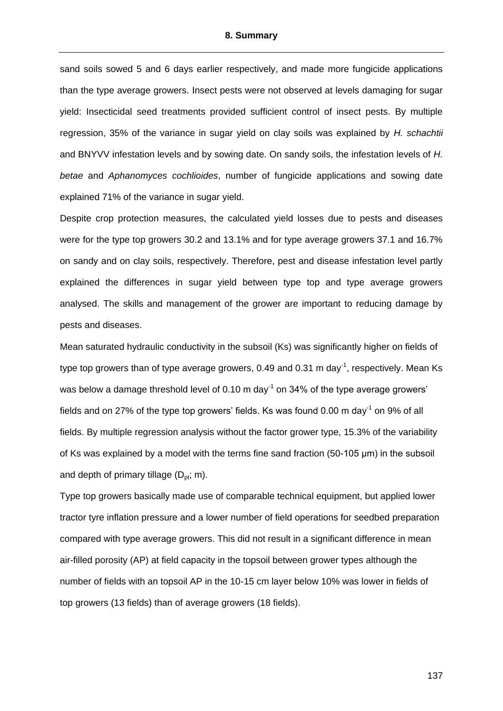sand soils sowed 5 and 6 days earlier respectively, and made more fungicide applications than the type average growers. Insect pests were not observed at levels damaging for sugar yield: Insecticidal seed treatments provided sufficient control of insect pests. By multiple regression, 35% of the variance in sugar yield on clay soils was explained by *H. schachtii*  and BNYVV infestation levels and by sowing date. On sandy soils, the infestation levels of *H. betae* and *Aphanomyces cochlioides*, number of fungicide applications and sowing date explained 71% of the variance in sugar yield.

Despite crop protection measures, the calculated yield losses due to pests and diseases were for the type top growers 30.2 and 13.1% and for type average growers 37.1 and 16.7% on sandy and on clay soils, respectively. Therefore, pest and disease infestation level partly explained the differences in sugar yield between type top and type average growers analysed. The skills and management of the grower are important to reducing damage by pests and diseases.

Mean saturated hydraulic conductivity in the subsoil (Ks) was significantly higher on fields of type top growers than of type average growers, 0.49 and 0.31 m day<sup>-1</sup>, respectively. Mean Ks was below a damage threshold level of 0.10 m day<sup>-1</sup> on 34% of the type average growers' fields and on 27% of the type top growers' fields. Ks was found 0.00 m day<sup>-1</sup> on 9% of all fields. By multiple regression analysis without the factor grower type, 15.3% of the variability of Ks was explained by a model with the terms fine sand fraction (50-105 μm) in the subsoil and depth of primary tillage  $(D_{\text{pt}}; m)$ .

Type top growers basically made use of comparable technical equipment, but applied lower tractor tyre inflation pressure and a lower number of field operations for seedbed preparation compared with type average growers. This did not result in a significant difference in mean air-filled porosity (AP) at field capacity in the topsoil between grower types although the number of fields with an topsoil AP in the 10-15 cm layer below 10% was lower in fields of top growers (13 fields) than of average growers (18 fields).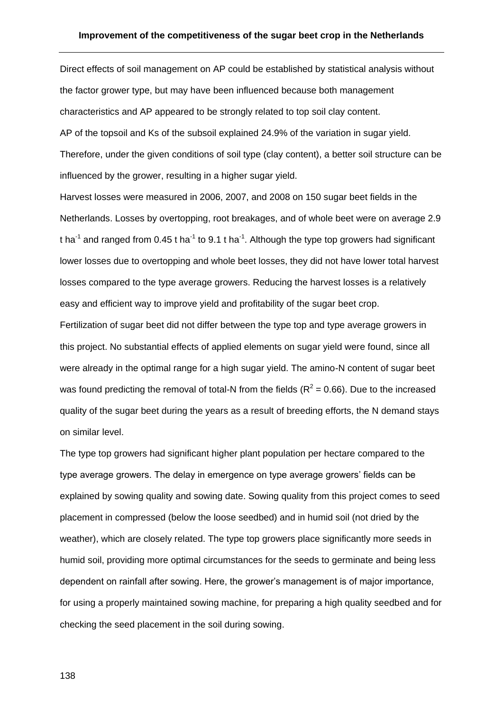#### **Improvement of the competitiveness of the sugar beet crop in the Netherlands**

Direct effects of soil management on AP could be established by statistical analysis without the factor grower type, but may have been influenced because both management characteristics and AP appeared to be strongly related to top soil clay content. AP of the topsoil and Ks of the subsoil explained 24.9% of the variation in sugar yield. Therefore, under the given conditions of soil type (clay content), a better soil structure can be influenced by the grower, resulting in a higher sugar yield.

Harvest losses were measured in 2006, 2007, and 2008 on 150 sugar beet fields in the Netherlands. Losses by overtopping, root breakages, and of whole beet were on average 2.9 t ha<sup>-1</sup> and ranged from 0.45 t ha<sup>-1</sup> to 9.1 t ha<sup>-1</sup>. Although the type top growers had significant lower losses due to overtopping and whole beet losses, they did not have lower total harvest losses compared to the type average growers. Reducing the harvest losses is a relatively easy and efficient way to improve yield and profitability of the sugar beet crop.

Fertilization of sugar beet did not differ between the type top and type average growers in this project. No substantial effects of applied elements on sugar yield were found, since all were already in the optimal range for a high sugar yield. The amino-N content of sugar beet was found predicting the removal of total-N from the fields ( $R^2$  = 0.66). Due to the increased quality of the sugar beet during the years as a result of breeding efforts, the N demand stays on similar level.

The type top growers had significant higher plant population per hectare compared to the type average growers. The delay in emergence on type average growers' fields can be explained by sowing quality and sowing date. Sowing quality from this project comes to seed placement in compressed (below the loose seedbed) and in humid soil (not dried by the weather), which are closely related. The type top growers place significantly more seeds in humid soil, providing more optimal circumstances for the seeds to germinate and being less dependent on rainfall after sowing. Here, the grower's management is of major importance, for using a properly maintained sowing machine, for preparing a high quality seedbed and for checking the seed placement in the soil during sowing.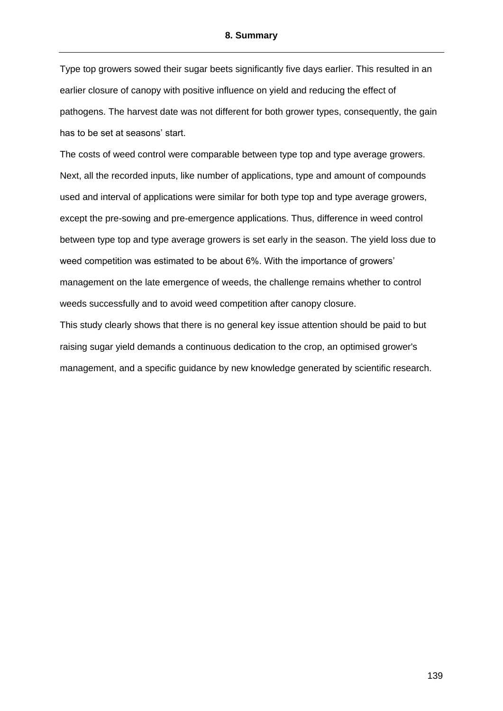Type top growers sowed their sugar beets significantly five days earlier. This resulted in an earlier closure of canopy with positive influence on yield and reducing the effect of pathogens. The harvest date was not different for both grower types, consequently, the gain has to be set at seasons' start.

The costs of weed control were comparable between type top and type average growers. Next, all the recorded inputs, like number of applications, type and amount of compounds used and interval of applications were similar for both type top and type average growers, except the pre-sowing and pre-emergence applications. Thus, difference in weed control between type top and type average growers is set early in the season. The yield loss due to weed competition was estimated to be about 6%. With the importance of growers' management on the late emergence of weeds, the challenge remains whether to control weeds successfully and to avoid weed competition after canopy closure.

This study clearly shows that there is no general key issue attention should be paid to but raising sugar yield demands a continuous dedication to the crop, an optimised grower's management, and a specific guidance by new knowledge generated by scientific research.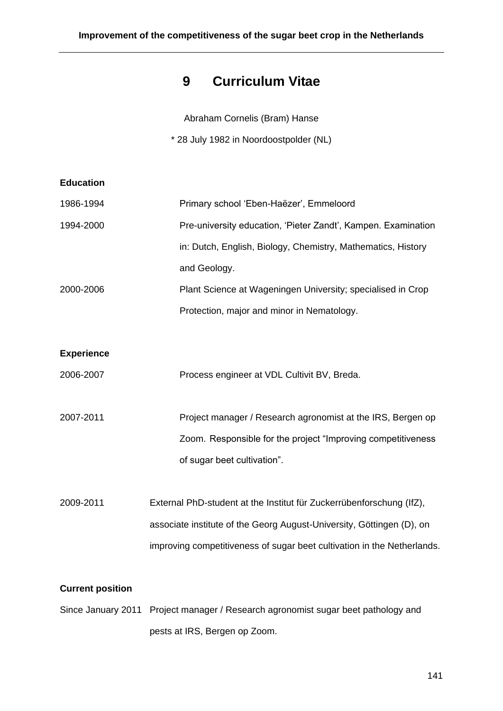## **9 Curriculum Vitae**

Abraham Cornelis (Bram) Hanse

\* 28 July 1982 in Noordoostpolder (NL)

| <b>Education</b>        |                                                                                   |
|-------------------------|-----------------------------------------------------------------------------------|
| 1986-1994               | Primary school 'Eben-Haëzer', Emmeloord                                           |
| 1994-2000               | Pre-university education, 'Pieter Zandt', Kampen. Examination                     |
|                         | in: Dutch, English, Biology, Chemistry, Mathematics, History                      |
|                         | and Geology.                                                                      |
| 2000-2006               | Plant Science at Wageningen University; specialised in Crop                       |
|                         | Protection, major and minor in Nematology.                                        |
|                         |                                                                                   |
| <b>Experience</b>       |                                                                                   |
| 2006-2007               | Process engineer at VDL Cultivit BV, Breda.                                       |
|                         |                                                                                   |
| 2007-2011               | Project manager / Research agronomist at the IRS, Bergen op                       |
|                         | Zoom. Responsible for the project "Improving competitiveness"                     |
|                         | of sugar beet cultivation".                                                       |
|                         |                                                                                   |
| 2009-2011               | External PhD-student at the Institut für Zuckerrübenforschung (IfZ),              |
|                         | associate institute of the Georg August-University, Göttingen (D), on             |
|                         | improving competitiveness of sugar beet cultivation in the Netherlands.           |
|                         |                                                                                   |
| <b>Current position</b> |                                                                                   |
|                         | Since January 2011 Project manager / Research agronomist sugar beet pathology and |

pests at IRS, Bergen op Zoom.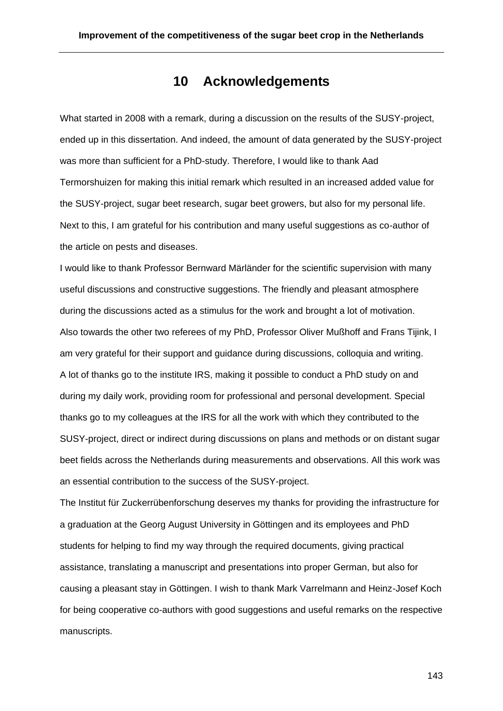## **10 Acknowledgements**

What started in 2008 with a remark, during a discussion on the results of the SUSY-project, ended up in this dissertation. And indeed, the amount of data generated by the SUSY-project was more than sufficient for a PhD-study. Therefore, I would like to thank Aad Termorshuizen for making this initial remark which resulted in an increased added value for the SUSY-project, sugar beet research, sugar beet growers, but also for my personal life. Next to this, I am grateful for his contribution and many useful suggestions as co-author of the article on pests and diseases.

I would like to thank Professor Bernward Märländer for the scientific supervision with many useful discussions and constructive suggestions. The friendly and pleasant atmosphere during the discussions acted as a stimulus for the work and brought a lot of motivation. Also towards the other two referees of my PhD, Professor Oliver Mußhoff and Frans Tijink, I am very grateful for their support and guidance during discussions, colloquia and writing. A lot of thanks go to the institute IRS, making it possible to conduct a PhD study on and during my daily work, providing room for professional and personal development. Special thanks go to my colleagues at the IRS for all the work with which they contributed to the SUSY-project, direct or indirect during discussions on plans and methods or on distant sugar beet fields across the Netherlands during measurements and observations. All this work was an essential contribution to the success of the SUSY-project.

The Institut für Zuckerrübenforschung deserves my thanks for providing the infrastructure for a graduation at the Georg August University in Göttingen and its employees and PhD students for helping to find my way through the required documents, giving practical assistance, translating a manuscript and presentations into proper German, but also for causing a pleasant stay in Göttingen. I wish to thank Mark Varrelmann and Heinz-Josef Koch for being cooperative co-authors with good suggestions and useful remarks on the respective manuscripts.